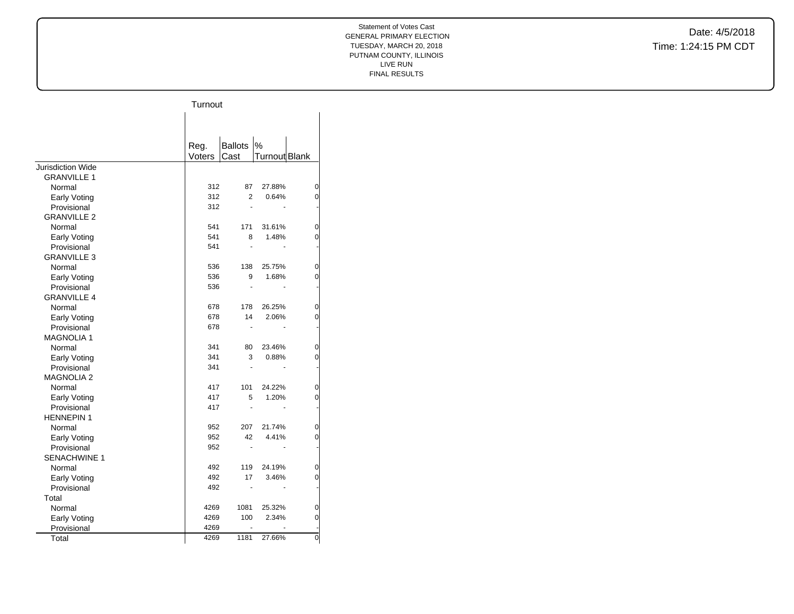|                    | Turnout |                      |               |                |
|--------------------|---------|----------------------|---------------|----------------|
|                    |         |                      |               |                |
|                    |         |                      |               |                |
|                    | Reg.    | <b>Ballots</b>       | $\%$          |                |
|                    | Voters  | Cast                 | Turnout Blank |                |
| Jurisdiction Wide  |         |                      |               |                |
| <b>GRANVILLE 1</b> |         |                      |               |                |
| Normal             | 312     | 87                   | 27.88%        | 0              |
| Early Voting       | 312     | $\overline{2}$       | 0.64%         | 0              |
| Provisional        | 312     | ä,                   |               |                |
| <b>GRANVILLE 2</b> |         |                      |               |                |
| Normal             | 541     | 171                  | 31.61%        | $\overline{0}$ |
| Early Voting       | 541     | 8                    | 1.48%         | 0              |
| Provisional        | 541     | ä,                   |               |                |
| <b>GRANVILLE 3</b> |         |                      |               |                |
| Normal             | 536     | 138                  | 25.75%        | $\overline{0}$ |
| Early Voting       | 536     | 9                    | 1.68%         | 0              |
| Provisional        | 536     | $\overline{a}$       |               |                |
| <b>GRANVILLE 4</b> |         |                      |               |                |
| Normal             | 678     | 178                  | 26.25%        | $\overline{0}$ |
| Early Voting       | 678     | 14                   | 2.06%         | 0              |
| Provisional        | 678     | L.                   |               |                |
| <b>MAGNOLIA1</b>   |         |                      |               |                |
| Normal             | 341     | 80                   | 23.46%        | 0              |
| Early Voting       | 341     | 3                    | 0.88%         | 0              |
| Provisional        | 341     | $\ddot{\phantom{1}}$ |               |                |
| <b>MAGNOLIA 2</b>  |         |                      |               |                |
| Normal             | 417     | 101                  | 24.22%        | 0              |
| Early Voting       | 417     | 5                    | 1.20%         | 0              |
| Provisional        | 417     |                      |               |                |
| <b>HENNEPIN1</b>   |         |                      |               |                |
| Normal             | 952     | 207                  | 21.74%        | 0              |
| Early Voting       | 952     | 42                   | 4.41%         | 0              |
| Provisional        | 952     | ä,                   |               |                |
| SENACHWINE 1       |         |                      |               |                |
| Normal             | 492     | 119                  | 24.19%        | 0              |
| Early Voting       | 492     | 17                   | 3.46%         | 0              |
| Provisional        | 492     |                      |               | ٠              |
| Total              |         |                      |               |                |
| Normal             | 4269    | 1081                 | 25.32%        | 0              |
| Early Voting       | 4269    | 100                  | 2.34%         | 0              |
| Provisional        | 4269    |                      |               |                |
| Total              | 4269    | 1181                 | 27.66%        | $\overline{0}$ |
|                    |         |                      |               |                |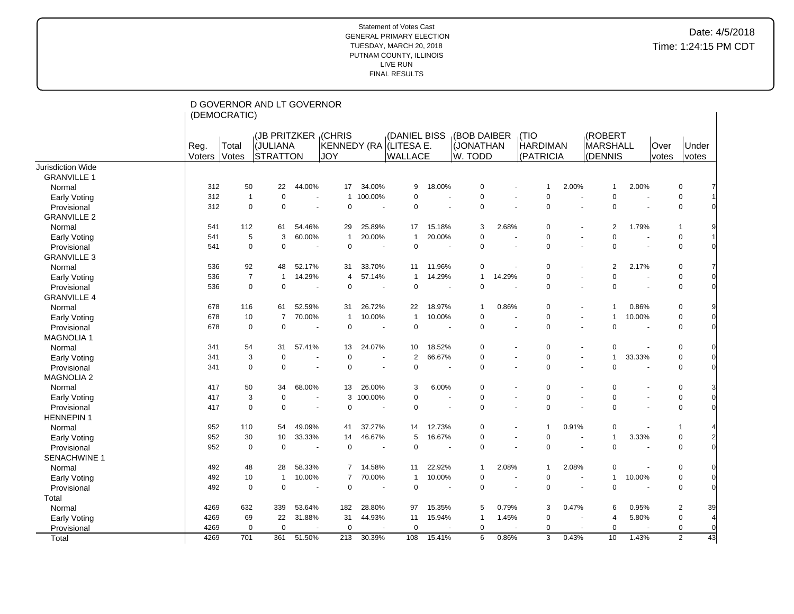|                          |        | (DEMOCRATIC)   | D GOVERNOR AND LT GOVERNOR |                          |                |                          |                        |                |                |                |                 |                          |                |        |             |                |          |
|--------------------------|--------|----------------|----------------------------|--------------------------|----------------|--------------------------|------------------------|----------------|----------------|----------------|-----------------|--------------------------|----------------|--------|-------------|----------------|----------|
|                          |        |                |                            |                          |                |                          |                        |                |                |                |                 |                          |                |        |             |                |          |
|                          |        |                | (JB PRITZKER (CHRIS        |                          |                |                          | (DANIEL BISS           |                | (BOB DAIBER    |                | (TIO            |                          | (ROBERT        |        |             |                |          |
|                          | Reg.   | Total          | (JULIANA                   |                          |                |                          | KENNEDY (RA (LITESA E. |                | (JONATHAN      |                | <b>HARDIMAN</b> |                          | MARSHALL       |        | <b>Over</b> | Under          |          |
|                          | Voters | Votes          | <b>STRATTON</b>            |                          | <b>JOY</b>     |                          | <b>WALLACE</b>         |                | W. TODD        |                | (PATRICIA       |                          | (DENNIS        |        | votes       | votes          |          |
| <b>Jurisdiction Wide</b> |        |                |                            |                          |                |                          |                        |                |                |                |                 |                          |                |        |             |                |          |
| <b>GRANVILLE 1</b>       |        |                |                            |                          |                |                          |                        |                |                |                |                 |                          |                |        |             |                |          |
| Normal                   | 312    | 50             | 22                         | 44.00%                   | 17             | 34.00%                   | 9                      | 18.00%         | 0              |                | -1              | 2.00%                    | $\mathbf 1$    | 2.00%  |             | 0              |          |
| Early Voting             | 312    | $\mathbf{1}$   | $\mathbf 0$                | $\blacksquare$           | $\mathbf{1}$   | 100.00%                  | $\mathbf 0$            | $\overline{a}$ | $\mathbf 0$    | ÷.             | $\mathbf 0$     |                          | $\Omega$       |        |             | 0              |          |
| Provisional              | 312    | $\mathbf 0$    | $\mathbf 0$                |                          | $\mathbf 0$    | $\ddot{\phantom{1}}$     | $\mathbf 0$            |                | $\mathbf 0$    |                | $\mathbf 0$     |                          | $\mathbf 0$    |        |             | $\mathbf 0$    |          |
| <b>GRANVILLE 2</b>       |        |                |                            |                          |                |                          |                        |                |                |                |                 |                          |                |        |             |                |          |
| Normal                   | 541    | 112            | 61                         | 54.46%                   | 29             | 25.89%                   | 17                     | 15.18%         | 3              | 2.68%          | $\mathbf 0$     |                          | 2              | 1.79%  |             | 1              |          |
| <b>Early Voting</b>      | 541    | 5              | 3                          | 60.00%                   | $\overline{1}$ | 20.00%                   | $\overline{1}$         | 20.00%         | $\mathbf 0$    |                | $\mathbf 0$     |                          | $\Omega$       |        |             | 0              |          |
| Provisional              | 541    | $\Omega$       | $\mathbf 0$                |                          | $\mathbf 0$    | $\overline{\phantom{a}}$ | $\mathbf 0$            |                | $\mathbf 0$    |                | $\mathbf 0$     |                          | $\Omega$       |        |             | $\pmb{0}$      |          |
| <b>GRANVILLE 3</b>       |        |                |                            |                          |                |                          |                        |                |                |                |                 |                          |                |        |             |                |          |
| Normal                   | 536    | 92             | 48                         | 52.17%                   | 31             | 33.70%                   | 11                     | 11.96%         | $\mathbf 0$    |                | $\mathbf 0$     |                          | $\overline{2}$ | 2.17%  |             | 0              |          |
| Early Voting             | 536    | $\overline{7}$ | $\overline{1}$             | 14.29%                   | $\overline{4}$ | 57.14%                   | -1                     | 14.29%         | $\mathbf{1}$   | 14.29%         | $\Omega$        |                          | $\Omega$       |        |             | 0              |          |
| Provisional              | 536    | $\Omega$       | $\mathbf 0$                |                          | $\Omega$       | $\blacksquare$           | $\mathbf 0$            |                | $\mathbf 0$    |                | $\mathbf 0$     |                          | $\mathbf 0$    |        |             | $\mathbf 0$    |          |
| <b>GRANVILLE 4</b>       |        |                |                            |                          |                |                          |                        |                |                |                |                 |                          |                |        |             |                |          |
| Normal                   | 678    | 116            | 61                         | 52.59%                   | 31             | 26.72%                   | 22                     | 18.97%         | $\overline{1}$ | 0.86%          | 0               |                          | $\mathbf 1$    | 0.86%  |             | 0              |          |
| Early Voting             | 678    | 10             | $\overline{7}$             | 70.00%                   | $\overline{1}$ | 10.00%                   | $\overline{1}$         | 10.00%         | $\mathbf 0$    |                | $\mathbf 0$     |                          | $\mathbf 1$    | 10.00% |             | 0              | $\Omega$ |
| Provisional              | 678    | $\mathbf 0$    | $\mathbf 0$                |                          | $\mathbf 0$    | $\overline{\phantom{a}}$ | $\mathbf 0$            |                | $\mathbf 0$    |                | $\mathbf 0$     |                          | $\Omega$       |        |             | 0              | $\Omega$ |
| <b>MAGNOLIA1</b>         |        |                |                            |                          |                |                          |                        |                |                |                |                 |                          |                |        |             |                |          |
| Normal                   | 341    | 54             | 31                         | 57.41%                   | 13             | 24.07%                   | 10                     | 18.52%         | $\mathbf 0$    |                | $\mathbf 0$     |                          | $\pmb{0}$      |        |             | 0              |          |
| Early Voting             | 341    | 3              | $\mathbf 0$                | $\overline{\phantom{a}}$ | $\Omega$       |                          | 2                      | 66.67%         | $\mathbf 0$    |                | $\mathbf 0$     |                          | $\mathbf{1}$   | 33.33% |             | 0              | 0        |
| Provisional              | 341    | $\mathbf 0$    | $\mathbf 0$                |                          | $\mathbf 0$    |                          | $\mathbf 0$            |                | $\mathbf 0$    |                | $\mathbf 0$     |                          | $\Omega$       |        |             | $\mathbf 0$    |          |
| <b>MAGNOLIA 2</b>        |        |                |                            |                          |                |                          |                        |                |                |                |                 |                          |                |        |             |                |          |
| Normal                   | 417    | 50             | 34                         | 68.00%                   | 13             | 26.00%                   | 3                      | 6.00%          | $\mathbf 0$    |                | $\mathbf 0$     |                          | $\Omega$       |        |             | $\mathbf 0$    |          |
| Early Voting             | 417    | 3              | 0                          |                          | 3              | 100.00%                  | $\mathbf 0$            |                | $\mathbf 0$    | $\overline{a}$ | $\mathbf 0$     |                          | $\mathbf 0$    |        |             | 0              | $\Omega$ |
| Provisional              | 417    | $\mathbf 0$    | 0                          |                          | $\Omega$       |                          | $\mathbf 0$            |                | $\mathbf 0$    |                | $\mathbf 0$     |                          | $\Omega$       |        |             | $\mathbf 0$    |          |
| <b>HENNEPIN1</b>         |        |                |                            |                          |                |                          |                        |                |                |                |                 |                          |                |        |             |                |          |
| Normal                   | 952    | 110            | 54                         | 49.09%                   | 41             | 37.27%                   | 14                     | 12.73%         | $\mathbf 0$    |                | -1              | 0.91%                    | $\mathbf 0$    |        |             | -1             |          |
| Early Voting             | 952    | 30             | 10                         | 33.33%                   | 14             | 46.67%                   | 5                      | 16.67%         | $\mathbf 0$    |                | $\mathbf 0$     |                          | $\mathbf{1}$   | 3.33%  |             | 0              |          |
| Provisional              | 952    | 0              | $\mathbf 0$                |                          | $\mathbf 0$    | $\blacksquare$           | $\Omega$               |                | $\mathbf 0$    |                | $\Omega$        | $\sim$                   | $\Omega$       |        |             | $\mathbf 0$    |          |
| <b>SENACHWINE 1</b>      |        |                |                            |                          |                |                          |                        |                |                |                |                 |                          |                |        |             |                |          |
| Normal                   | 492    | 48             | 28                         | 58.33%                   | 7              | 14.58%                   | 11                     | 22.92%         | $\mathbf{1}$   | 2.08%          | $\mathbf 1$     | 2.08%                    | 0              |        |             | 0              |          |
| Early Voting             | 492    | 10             | $\overline{1}$             | 10.00%                   | $\overline{7}$ | 70.00%                   | -1                     | 10.00%         | $\mathbf 0$    |                | $\mathbf 0$     |                          | $\mathbf{1}$   | 10.00% |             | $\mathbf 0$    | $\Omega$ |
| Provisional              | 492    | $\mathbf 0$    | 0                          | $\blacksquare$           | $\mathbf 0$    | $\blacksquare$           | $\mathbf 0$            |                | $\mathbf 0$    |                | $\mathbf 0$     | $\overline{\phantom{a}}$ | $\mathbf 0$    |        |             | $\mathbf 0$    |          |
| Total                    |        |                |                            |                          |                |                          |                        |                |                |                |                 |                          |                |        |             |                |          |
| Normal                   | 4269   | 632            | 339                        | 53.64%                   | 182            | 28.80%                   | 97                     | 15.35%         | 5              | 0.79%          | 3               | 0.47%                    | 6              | 0.95%  |             | $\overline{c}$ | 39       |
| Early Voting             | 4269   | 69             | 22                         | 31.88%                   | 31             | 44.93%                   | 11                     | 15.94%         | $\overline{1}$ | 1.45%          | $\mathbf 0$     |                          | 4              | 5.80%  |             | $\mathbf 0$    |          |
| Provisional              | 4269   | $\mathbf 0$    | $\mathbf 0$                |                          | $\Omega$       |                          | $\mathbf 0$            |                | $\mathbf 0$    |                | $\mathbf 0$     |                          | $\mathbf 0$    |        |             | $\mathbf 0$    | $\Omega$ |
| Total                    | 4269   | 701            | 361                        | 51.50%                   | 213            | 30.39%                   | 108                    | 15.41%         | 6              | 0.86%          | 3               | 0.43%                    | 10             | 1.43%  |             | $\overline{2}$ | 43       |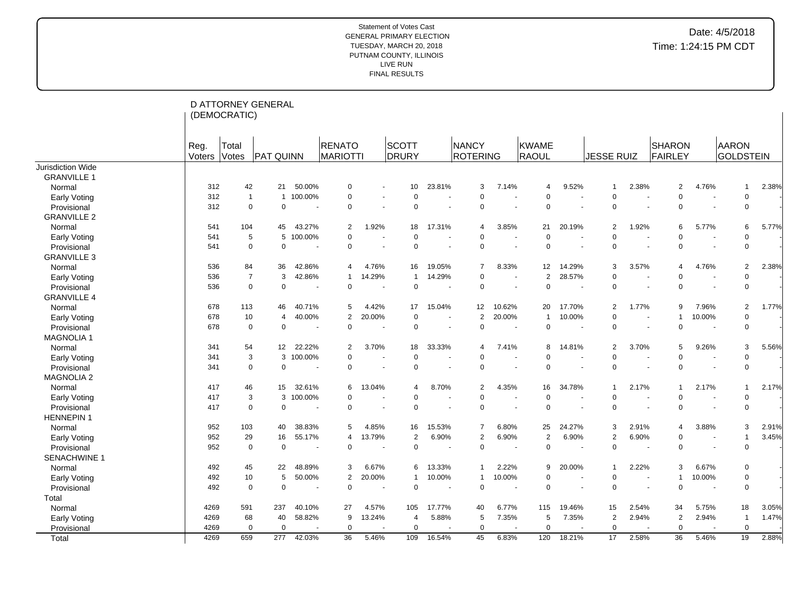|                     |                | (DEMOCRATIC)   | D ATTORNEY GENERAL           |         |                                  |        |                                         |                          |                   |                          |                            |                          |                   |       |                   |                          |                                  |       |
|---------------------|----------------|----------------|------------------------------|---------|----------------------------------|--------|-----------------------------------------|--------------------------|-------------------|--------------------------|----------------------------|--------------------------|-------------------|-------|-------------------|--------------------------|----------------------------------|-------|
|                     | Reg.<br>Voters | Total<br>Votes | <b>PAT QUINN</b>             |         | <b>RENATO</b><br><b>MARIOTTI</b> |        | <b>SCOTT</b><br>DRURY                   |                          | NANCY<br>ROTERING |                          | KWAME<br>RAOUL             |                          | <b>JESSE RUIZ</b> |       | SHARON<br>FAIRLEY |                          | <b>AARON</b><br><b>GOLDSTEIN</b> |       |
| Jurisdiction Wide   |                |                |                              |         |                                  |        |                                         |                          |                   |                          |                            |                          |                   |       |                   |                          |                                  |       |
| <b>GRANVILLE 1</b>  |                |                |                              |         |                                  |        |                                         |                          |                   |                          |                            |                          |                   |       |                   |                          |                                  |       |
| Normal              | 312            | 42             | 21                           | 50.00%  | $\mathbf 0$                      |        | 10<br>$\blacksquare$                    | 23.81%                   |                   | 7.14%<br>3               | $\overline{4}$             | 9.52%                    | $\mathbf 1$       | 2.38% | 2                 | 4.76%                    | $\mathbf 1$                      | 2.38% |
| Early Voting        | 312            |                | $\mathbf{1}$<br>$\mathbf{1}$ | 100.00% | $\mathbf 0$                      |        | $\mathbf 0$<br>$\blacksquare$           |                          |                   | 0                        | $\Omega$                   | $\blacksquare$           | 0                 |       | $\mathbf 0$       |                          | $\mathbf 0$                      |       |
| Provisional         | 312            |                | $\Omega$<br>$\mathbf 0$      |         | $\Omega$                         |        | $\Omega$<br>$\ddot{\phantom{1}}$        |                          |                   | $\mathbf 0$              | $\Omega$<br>$\sim$         | $\blacksquare$           | $\Omega$          |       | $\Omega$          | $\sim$                   | $\mathbf 0$                      |       |
| <b>GRANVILLE 2</b>  |                |                |                              |         |                                  |        |                                         |                          |                   |                          |                            |                          |                   |       |                   |                          |                                  |       |
| Normal              | 541            | 104            | 45                           | 43.27%  | $\overline{2}$                   | 1.92%  | 18                                      | 17.31%                   |                   | 3.85%<br>4               | 21                         | 20.19%                   | $\overline{2}$    | 1.92% | 6                 | 5.77%                    | 6                                | 5.77% |
| Early Voting        | 541            |                | 5<br>5                       | 100.00% | $\Omega$                         |        | $\mathbf 0$<br>÷,                       |                          |                   | $\mathbf 0$              | $\Omega$                   | $\overline{a}$           | $\Omega$          |       | $\Omega$          |                          | $\mathbf 0$                      |       |
| Provisional         | 541            |                | $\mathbf 0$<br>$\mathbf 0$   |         | $\mathbf 0$                      |        | $\mathbf 0$<br>$\overline{\phantom{a}}$ |                          |                   | 0                        | $\Omega$<br>$\overline{a}$ | ÷.                       | $\Omega$          |       | $\Omega$          | $\sim$                   | $\mathbf 0$                      |       |
| <b>GRANVILLE 3</b>  |                |                |                              |         |                                  |        |                                         |                          |                   |                          |                            |                          |                   |       |                   |                          |                                  |       |
| Normal              | 536            | 84             | 36                           | 42.86%  | 4                                | 4.76%  | 16                                      | 19.05%                   |                   | $\overline{7}$<br>8.33%  | 12                         | 14.29%                   | 3                 | 3.57% | $\overline{4}$    | 4.76%                    | 2                                | 2.38% |
| Early Voting        | 536            |                | 3<br>$\overline{7}$          | 42.86%  | $\mathbf{1}$                     | 14.29% | -1                                      | 14.29%                   |                   | 0                        | $\overline{2}$             | 28.57%                   | $\Omega$          |       | $\Omega$          |                          | $\Omega$                         |       |
| Provisional         | 536            |                | $\mathbf 0$<br>$\mathbf 0$   |         | $\Omega$                         |        | $\Omega$                                |                          |                   | 0                        | $\mathbf 0$<br>÷.          | $\blacksquare$           | $\Omega$          |       | $\mathbf 0$       |                          | 0                                |       |
| <b>GRANVILLE 4</b>  |                |                |                              |         |                                  |        |                                         |                          |                   |                          |                            |                          |                   |       |                   |                          |                                  |       |
| Normal              | 678            | 113            | 46                           | 40.71%  | 5                                | 4.42%  | 17                                      | 15.04%                   | 12                | 10.62%                   | 20                         | 17.70%                   | 2                 | 1.77% | 9                 | 7.96%                    | 2                                | 1.77% |
| Early Voting        | 678            | 10             | $\overline{4}$               | 40.00%  | $\overline{2}$                   | 20.00% | $\mathbf 0$                             | $\overline{\phantom{a}}$ |                   | 2<br>20.00%              | $\mathbf{1}$               | 10.00%                   | $\Omega$          |       | $\overline{1}$    | 10.00%                   | $\Omega$                         |       |
| Provisional         | 678            |                | $\mathbf 0$<br>$\mathbf 0$   |         | $\Omega$                         | ٠.     | $\Omega$                                |                          |                   | $\mathbf 0$              | $\Omega$<br>$\sim$         | $\overline{\phantom{a}}$ | $\Omega$          |       | $\Omega$          | $\sim$                   | $\mathbf 0$                      |       |
| <b>MAGNOLIA1</b>    |                |                |                              |         |                                  |        |                                         |                          |                   |                          |                            |                          |                   |       |                   |                          |                                  |       |
| Normal              | 341            | 54             | 12                           | 22.22%  | $\overline{2}$                   | 3.70%  | 18                                      | 33.33%                   |                   | 7.41%<br>4               | 8                          | 14.81%                   | $\overline{2}$    | 3.70% | 5                 | 9.26%                    | 3                                | 5.56% |
| Early Voting        | 341            |                | 3<br>3                       | 100.00% | $\Omega$                         |        | $\Omega$<br>$\blacksquare$              |                          |                   | $\mathbf 0$              | $\Omega$                   | $\blacksquare$           | $\Omega$          |       | $\Omega$          |                          | $\mathbf 0$                      |       |
| Provisional         | 341            |                | $\mathbf 0$<br>$\mathbf 0$   |         | $\mathbf 0$                      |        | $\mathbf 0$<br>$\sim$                   |                          |                   | 0                        | $\mathbf 0$<br>$\sim$      | $\sim$                   | $\Omega$          |       | $\Omega$          | $\sim$                   | $\mathbf 0$                      |       |
| <b>MAGNOLIA 2</b>   |                |                |                              |         |                                  |        |                                         |                          |                   |                          |                            |                          |                   |       |                   |                          |                                  |       |
| Normal              | 417            | 46             | 15                           | 32.61%  | 6                                | 13.04% | 4                                       | 8.70%                    |                   | $\overline{2}$<br>4.35%  | 16                         | 34.78%                   | 1                 | 2.17% |                   | 2.17%                    | 1                                | 2.17% |
| Early Voting        | 417            |                | 3<br>3                       | 100.00% | $\Omega$                         |        | $\mathbf 0$                             |                          |                   | 0                        | $\Omega$                   | $\blacksquare$           | $\Omega$          |       | $\Omega$          | $\overline{\phantom{a}}$ | $\mathbf 0$                      |       |
| Provisional         | 417            |                | $\mathbf 0$<br>$\mathbf 0$   |         | $\mathbf 0$                      |        | $\mathbf 0$<br>$\blacksquare$           |                          |                   | 0                        | $\Omega$<br>$\sim$         | $\blacksquare$           | $\Omega$          |       | $\Omega$          | $\sim$                   | $\mathbf 0$                      |       |
| <b>HENNEPIN 1</b>   |                |                |                              |         |                                  |        |                                         |                          |                   |                          |                            |                          |                   |       |                   |                          |                                  |       |
| Normal              | 952            | 103            | 40                           | 38.83%  | 5                                | 4.85%  | 16                                      | 15.53%                   |                   | $\overline{7}$<br>6.80%  | 25                         | 24.27%                   | 3                 | 2.91% | $\overline{4}$    | 3.88%                    | 3                                | 2.91% |
| Early Voting        | 952            | 29             | 16                           | 55.17%  | 4                                | 13.79% | $\overline{2}$                          | 6.90%                    |                   | $\overline{2}$<br>6.90%  | $\overline{2}$             | 6.90%                    | $\overline{2}$    | 6.90% | $\Omega$          |                          | $\overline{1}$                   | 3.45% |
| Provisional         | 952            |                | $\mathbf 0$<br>$\mathbf 0$   |         | $\Omega$                         |        | $\Omega$<br>$\blacksquare$              | $\overline{\phantom{a}}$ |                   | $\mathbf 0$              | $\Omega$                   | ÷.                       | $\Omega$          |       | $\Omega$          | ÷.                       | $\Omega$                         |       |
| <b>SENACHWINE 1</b> |                |                |                              |         |                                  |        |                                         |                          |                   |                          |                            |                          |                   |       |                   |                          |                                  |       |
| Normal              | 492            | 45             | 22                           | 48.89%  | 3                                | 6.67%  | 6                                       | 13.33%                   |                   | 2.22%<br>$\overline{1}$  | 9                          | 20.00%                   | $\overline{1}$    | 2.22% | 3                 | 6.67%                    | $\Omega$                         |       |
| Early Voting        | 492            | 10             | 5                            | 50.00%  | $\overline{2}$                   | 20.00% |                                         | 10.00%                   |                   | 10.00%<br>$\overline{1}$ | $\Omega$                   | $\overline{\phantom{a}}$ | $\Omega$          |       | $\mathbf{1}$      | 10.00%                   | $\mathbf 0$                      |       |
| Provisional         | 492            |                | $\mathbf 0$<br>$\mathbf 0$   |         | $\mathbf 0$                      |        | $\mathbf 0$                             |                          |                   | 0                        | $\Omega$                   | $\sim$                   | $\mathbf 0$       |       | $\mathbf 0$       |                          | $\mathbf 0$                      |       |
| Total               |                |                |                              |         |                                  |        |                                         |                          |                   |                          |                            |                          |                   |       |                   |                          |                                  |       |
| Normal              | 4269           | 591            | 237                          | 40.10%  | 27                               | 4.57%  | 105                                     | 17.77%                   | 40                | 6.77%                    | 115                        | 19.46%                   | 15                | 2.54% | 34                | 5.75%                    | 18                               | 3.05% |
| Early Voting        | 4269           | 68             | 40                           | 58.82%  | 9                                | 13.24% | $\overline{4}$                          | 5.88%                    |                   | 5<br>7.35%               | 5                          | 7.35%                    | $\overline{2}$    | 2.94% | 2                 | 2.94%                    | -1                               | 1.47% |
| Provisional         | 4269           |                | $\mathbf 0$<br>$\mathbf 0$   |         | $\mathbf 0$                      |        | $\mathbf 0$                             |                          |                   | $\mathbf 0$              | $\mathbf 0$                |                          | $\mathbf 0$       |       | $\mathbf 0$       |                          | $\mathbf 0$                      |       |
| Total               | 4269           | 659            | 277                          | 42.03%  | 36                               | 5.46%  | 109                                     | 16.54%                   | 45                | 6.83%                    | 120                        | 18.21%                   | 17                | 2.58% | $\overline{36}$   | 5.46%                    | 19                               | 2.88% |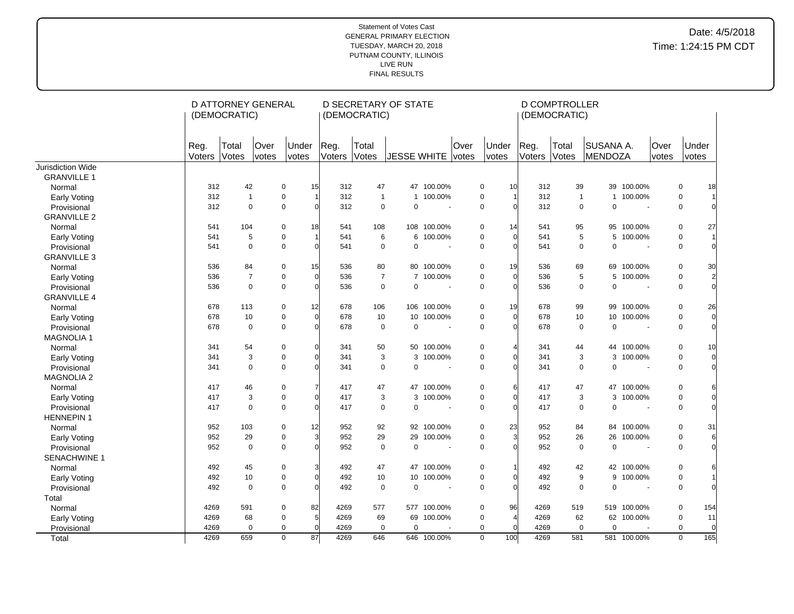|                     |                | (DEMOCRATIC)   | D ATTORNEY GENERAL |                       |                | (DEMOCRATIC)   | <b>D SECRETARY OF STATE</b> |                |                      |                         |                | <b>D COMPTROLLER</b><br>(DEMOCRATIC) |                                    |                          |               |                               |
|---------------------|----------------|----------------|--------------------|-----------------------|----------------|----------------|-----------------------------|----------------|----------------------|-------------------------|----------------|--------------------------------------|------------------------------------|--------------------------|---------------|-------------------------------|
|                     | Reg.<br>Voters | Total<br>Votes | Over<br>votes      | Under<br><i>votes</i> | Reg.<br>Voters | Total<br>Votes | <b>JESSE WHITE</b>          |                | <b>Over</b><br>votes | Under<br>votes          | Reg.<br>Voters | Total<br>Votes                       | <b>SUSANA A.</b><br><b>MENDOZA</b> |                          | Over<br>votes | Under<br>votes                |
| Jurisdiction Wide   |                |                |                    |                       |                |                |                             |                |                      |                         |                |                                      |                                    |                          |               |                               |
| <b>GRANVILLE 1</b>  |                |                |                    |                       |                |                |                             |                |                      |                         |                |                                      |                                    |                          |               |                               |
| Normal              | 312            | 42             | 0                  | 15                    | 312            | 47             |                             | 47 100.00%     |                      | 0<br>10                 | 312            |                                      | 39                                 | 39 100.00%               |               | $\mathbf 0$<br>18             |
| Early Voting        | 312            | $\mathbf{1}$   | 0                  | $\mathbf{1}$          | 312            | $\overline{1}$ | $\mathbf{1}$                | 100.00%        |                      | 0                       | 312            |                                      | $\mathbf{1}$<br>$\mathbf{1}$       | 100.00%                  |               | 0                             |
| Provisional         | 312            | $\mathbf 0$    | $\mathbf 0$        | $\Omega$              | 312            | $\mathbf 0$    | $\Omega$                    | $\blacksquare$ |                      | 0                       | 312            |                                      | $\mathbf 0$<br>$\Omega$            | $\blacksquare$           |               | 0                             |
| <b>GRANVILLE 2</b>  |                |                |                    |                       |                |                |                             |                |                      |                         |                |                                      |                                    |                          |               |                               |
| Normal              | 541            | 104            | 0                  | 18                    | 541            | 108            |                             | 108 100.00%    |                      | 0<br>14                 | 541            |                                      | 95                                 | 95 100.00%               |               | 0<br>27                       |
| Early Voting        | 541            | 5              | $\pmb{0}$          |                       | 541            | 6              | 6                           | 100.00%        |                      | $\pmb{0}$<br>$\Omega$   | 541            |                                      | 5<br>5                             | 100.00%                  |               | $\pmb{0}$                     |
| Provisional         | 541            | $\Omega$       | $\mathbf 0$        | $\Omega$              | 541            | $\Omega$       | $\mathbf 0$                 |                |                      | $\mathbf 0$             | 541            |                                      | $\Omega$<br>$\mathbf 0$            | $\overline{\phantom{a}}$ |               | $\mathbf 0$                   |
| <b>GRANVILLE 3</b>  |                |                |                    |                       |                |                |                             |                |                      |                         |                |                                      |                                    |                          |               |                               |
| Normal              | 536            | 84             | 0                  | 15                    | 536            | 80             | 80                          | 100.00%        |                      | 0<br>19                 | 536            |                                      | 69<br>69                           | 100.00%                  |               | 0<br>30                       |
| Early Voting        | 536            | $\overline{7}$ | $\mathbf 0$        | $\mathbf 0$           | 536            | $\overline{7}$ |                             | 7 100.00%      |                      | $\pmb{0}$<br>$\Omega$   | 536            |                                      | 5<br>5                             | 100.00%                  |               | $\pmb{0}$<br>$\overline{2}$   |
| Provisional         | 536            | $\Omega$       | $\mathbf 0$        | $\overline{0}$        | 536            | $\mathbf 0$    | $\Omega$                    |                |                      | 0<br>$\Omega$           | 536            |                                      | $\Omega$<br>0                      |                          |               | $\Omega$<br>0                 |
| <b>GRANVILLE 4</b>  |                |                |                    |                       |                |                |                             |                |                      |                         |                |                                      |                                    |                          |               |                               |
| Normal              | 678            | 113            | 0                  | 12                    | 678            | 106            |                             | 106 100.00%    |                      | 19<br>0                 | 678            |                                      | 99                                 | 99 100.00%               |               | $\mathbf 0$<br>26             |
| <b>Early Voting</b> | 678            | 10             | $\pmb{0}$          | $\overline{0}$        | 678            | 10             | 10                          | 100.00%        |                      | $\overline{0}$<br>0     | 678            |                                      | 10<br>10                           | 100.00%                  |               | $\pmb{0}$<br>$\overline{0}$   |
| Provisional         | 678            | $\mathbf 0$    | $\mathbf 0$        | $\overline{0}$        | 678            | $\mathbf 0$    | 0                           | $\blacksquare$ |                      | 0<br>$\Omega$           | 678            |                                      | $\mathbf 0$<br>0                   | $\sim$                   |               | 0<br>$\Omega$                 |
| <b>MAGNOLIA1</b>    |                |                |                    |                       |                |                |                             |                |                      |                         |                |                                      |                                    |                          |               |                               |
| Normal              | 341            | 54             | 0                  | $\overline{0}$        | 341            | 50             | 50                          | 100.00%        |                      | 0                       | 341            |                                      | 44                                 | 44 100.00%               |               | 0<br>10                       |
| Early Voting        | 341            | 3              | $\mathbf 0$        | $\Omega$              | 341            | 3              | 3                           | 100.00%        |                      | $\pmb{0}$<br>$\Omega$   | 341            |                                      | 3<br>3                             | 100.00%                  |               | $\mathbf 0$<br>$\Omega$       |
| Provisional         | 341            | $\mathbf 0$    | $\mathbf 0$        | $\Omega$              | 341            | 0              | $\mathbf 0$                 |                |                      | $\mathbf 0$             | 341            |                                      | $\mathbf 0$<br>$\mathbf 0$         | $\sim$                   |               | 0                             |
| <b>MAGNOLIA 2</b>   |                |                |                    |                       |                |                |                             |                |                      |                         |                |                                      |                                    |                          |               |                               |
| Normal              | 417            | 46             | 0                  | $\overline{7}$        | 417            | 47             | 47                          | 100.00%        |                      | 0<br>6                  | 417            |                                      | 47<br>47                           | 100.00%                  |               | 0                             |
| <b>Early Voting</b> | 417            | 3              | 0                  | $\overline{0}$        | 417            | 3              |                             | 3 100.00%      |                      | $\overline{0}$<br>0     | 417            |                                      | 3                                  | 3 100.00%                |               | 0                             |
| Provisional         | 417            | $\mathbf 0$    | 0                  | $\overline{0}$        | 417            | $\mathbf 0$    | 0                           |                |                      | 0<br>$\Omega$           | 417            |                                      | 0<br>0                             | $\overline{\phantom{a}}$ |               | 0                             |
| <b>HENNEPIN1</b>    |                |                |                    |                       |                |                |                             |                |                      |                         |                |                                      |                                    |                          |               |                               |
| Normal              | 952            | 103            | $\mathbf 0$        | 12                    | 952            | 92             |                             | 92 100.00%     |                      | 23<br>0                 | 952            |                                      | 84                                 | 84 100.00%               |               | $\mathbf 0$<br>31             |
| Early Voting        | 952            | 29             | $\pmb{0}$          | 3                     | 952            | 29             | 29                          | 100.00%        |                      | $\overline{3}$<br>0     | 952            |                                      | 26<br>26                           | 100.00%                  |               | $\pmb{0}$<br>6                |
| Provisional         | 952            | $\mathbf 0$    | $\mathbf 0$        | $\overline{0}$        | 952            | $\mathbf 0$    | $\mathbf 0$                 |                |                      | $\mathbf 0$             | 952            |                                      | $\mathbf 0$<br>$\mathbf 0$         |                          |               | $\mathbf 0$                   |
| SENACHWINE 1        |                |                |                    |                       |                |                |                             |                |                      |                         |                |                                      |                                    |                          |               |                               |
| Normal              | 492            | 45             | 0                  | 3                     | 492            | 47             |                             | 47 100.00%     |                      | 0                       | 492            |                                      | 42                                 | 42 100.00%               |               | 0                             |
| Early Voting        | 492            | 10             | $\mathbf 0$        | $\overline{0}$        | 492            | 10             | 10                          | 100.00%        |                      | 0                       | 492            |                                      | 9<br>9                             | 100.00%                  |               | 0                             |
| Provisional         | 492            | $\mathbf 0$    | $\mathbf 0$        | $\Omega$              | 492            | $\Omega$       | $\mathbf 0$                 |                |                      | $\mathbf 0$             | 492            |                                      | $\Omega$<br>$\mathbf 0$            |                          |               | $\mathbf 0$                   |
| Total               |                |                |                    |                       |                |                |                             |                |                      |                         |                |                                      |                                    |                          |               |                               |
| Normal              | 4269           | 591            | 0                  | 82                    | 4269           | 577            |                             | 577 100.00%    |                      | 96<br>0                 | 4269           | 519                                  |                                    | 519 100.00%              |               | 0<br>154                      |
| <b>Early Voting</b> | 4269           | 68             | 0                  | $5\overline{a}$       | 4269           | 69             | 69                          | 100.00%        |                      | 0<br>$\overline{4}$     | 4269           |                                      | 62<br>62                           | 100.00%                  |               | 0<br>11                       |
| Provisional         | 4269           | $\mathbf 0$    | $\mathbf 0$        | $\overline{0}$        | 4269           | $\mathbf 0$    | 0                           |                |                      | $\mathbf 0$<br>$\Omega$ | 4269           |                                      | $\mathbf 0$<br>0                   |                          |               | $\mathbf 0$<br>$\overline{0}$ |
| Total               | 4269           | 659            | $\mathbf 0$        | 87                    | 4269           | 646            |                             | 646 100.00%    |                      | $\overline{0}$<br>100   | 4269           | 581                                  |                                    | 581 100.00%              |               | 165<br>$\mathbf 0$            |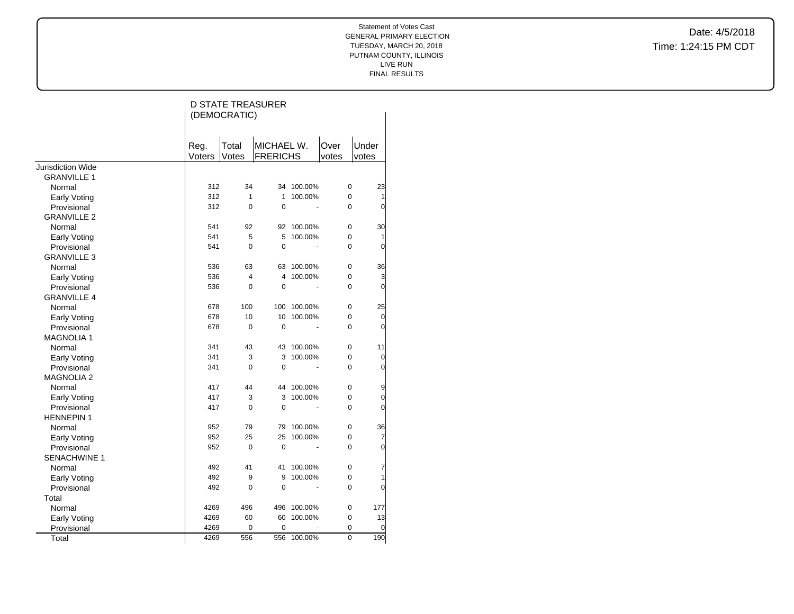|                     |                | (DEMOCRATIC)   | <b>D STATE TREASURER</b>      |         |               |                |
|---------------------|----------------|----------------|-------------------------------|---------|---------------|----------------|
|                     | Reg.<br>Voters | Total<br>Votes | MICHAEL W.<br><b>FRERICHS</b> |         | Over<br>votes | Under<br>votes |
| Jurisdiction Wide   |                |                |                               |         |               |                |
| <b>GRANVILLE 1</b>  |                |                |                               |         |               |                |
| Normal              | 312            | 34             | 34                            | 100.00% | 0             | 23             |
| Early Voting        | 312            | 1              | 1                             | 100.00% | 0             | 1              |
| Provisional         | 312            | $\mathbf 0$    | $\mathbf 0$                   |         | $\Omega$      | $\overline{0}$ |
| <b>GRANVILLE 2</b>  |                |                |                               |         |               |                |
| Normal              | 541            | 92             | 92                            | 100.00% | 0             | 30             |
| Early Voting        | 541            | 5              | 5                             | 100.00% | 0             | 1              |
| Provisional         | 541            | $\Omega$       | 0                             |         | $\Omega$      | 0              |
| <b>GRANVILLE 3</b>  |                |                |                               |         |               |                |
| Normal              | 536            | 63             | 63                            | 100.00% | 0             | 36             |
| Early Voting        | 536            | 4              | 4                             | 100.00% | 0             | 3              |
| Provisional         | 536            | 0              | 0                             |         | 0             | 0              |
| <b>GRANVILLE 4</b>  |                |                |                               |         |               |                |
| Normal              | 678            | 100            | 100                           | 100.00% | 0             | 25             |
| Early Voting        | 678            | 10             | 10                            | 100.00% | 0             | 0              |
| Provisional         | 678            | 0              | 0                             |         | $\Omega$      | $\overline{0}$ |
| <b>MAGNOLIA1</b>    |                |                |                               |         |               |                |
| Normal              | 341            | 43             | 43                            | 100.00% | 0             | 11             |
| Early Voting        | 341            | 3              | 3                             | 100.00% | 0             | $\mathbf 0$    |
| Provisional         | 341            | 0              | 0                             |         | 0             | 0              |
| <b>MAGNOLIA 2</b>   |                |                |                               |         |               |                |
| Normal              | 417            | 44             | 44                            | 100.00% | 0             | 9              |
| Early Voting        | 417            | 3              | 3                             | 100.00% | 0             | 0              |
| Provisional         | 417            | $\mathbf 0$    | 0                             |         | 0             | 0              |
| <b>HENNEPIN1</b>    |                |                |                               |         |               |                |
| Normal              | 952            | 79             | 79                            | 100.00% | 0             | 36             |
| Early Voting        | 952            | 25             | 25                            | 100.00% | 0             | $\overline{7}$ |
| Provisional         | 952            | $\mathbf 0$    | 0                             |         | 0             | 0              |
| <b>SENACHWINE 1</b> |                |                |                               |         |               |                |
| Normal              | 492            | 41             | 41                            | 100.00% | 0             | 7              |
| Early Voting        | 492            | 9              | 9                             | 100.00% | 0             | 1              |
| Provisional         | 492            | 0              | 0                             |         | 0             | 0              |
| Total               |                |                |                               |         |               |                |
| Normal              | 4269           | 496            | 496                           | 100.00% | 0             | 177            |
| Early Voting        | 4269           | 60             | 60                            | 100.00% | 0             | 13             |
| Provisional         | 4269           | 0              | 0                             |         | 0             | 0              |
| Total               | 4269           | 556            | 556                           | 100.00% | $\mathbf 0$   | 190            |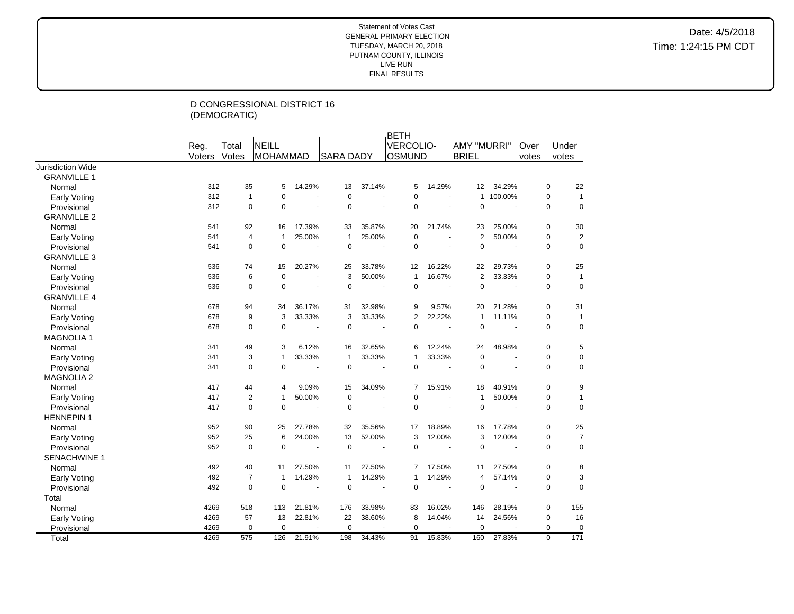|                                    |                | (DEMOCRATIC)   | D CONGRESSIONAL DISTRICT 16     |                          |                  |        |                                                  |                          |                             |                |               |             |                |
|------------------------------------|----------------|----------------|---------------------------------|--------------------------|------------------|--------|--------------------------------------------------|--------------------------|-----------------------------|----------------|---------------|-------------|----------------|
|                                    | Reg.<br>Voters | Total<br>Votes | <b>NEILL</b><br><b>MOHAMMAD</b> |                          | <b>SARA DADY</b> |        | <b>BETH</b><br><b>VERCOLIO-</b><br><b>OSMUND</b> |                          | AMY "MURRI"<br><b>BRIEL</b> |                | Over<br>votes | votes       | Under          |
| Jurisdiction Wide                  |                |                |                                 |                          |                  |        |                                                  |                          |                             |                |               |             |                |
| <b>GRANVILLE 1</b>                 |                |                |                                 |                          |                  |        |                                                  |                          |                             |                |               |             |                |
| Normal                             | 312            | 35             | 5                               | 14.29%                   | 13               | 37.14% | 5                                                | 14.29%                   | 12                          | 34.29%         |               | 0           | 22             |
| <b>Early Voting</b>                | 312            | $\mathbf{1}$   | $\mathbf 0$                     | $\ddot{\phantom{1}}$     | $\mathbf 0$      | ÷.     | 0                                                |                          | $\mathbf{1}$                | 100.00%        |               | $\mathbf 0$ |                |
| Provisional                        | 312            | $\mathbf 0$    | $\overline{0}$                  | ä,                       | $\mathbf 0$      |        | $\mathbf 0$                                      |                          | $\pmb{0}$                   |                |               | $\mathbf 0$ |                |
| <b>GRANVILLE 2</b>                 |                |                |                                 |                          |                  |        |                                                  |                          |                             |                |               |             |                |
| Normal                             | 541            | 92             | 16                              | 17.39%                   | 33               | 35.87% | 20                                               | 21.74%                   | 23                          | 25.00%         |               | $\mathbf 0$ | 30             |
| <b>Early Voting</b>                | 541            | 4              | $\mathbf{1}$                    | 25.00%                   | $\mathbf{1}$     | 25.00% | $\mathbf 0$                                      |                          | $\overline{2}$              | 50.00%         |               | $\pmb{0}$   | $\overline{2}$ |
| Provisional                        | 541            | 0              | $\Omega$                        | ä,                       | $\Omega$         |        | $\Omega$                                         |                          | $\mathbf 0$                 |                |               | $\mathbf 0$ | $\Omega$       |
| <b>GRANVILLE 3</b>                 |                |                |                                 |                          |                  |        |                                                  |                          |                             |                |               |             |                |
| Normal                             | 536            | 74             | 15                              | 20.27%                   | 25               | 33.78% | 12                                               | 16.22%                   | 22                          | 29.73%         |               | $\pmb{0}$   | 25             |
| <b>Early Voting</b>                | 536            | 6              | $\mathbf 0$                     | ÷.                       | 3                | 50.00% | $\mathbf{1}$                                     | 16.67%                   | 2                           | 33.33%         |               | 0           | 1              |
| Provisional                        | 536            | 0              | $\overline{0}$                  | $\overline{\phantom{a}}$ | $\mathbf 0$      | ÷.     | $\mathbf 0$                                      | $\overline{\phantom{a}}$ | $\pmb{0}$                   | ÷,             |               | 0           | $\Omega$       |
| <b>GRANVILLE 4</b>                 |                |                |                                 |                          |                  |        |                                                  |                          |                             |                |               |             |                |
| Normal                             | 678            | 94             | 34                              | 36.17%                   | 31               | 32.98% | 9                                                | 9.57%                    | 20                          | 21.28%         |               | 0           | 31             |
| <b>Early Voting</b>                | 678            | 9              | 3                               | 33.33%                   | 3                | 33.33% | $\overline{2}$                                   | 22.22%                   | $\mathbf{1}$                | 11.11%         |               | 0           |                |
| Provisional                        | 678            | $\mathbf 0$    | $\overline{0}$                  | ä,                       | $\mathbf 0$      |        | $\Omega$                                         |                          | $\mathbf 0$                 |                |               | $\mathbf 0$ |                |
| <b>MAGNOLIA1</b>                   |                |                |                                 |                          |                  |        |                                                  |                          |                             |                |               |             |                |
| Normal                             | 341            | 49             | 3                               | 6.12%                    | 16               | 32.65% | 6                                                | 12.24%                   | 24                          | 48.98%         |               | $\mathbf 0$ |                |
| <b>Early Voting</b>                | 341            | 3              | $\mathbf{1}$                    | 33.33%                   | $\mathbf{1}$     | 33.33% | $\mathbf{1}$                                     | 33.33%                   | $\pmb{0}$                   |                |               | $\pmb{0}$   | 0              |
| Provisional                        | 341            | $\mathbf 0$    | 0                               |                          | $\pmb{0}$        |        | $\pmb{0}$                                        |                          | $\mathbf 0$                 |                |               | $\pmb{0}$   |                |
| <b>MAGNOLIA 2</b>                  |                |                |                                 |                          |                  |        |                                                  |                          |                             |                |               |             |                |
| Normal                             | 417            | 44             | 4                               | 9.09%                    | 15               | 34.09% | $\overline{7}$                                   | 15.91%                   | 18                          | 40.91%         |               | 0           | 9              |
| Early Voting                       | 417            | $\overline{2}$ | $\mathbf{1}$                    | 50.00%                   | $\mathbf 0$      |        | $\mathbf 0$                                      |                          | $\mathbf{1}$                | 50.00%         |               | 0           |                |
| Provisional                        | 417            | $\mathbf 0$    | $\overline{0}$                  | ÷.                       | $\mathbf 0$      |        | $\mathbf 0$                                      |                          | $\pmb{0}$                   |                |               | 0           | $\Omega$       |
| <b>HENNEPIN1</b>                   |                |                |                                 |                          |                  |        |                                                  |                          |                             |                |               |             |                |
| Normal                             | 952            | 90             | 25                              | 27.78%                   | 32               | 35.56% | 17                                               | 18.89%                   | 16                          | 17.78%         |               | $\mathbf 0$ | 25             |
|                                    | 952            | 25             | 6                               | 24.00%                   | 13               | 52.00% | 3                                                | 12.00%                   | 3                           | 12.00%         |               | $\pmb{0}$   | $\overline{7}$ |
| <b>Early Voting</b><br>Provisional | 952            | $\mathbf 0$    | $\Omega$                        | L.                       | $\mathbf 0$      |        | $\Omega$                                         | $\overline{a}$           | $\mathbf 0$                 | $\overline{a}$ |               | $\mathbf 0$ | $\Omega$       |
| SENACHWINE 1                       |                |                |                                 |                          |                  |        |                                                  |                          |                             |                |               |             |                |
| Normal                             | 492            | 40             | 11                              | 27.50%                   | 11               | 27.50% | 7                                                | 17.50%                   | 11                          | 27.50%         |               | 0           | 8              |
|                                    | 492            | $\overline{7}$ | $\mathbf{1}$                    | 14.29%                   | $\mathbf{1}$     | 14.29% | 1                                                | 14.29%                   | 4                           | 57.14%         |               | 0           | 3              |
| <b>Early Voting</b>                | 492            | $\pmb{0}$      | 0                               | $\sim$                   | $\mathbf 0$      | $\sim$ | 0                                                | $\sim$                   | $\mathbf 0$                 |                |               | 0           | $\Omega$       |
| Provisional                        |                |                |                                 |                          |                  |        |                                                  |                          |                             |                |               |             |                |
| Total                              | 4269           | 518            | 113                             | 21.81%                   | 176              | 33.98% | 83                                               | 16.02%                   | 146                         | 28.19%         |               | $\pmb{0}$   | 155            |
| Normal                             | 4269           | 57             | 13                              | 22.81%                   | 22               | 38.60% | 8                                                | 14.04%                   | 14                          | 24.56%         |               | $\mathbf 0$ | 16             |
| <b>Early Voting</b>                | 4269           | 0              | $\mathbf 0$                     |                          | $\mathbf 0$      |        | $\mathbf 0$                                      |                          | $\mathbf 0$                 |                |               | $\mathbf 0$ | $\Omega$       |
| Provisional                        | 4269           | 575            | 126                             | 21.91%                   | 198              | 34.43% | 91                                               | 15.83%                   | 160                         | 27.83%         |               | $\mathbf 0$ | 171            |
| Total                              |                |                |                                 |                          |                  |        |                                                  |                          |                             |                |               |             |                |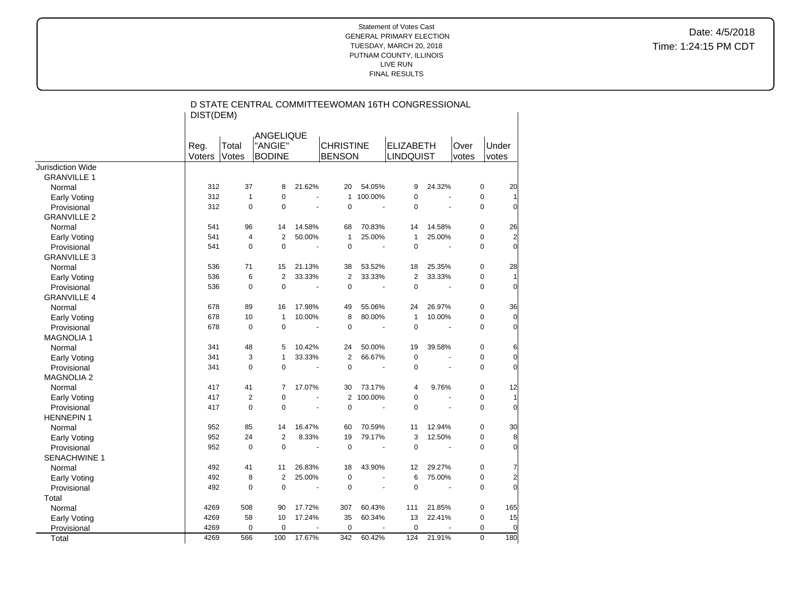|                          | DIST(DEM)      |                | D STATE CENTRAL COMMITTEEWOMAN 16TH CONGRESSIONAL |                |                                      |                |                                      |                       |               |             |                |
|--------------------------|----------------|----------------|---------------------------------------------------|----------------|--------------------------------------|----------------|--------------------------------------|-----------------------|---------------|-------------|----------------|
|                          | Reg.<br>Voters | Total<br>Votes | ANGELIQUE<br>"ANGIE"<br><b>BODINE</b>             |                | <b>CHRISTINE</b><br><b>BENSON</b>    |                | <b>ELIZABETH</b><br><b>LINDQUIST</b> |                       | Over<br>votes |             | Under<br>votes |
| <b>Jurisdiction Wide</b> |                |                |                                                   |                |                                      |                |                                      |                       |               |             |                |
| <b>GRANVILLE 1</b>       |                |                |                                                   |                |                                      |                |                                      |                       |               |             |                |
| Normal                   | 312            | 37             | 8                                                 | 21.62%         | 20                                   | 54.05%         | 9                                    | 24.32%                |               | $\pmb{0}$   | 20             |
| Early Voting             | 312            | $\mathbf{1}$   | $\mathbf 0$                                       |                | $\mathbf{1}$<br>$\overline{a}$       | 100.00%        | $\mathbf 0$                          |                       |               | $\pmb{0}$   |                |
| Provisional              | 312            | $\mathbf 0$    | $\mathbf 0$                                       | ÷.             | $\pmb{0}$                            | ÷,             | $\mathbf 0$                          |                       |               | $\mathbf 0$ | $\Omega$       |
| <b>GRANVILLE 2</b>       |                |                |                                                   |                |                                      |                |                                      |                       |               |             |                |
| Normal                   | 541            | 96             | 14                                                | 14.58%         | 68                                   | 70.83%         | 14                                   | 14.58%                |               | 0           | 26             |
| Early Voting             | 541            | 4              | $\overline{2}$                                    | 50.00%         | $\mathbf{1}$                         | 25.00%         | $\mathbf{1}$                         | 25.00%                |               | $\mathbf 0$ | $\overline{a}$ |
| Provisional              | 541            | 0              | $\pmb{0}$                                         | ÷,             | $\mathbf 0$                          | $\blacksquare$ | $\mathbf 0$                          | $\sim$                |               | $\mathbf 0$ | $\overline{0}$ |
| <b>GRANVILLE 3</b>       |                |                |                                                   |                |                                      |                |                                      |                       |               |             |                |
| Normal                   | 536            | 71             | 15                                                | 21.13%         | 38                                   | 53.52%         | 18                                   | 25.35%                |               | $\pmb{0}$   | 28             |
| Early Voting             | 536            | 6              | $\overline{2}$                                    | 33.33%         | $\overline{2}$                       | 33.33%         | $\overline{2}$                       | 33.33%                |               | $\pmb{0}$   | $\mathbf{1}$   |
| Provisional              | 536            | 0              | $\mathbf 0$                                       |                | $\mathbf 0$<br>÷.                    | ÷.             | $\Omega$                             | ÷.                    |               | $\mathbf 0$ | $\Omega$       |
| <b>GRANVILLE 4</b>       |                |                |                                                   |                |                                      |                |                                      |                       |               |             |                |
| Normal                   | 678            | 89             | 16                                                | 17.98%         | 49                                   | 55.06%         | 24                                   | 26.97%                |               | 0           | 36             |
| Early Voting             | 678            | 10             | $\mathbf{1}$                                      | 10.00%         | 8                                    | 80.00%         | $\mathbf{1}$                         | 10.00%                |               | 0           | $\overline{0}$ |
| Provisional              | 678            | $\mathbf 0$    | $\mathbf 0$                                       |                | $\mathbf 0$<br>$\tilde{\phantom{a}}$ | $\blacksquare$ | $\mathbf 0$                          | $\sim$                |               | $\mathbf 0$ | $\overline{0}$ |
| <b>MAGNOLIA 1</b>        |                |                |                                                   |                |                                      |                |                                      |                       |               |             |                |
| Normal                   | 341            | 48             | 5                                                 | 10.42%         | 24                                   | 50.00%         | 19                                   | 39.58%                |               | 0           | 6              |
| Early Voting             | 341            | 3              | $\mathbf{1}$                                      | 33.33%         | $\overline{2}$                       | 66.67%         | $\mathbf 0$                          |                       |               | $\pmb{0}$   | $\overline{0}$ |
| Provisional              | 341            | $\overline{0}$ | $\mathbf 0$                                       |                | $\pmb{0}$<br>$\tilde{\phantom{a}}$   |                | $\mathbf 0$                          |                       |               | $\mathbf 0$ | $\Omega$       |
| <b>MAGNOLIA 2</b>        |                |                |                                                   |                |                                      |                |                                      |                       |               |             |                |
| Normal                   | 417            | 41             | 7                                                 | 17.07%         | 30                                   | 73.17%         | $\overline{4}$                       | 9.76%                 |               | $\pmb{0}$   | 12             |
| Early Voting             | 417            | $\overline{2}$ | $\pmb{0}$                                         | ÷,             |                                      | 2 100.00%      | $\mathbf 0$                          |                       |               | $\mathbf 0$ |                |
| Provisional              | 417            | $\mathbf 0$    | $\pmb{0}$                                         |                | $\mathbf 0$                          | $\blacksquare$ | $\mathbf 0$                          |                       |               | $\pmb{0}$   | $\overline{0}$ |
| <b>HENNEPIN1</b>         |                |                |                                                   |                |                                      |                |                                      |                       |               |             |                |
| Normal                   | 952            | 85             | 14                                                | 16.47%         | 60                                   | 70.59%         | 11                                   | 12.94%                |               | $\pmb{0}$   | 30             |
| Early Voting             | 952            | 24             | $\boldsymbol{2}$                                  | 8.33%          | 19                                   | 79.17%         | 3                                    | 12.50%                |               | $\pmb{0}$   | 8              |
| Provisional              | 952            | $\mathbf 0$    | $\mathbf 0$                                       | $\blacksquare$ | $\mathbf 0$                          | $\blacksquare$ | $\mathbf 0$                          | ÷.                    |               | $\mathbf 0$ | $\Omega$       |
| <b>SENACHWINE 1</b>      |                |                |                                                   |                |                                      |                |                                      |                       |               |             |                |
| Normal                   | 492            | 41             | 11                                                | 26.83%         | 18                                   | 43.90%         | 12                                   | 29.27%                |               | 0           | 7              |
| <b>Early Voting</b>      | 492            | 8              | $\overline{2}$                                    | 25.00%         | $\pmb{0}$                            |                | 6                                    | 75.00%                |               | 0           | $\overline{a}$ |
| Provisional              | 492            | $\overline{0}$ | $\pmb{0}$                                         |                | $\mathbf 0$<br>$\tilde{\phantom{a}}$ | ÷,             | $\mathbf 0$                          | $\tilde{\phantom{a}}$ |               | $\mathbf 0$ | $\Omega$       |
| Total                    |                |                |                                                   |                |                                      |                |                                      |                       |               |             |                |
| Normal                   | 4269           | 508            | 90                                                | 17.72%         | 307                                  | 60.43%         | 111                                  | 21.85%                |               | $\pmb{0}$   | 165            |
| Early Voting             | 4269           | 58             | 10                                                | 17.24%         | 35                                   | 60.34%         | 13                                   | 22.41%                |               | $\pmb{0}$   | 15             |
| Provisional              | 4269           | 0              | $\pmb{0}$                                         |                | $\mathbf 0$                          |                | $\mathbf 0$                          |                       |               | $\mathbf 0$ | $\overline{0}$ |
| Total                    | 4269           | 566            | 100                                               | 17.67%         | 342                                  | 60.42%         | 124                                  | 21.91%                |               | $\mathbf 0$ | 180            |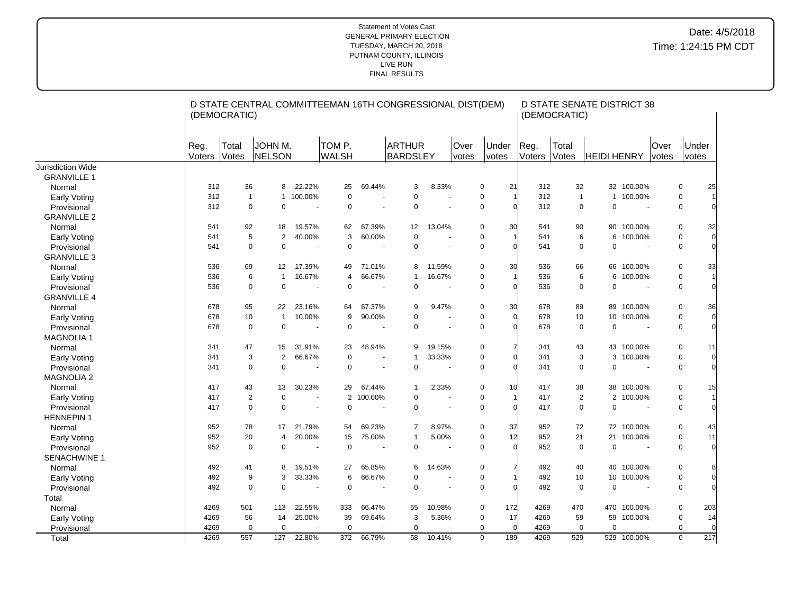|                     |                | (DEMOCRATIC)   | D STATE CENTRAL COMMITTEEMAN 16TH CONGRESSIONAL DIST(DEM) |                          |                        |         |                                  |                          |               |                               |                | (DEMOCRATIC)   | <b>D STATE SENATE DISTRICT 38</b> |             |                |             |                |
|---------------------|----------------|----------------|-----------------------------------------------------------|--------------------------|------------------------|---------|----------------------------------|--------------------------|---------------|-------------------------------|----------------|----------------|-----------------------------------|-------------|----------------|-------------|----------------|
|                     | Reg.<br>Voters | Total<br>Votes | JOHN M.<br>NELSON                                         |                          | TOM P.<br><b>WALSH</b> |         | <b>ARTHUR</b><br><b>BARDSLEY</b> |                          | Over<br>votes | Under<br>votes                | Reg.<br>Voters | Total<br>Votes | <b>HEIDI HENRY</b>                |             | Over<br>votes  |             | Under<br>votes |
| Jurisdiction Wide   |                |                |                                                           |                          |                        |         |                                  |                          |               |                               |                |                |                                   |             |                |             |                |
| <b>GRANVILLE 1</b>  |                |                |                                                           |                          |                        |         |                                  |                          |               |                               |                |                |                                   |             |                |             |                |
| Normal              | 312            | 36             | 8                                                         | 22.22%                   | 25                     | 69.44%  | 3                                | 8.33%                    |               | 21<br>$\mathbf 0$             | 312            | 32             |                                   | 32 100.00%  |                | $\mathbf 0$ | 25             |
| <b>Early Voting</b> | 312            | $\mathbf{1}$   |                                                           | 1 100.00%                | 0                      | ÷.      | 0                                |                          |               | $\mathbf 0$<br>$\overline{1}$ | 312            | $\overline{1}$ |                                   | 1 100.00%   |                | $\mathbf 0$ |                |
| Provisional         | 312            | $\mathbf 0$    | $\mathbf 0$                                               | $\sim$                   | 0                      |         | $\mathbf 0$                      | ä,                       |               | $\mathbf 0$<br>$\Omega$       | 312            |                | $\mathbf 0$<br>$\Omega$           |             | $\blacksquare$ | 0           | $\Omega$       |
| <b>GRANVILLE 2</b>  |                |                |                                                           |                          |                        |         |                                  |                          |               |                               |                |                |                                   |             |                |             |                |
| Normal              | 541            | 92             | 18                                                        | 19.57%                   | 62                     | 67.39%  | 12                               | 13.04%                   |               | $\mathbf 0$<br>30             | 541            | 90             |                                   | 90 100.00%  |                | $\mathbf 0$ | 32             |
| <b>Early Voting</b> | 541            | 5              | $\overline{2}$                                            | 40.00%                   | 3                      | 60.00%  | $\mathbf 0$                      | ÷.                       |               | $\mathbf 0$<br>1              | 541            |                | 6                                 | 6 100.00%   |                | $\mathbf 0$ | $\Omega$       |
| Provisional         | 541            | $\mathbf 0$    | $\mathbf 0$                                               |                          | 0                      |         | 0                                |                          |               | $\mathbf 0$<br>$\epsilon$     | 541            |                | $\mathbf 0$<br>0                  |             |                | 0           | $\Omega$       |
| <b>GRANVILLE 3</b>  |                |                |                                                           |                          |                        |         |                                  |                          |               |                               |                |                |                                   |             |                |             |                |
| Normal              | 536            | 69             | $12 \overline{ }$                                         | 17.39%                   | 49                     | 71.01%  | 8                                | 11.59%                   |               | $\mathbf 0$<br>30             | 536            | 66             |                                   | 66 100.00%  |                | $\mathbf 0$ | 33             |
| <b>Early Voting</b> | 536            | 6              | $\mathbf{1}$                                              | 16.67%                   | 4                      | 66.67%  | $\mathbf{1}$                     | 16.67%                   |               | $\mathbf 0$<br>1              | 536            |                | 6<br>6                            | 100.00%     |                | $\mathbf 0$ |                |
| Provisional         | 536            | $\mathbf 0$    | $\mathbf 0$                                               |                          | $\pmb{0}$              |         | $\mathbf 0$                      |                          |               | $\mathbf 0$<br>$\Omega$       | 536            |                | 0<br>$\Omega$                     |             |                | 0           | $\Omega$       |
| <b>GRANVILLE 4</b>  |                |                |                                                           |                          |                        |         |                                  |                          |               |                               |                |                |                                   |             |                |             |                |
| Normal              | 678            | 95             | 22                                                        | 23.16%                   | 64                     | 67.37%  | 9                                | 9.47%                    |               | $\mathbf 0$<br>30             | 678            | 89             |                                   | 89 100.00%  |                | $\mathbf 0$ | 36             |
| <b>Early Voting</b> | 678            | 10             | $\mathbf{1}$                                              | 10.00%                   | 9                      | 90.00%  | 0                                |                          |               | $\Omega$<br>$\mathbf 0$       | 678            | 10             | 10 <sup>1</sup>                   | 100.00%     |                | 0           | $\Omega$       |
| Provisional         | 678            | $\mathbf 0$    | $\mathbf 0$                                               |                          | $\mathbf 0$            |         | $\mathbf 0$                      | $\blacksquare$           |               | $\mathbf 0$<br>$\mathcal{C}$  | 678            |                | $\mathbf 0$<br>$\Omega$           |             |                | 0           |                |
| <b>MAGNOLIA1</b>    |                |                |                                                           |                          |                        |         |                                  |                          |               |                               |                |                |                                   |             |                |             |                |
| Normal              | 341            | 47             | 15                                                        | 31.91%                   | 23                     | 48.94%  | 9                                | 19.15%                   |               | $\mathbf 0$                   | 341            | 43             |                                   | 43 100.00%  |                | 0           | 11             |
| <b>Early Voting</b> | 341            | 3              | $\overline{2}$                                            | 66.67%                   | $\mathbf 0$            |         | 1                                | 33.33%                   |               | $\pmb{0}$<br>$\Omega$         | 341            |                | 3                                 | 3 100.00%   |                | 0           | <sub>0</sub>   |
| Provisional         | 341            | $\mathbf 0$    | $\mathbf 0$                                               |                          | $\mathbf 0$            | ÷,      | $\mathbf 0$                      | $\blacksquare$           |               | $\mathbf 0$<br>$\sqrt{ }$     | 341            |                | 0<br>$\mathbf 0$                  |             |                | $\mathbf 0$ | $\Omega$       |
| <b>MAGNOLIA 2</b>   |                |                |                                                           |                          |                        |         |                                  |                          |               |                               |                |                |                                   |             |                |             |                |
| Normal              | 417            | 43             | 13                                                        | 30.23%                   | 29                     | 67.44%  | $\mathbf{1}$                     | 2.33%                    |               | $\mathbf 0$<br>10             | 417            | 38             |                                   | 38 100.00%  |                | $\mathbf 0$ | 15             |
| <b>Early Voting</b> | 417            | $\overline{2}$ | $\mathbf 0$                                               | ÷,                       | $\overline{2}$         | 100.00% | $\mathbf 0$                      | $\sim$                   |               | $\mathbf 0$<br>1              | 417            |                | 2                                 | 2 100.00%   |                | $\mathbf 0$ |                |
| Provisional         | 417            | $\mathbf 0$    | $\mathbf 0$                                               |                          | 0                      |         | $\mathbf 0$                      |                          |               | $\mathbf 0$<br>$\epsilon$     | 417            |                | $\mathbf 0$<br>0                  |             |                | 0           |                |
| <b>HENNEPIN1</b>    |                |                |                                                           |                          |                        |         |                                  |                          |               |                               |                |                |                                   |             |                |             |                |
| Normal              | 952            | 78             | 17                                                        | 21.79%                   | 54                     | 69.23%  | $\overline{7}$                   | 8.97%                    |               | $\mathbf 0$<br>37             | 952            | 72             |                                   | 72 100.00%  |                | $\mathbf 0$ | 43             |
| <b>Early Voting</b> | 952            | 20             | $\overline{4}$                                            | 20.00%                   | 15                     | 75.00%  | $\mathbf{1}$                     | 5.00%                    |               | 12<br>$\mathbf 0$             | 952            | 21             |                                   | 21 100.00%  |                | $\mathbf 0$ | 11             |
| Provisional         | 952            | $\mathbf 0$    | $\mathbf 0$                                               | $\overline{a}$           | $\mathbf 0$            | ÷,      | $\mathbf 0$                      | $\ddot{\phantom{1}}$     |               | $\Omega$<br>$\mathbf 0$       | 952            |                | $\mathbf 0$<br>$\mathbf 0$        |             | $\blacksquare$ | $\mathbf 0$ | $\Omega$       |
| SENACHWINE 1        |                |                |                                                           |                          |                        |         |                                  |                          |               |                               |                |                |                                   |             |                |             |                |
| Normal              | 492            | 41             | 8                                                         | 19.51%                   | 27                     | 65.85%  | 6                                | 14.63%                   |               | $\mathbf 0$                   | 492            | 40             |                                   | 40 100.00%  |                | $\mathbf 0$ | 8              |
| <b>Early Voting</b> | 492            | 9              | 3                                                         | 33.33%                   | 6                      | 66.67%  | 0                                |                          |               | $\pmb{0}$                     | 492            | 10             | 10 <sup>°</sup>                   | 100.00%     |                | 0           | $\Omega$       |
| Provisional         | 492            | $\mathbf 0$    | $\pmb{0}$                                                 | $\overline{\phantom{a}}$ | 0                      | ÷       | $\mathbf 0$                      | $\overline{\phantom{a}}$ |               | $\mathbf 0$<br>$\sqrt{ }$     | 492            |                | $\mathbf 0$<br>$\mathbf 0$        |             |                | 0           |                |
| Total               |                |                |                                                           |                          |                        |         |                                  |                          |               |                               |                |                |                                   |             |                |             |                |
| Normal              | 4269           | 501            | 113                                                       | 22.55%                   | 333                    | 66.47%  | 55                               | 10.98%                   |               | $\mathbf 0$<br>172            | 4269           | 470            |                                   | 470 100.00% |                | 0           | 203            |
| <b>Early Voting</b> | 4269           | 56             | 14                                                        | 25.00%                   | 39                     | 69.64%  | 3                                | 5.36%                    |               | $\mathbf 0$<br>17             | 4269           | 59             |                                   | 59 100.00%  |                | 0           | 14             |
| Provisional         | 4269           | $\mathbf 0$    | $\mathbf 0$                                               |                          | $\mathbf 0$            |         | $\mathbf 0$                      |                          |               | $\mathbf 0$<br>$\overline{0}$ | 4269           |                | $\mathbf 0$<br>$\mathbf 0$        |             |                | $\mathbf 0$ | 0              |
| Total               | 4269           | 557            | 127                                                       | 22.80%                   | 372                    | 66.79%  | 58                               | 10.41%                   |               | 189<br>$\mathbf 0$            | 4269           | 529            |                                   | 529 100.00% |                | $\mathbf 0$ | 217            |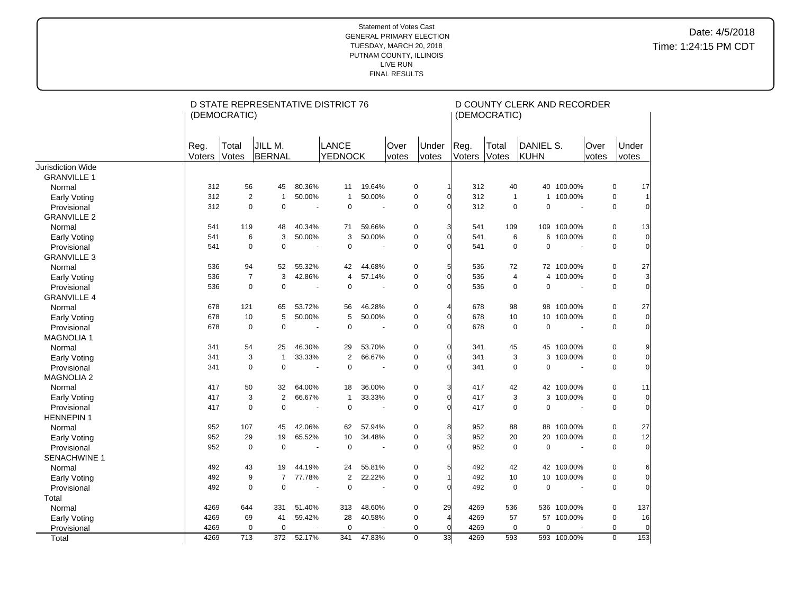|                     |                | (DEMOCRATIC)   | D STATE REPRESENTATIVE DISTRICT 76 |                       |                                |                          |               |                   |                  | (DEMOCRATIC)   | D COUNTY CLERK AND RECORDER |                          |                      |                |                |
|---------------------|----------------|----------------|------------------------------------|-----------------------|--------------------------------|--------------------------|---------------|-------------------|------------------|----------------|-----------------------------|--------------------------|----------------------|----------------|----------------|
|                     | Reg.<br>Voters | Total<br>Votes | JILL M.<br>BERNAL                  |                       | <b>LANCE</b><br><b>YEDNOCK</b> |                          | Over<br>votes | Under<br>votes    | Reg.<br>Voters   | Total<br>Votes | DANIEL S.<br>KUHN           |                          | <b>Over</b><br>votes | Under<br>votes |                |
| Jurisdiction Wide   |                |                |                                    |                       |                                |                          |               |                   |                  |                |                             |                          |                      |                |                |
| <b>GRANVILLE 1</b>  |                |                |                                    |                       |                                |                          |               |                   |                  |                |                             |                          |                      |                |                |
| Normal              | 312            | 56             | 45                                 | 80.36%                | 11                             | 19.64%                   |               | 0                 | 312              | 40             | 40                          | 100.00%                  |                      | 0              | 17             |
| <b>Early Voting</b> | 312            | $\overline{2}$ | $\mathbf{1}$                       | 50.00%                | 1                              | 50.00%                   |               | $\mathbf 0$       | 312<br>ſ         | $\overline{1}$ | $\mathbf{1}$                | 100.00%                  |                      | $\mathbf 0$    |                |
| Provisional         | 312            | $\mathbf 0$    | $\Omega$                           | $\tilde{\phantom{a}}$ | $\Omega$                       | $\overline{\phantom{a}}$ |               | $\mathbf 0$       | 312<br>U         | $\mathbf 0$    | $\Omega$                    | $\sim$                   |                      | $\mathbf 0$    |                |
| <b>GRANVILLE 2</b>  |                |                |                                    |                       |                                |                          |               |                   |                  |                |                             |                          |                      |                |                |
| Normal              | 541            | 119            | 48                                 | 40.34%                | 71                             | 59.66%                   |               | 0                 | 3<br>541         | 109            | 109                         | 100.00%                  |                      | 0              | 13             |
| <b>Early Voting</b> | 541            | 6              | 3                                  | 50.00%                | 3                              | 50.00%                   |               | 0                 | 541<br>O         | 6              | 6                           | 100.00%                  |                      | $\mathbf 0$    | $\overline{0}$ |
| Provisional         | 541            | 0              | 0                                  | $\blacksquare$        | $\mathbf 0$                    | $\overline{\phantom{a}}$ |               | $\Omega$          | 541<br>U         | $\Omega$       | $\mathbf 0$                 | $\sim$                   |                      | $\Omega$       | $\Omega$       |
| <b>GRANVILLE 3</b>  |                |                |                                    |                       |                                |                          |               |                   |                  |                |                             |                          |                      |                |                |
| Normal              | 536            | 94             | 52                                 | 55.32%                | 42                             | 44.68%                   |               | $\mathbf 0$       | 5<br>536         | 72             |                             | 72 100.00%               |                      | $\mathbf 0$    | 27             |
| <b>Early Voting</b> | 536            | $\overline{7}$ | 3                                  | 42.86%                | $\overline{4}$                 | 57.14%                   |               | $\mathbf 0$       | 536<br>$\Omega$  | 4              | $\overline{4}$              | 100.00%                  |                      | $\mathbf 0$    | $\overline{3}$ |
| Provisional         | 536            | $\mathbf 0$    | $\mathbf 0$                        | $\overline{a}$        | $\mathbf 0$                    | $\overline{\phantom{a}}$ |               | $\mathbf 0$       | 536<br>O         | 0              | $\mathbf 0$                 |                          |                      | $\mathbf 0$    | $\Omega$       |
| <b>GRANVILLE 4</b>  |                |                |                                    |                       |                                |                          |               |                   |                  |                |                             |                          |                      |                |                |
| Normal              | 678            | 121            | 65                                 | 53.72%                | 56                             | 46.28%                   |               | $\mathbf 0$       | 678<br>4         | 98             | 98                          | 100.00%                  |                      | $\mathbf 0$    | 27             |
| <b>Early Voting</b> | 678            | 10             | 5                                  | 50.00%                | 5                              | 50.00%                   |               | $\mathbf 0$       | 678<br>0         | 10             | 10                          | 100.00%                  |                      | $\mathbf 0$    | $\Omega$       |
| Provisional         | 678            | $\mathbf 0$    | $\mathbf 0$                        | $\tilde{\phantom{a}}$ | $\mathbf 0$                    | $\overline{\phantom{a}}$ |               | $\mathbf 0$       | 678<br>O         | $\mathbf 0$    | $\mathbf 0$                 | $\overline{\phantom{a}}$ |                      | $\mathbf 0$    |                |
| <b>MAGNOLIA1</b>    |                |                |                                    |                       |                                |                          |               |                   |                  |                |                             |                          |                      |                |                |
| Normal              | 341            | 54             | 25                                 | 46.30%                | 29                             | 53.70%                   |               | $\mathbf 0$       | $\Omega$<br>341  | 45             | 45                          | 100.00%                  |                      | $\mathbf 0$    |                |
| <b>Early Voting</b> | 341            | 3              | $\overline{1}$                     | 33.33%                | $\overline{2}$                 | 66.67%                   |               | $\mathbf 0$       | 341<br>O         | 3              | 3                           | 100.00%                  |                      | $\mathbf 0$    |                |
| Provisional         | 341            | $\mathbf 0$    | $\mathbf 0$                        | $\sim$                | $\mathbf 0$                    | $\overline{\phantom{a}}$ |               | $\mathbf 0$       | 341              | 0              | $\mathbf 0$                 | $\sim$                   |                      | $\mathbf 0$    |                |
| <b>MAGNOLIA 2</b>   |                |                |                                    |                       |                                |                          |               |                   |                  |                |                             |                          |                      |                |                |
| Normal              | 417            | 50             | 32                                 | 64.00%                | 18                             | 36.00%                   |               | 0                 | 417              | 42             |                             | 42 100.00%               |                      | 0              | 11             |
| Early Voting        | 417            | 3              | $\overline{2}$                     | 66.67%                | $\overline{1}$                 | 33.33%                   |               | $\mathbf 0$       | 417<br>$\Omega$  | 3              |                             | 3 100.00%                |                      | $\mathbf 0$    | $\Omega$       |
| Provisional         | 417            | $\mathbf 0$    | $\mathbf 0$                        | ÷,                    | $\mathbf 0$                    |                          |               | $\Omega$          | 417<br>O         | $\mathbf 0$    | $\mathbf 0$                 |                          |                      | $\mathbf 0$    | $\Omega$       |
| <b>HENNEPIN 1</b>   |                |                |                                    |                       |                                |                          |               |                   |                  |                |                             |                          |                      |                |                |
| Normal              | 952            | 107            | 45                                 | 42.06%                | 62                             | 57.94%                   |               | 0                 | 8<br>952         | 88             | 88                          | 100.00%                  |                      | 0              | 27             |
| Early Voting        | 952            | 29             | 19                                 | 65.52%                | 10                             | 34.48%                   |               | 0                 | 952<br>3         | 20             | 20                          | 100.00%                  |                      | 0              | 12             |
| Provisional         | 952            | $\mathbf 0$    | $\Omega$                           | ÷,                    | $\Omega$                       | $\overline{\phantom{a}}$ |               | $\Omega$          | 952<br>$\Omega$  | $\Omega$       | $\Omega$                    | $\sim$                   |                      | $\Omega$       | $\Omega$       |
| <b>SENACHWINE 1</b> |                |                |                                    |                       |                                |                          |               |                   |                  |                |                             |                          |                      |                |                |
| Normal              | 492            | 43             | 19                                 | 44.19%                | 24                             | 55.81%                   |               | 0                 | 492<br>5         | 42             | 42                          | 100.00%                  |                      | 0              |                |
| <b>Early Voting</b> | 492            | 9              | $\overline{7}$                     | 77.78%                | $\overline{2}$                 | 22.22%                   |               | 0                 | 492              | 10             | 10                          | 100.00%                  |                      | $\mathbf 0$    | $\Omega$       |
| Provisional         | 492            | $\mathbf 0$    | $\mathbf 0$                        | $\blacksquare$        | $\mathbf 0$                    | $\overline{\phantom{a}}$ |               | $\mathbf 0$       | 492<br>O         | $\mathbf 0$    | $\mathbf 0$                 |                          |                      | $\mathbf 0$    | $\Omega$       |
| Total               |                |                |                                    |                       |                                |                          |               |                   |                  |                |                             |                          |                      |                |                |
| Normal              | 4269           | 644            | 331                                | 51.40%                | 313                            | 48.60%                   |               | 29<br>0           | 4269             | 536            | 536                         | 100.00%                  |                      | 0              | 137            |
| <b>Early Voting</b> | 4269           | 69             | 41                                 | 59.42%                | 28                             | 40.58%                   |               | 0<br>4            | 4269             | 57             |                             | 57 100.00%               |                      | $\mathbf 0$    | 16             |
| Provisional         | 4269           | $\mathbf 0$    | $\mathbf 0$                        |                       | $\mathbf 0$                    |                          |               | $\mathbf 0$       | 4269<br>$\Omega$ | $\mathbf 0$    | $\mathbf 0$                 |                          |                      | $\mathbf 0$    | $\Omega$       |
| Total               | 4269           | 713            | 372                                | 52.17%                | 341                            | 47.83%                   |               | 33<br>$\mathbf 0$ | 4269             | 593            |                             | 593 100.00%              |                      | $\mathbf 0$    | 153            |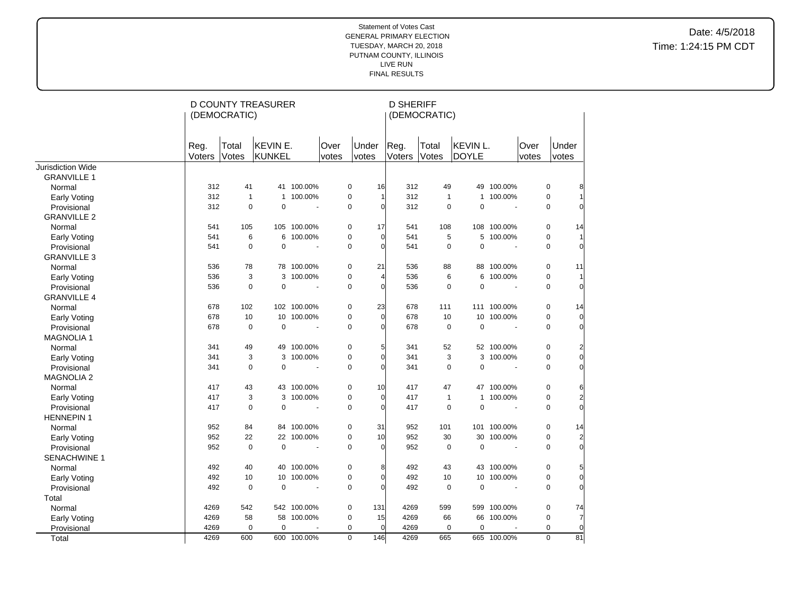|                     |                | (DEMOCRATIC)   | <b>D COUNTY TREASURER</b> |                          |               |                    | <b>D SHERIFF</b>      | (DEMOCRATIC)   |                          |                          |               |                |                |
|---------------------|----------------|----------------|---------------------------|--------------------------|---------------|--------------------|-----------------------|----------------|--------------------------|--------------------------|---------------|----------------|----------------|
|                     | Reg.<br>Voters | Total<br>Votes | KEVIN E.<br>KUNKEL        |                          | Over<br>votes | Under<br>votes     | Reg.<br>Voters        | Total<br>Votes | KEVIN L.<br><b>DOYLE</b> |                          | Over<br>votes | Under<br>votes |                |
| Jurisdiction Wide   |                |                |                           |                          |               |                    |                       |                |                          |                          |               |                |                |
| <b>GRANVILLE 1</b>  |                |                |                           |                          |               |                    |                       |                |                          |                          |               |                |                |
| Normal              | 312            | 41             |                           | 41 100.00%               |               | 0                  | 16<br>312             | 49             |                          | 49 100.00%               |               | $\pmb{0}$      | 8              |
| <b>Early Voting</b> | 312            | $\mathbf{1}$   | $\mathbf{1}$              | 100.00%                  |               | 0                  | 312<br>1              | $\mathbf{1}$   | $\mathbf{1}$             | 100.00%                  |               | $\mathbf 0$    |                |
| Provisional         | 312            | $\mathbf 0$    | $\mathbf 0$               | ÷,                       |               | $\mathbf 0$        | 312<br>$\Omega$       | $\Omega$       | $\mathbf 0$              | $\sim$                   |               | $\mathbf 0$    | $\Omega$       |
| <b>GRANVILLE 2</b>  |                |                |                           |                          |               |                    |                       |                |                          |                          |               |                |                |
| Normal              | 541            | 105            |                           | 105 100.00%              |               | 17<br>0            | 541                   | 108            |                          | 108 100.00%              |               | 0              | 14             |
| Early Voting        | 541            | 6              |                           | 6 100.00%                |               | 0                  | $\Omega$<br>541       | 5              |                          | 5 100.00%                |               | $\mathbf 0$    | 1              |
| Provisional         | 541            | $\mathbf 0$    | $\mathbf 0$               | ÷,                       |               | 0                  | 541<br>$\Omega$       | $\mathbf 0$    | $\pmb{0}$                | ÷.                       |               | $\mathbf 0$    | $\overline{0}$ |
| <b>GRANVILLE 3</b>  |                |                |                           |                          |               |                    |                       |                |                          |                          |               |                |                |
| Normal              | 536            | 78             |                           | 78 100.00%               |               | 0<br>21            | 536                   | 88             |                          | 88 100.00%               |               | $\mathbf 0$    | 11             |
| <b>Early Voting</b> | 536            | 3              | 3                         | 100.00%                  |               | 0                  | 536<br>4              | 6              | 6                        | 100.00%                  |               | $\mathbf 0$    | $\vert$        |
| Provisional         | 536            | 0              | $\mathbf 0$               |                          |               | 0                  | $\mathbf 0$<br>536    | $\mathbf 0$    | $\mathbf 0$              |                          |               | $\mathbf 0$    | $\overline{0}$ |
| <b>GRANVILLE 4</b>  |                |                |                           |                          |               |                    |                       |                |                          |                          |               |                |                |
| Normal              | 678            | 102            |                           | 102 100.00%              |               | 0<br>23            | 678                   | 111            |                          | 111 100.00%              |               | $\mathbf 0$    | 14             |
| Early Voting        | 678            | 10             |                           | 10 100.00%               |               | 0                  | $\overline{0}$<br>678 | 10             | 10                       | 100.00%                  |               | $\mathbf 0$    | $\overline{0}$ |
| Provisional         | 678            | $\pmb{0}$      | $\mathbf 0$               | ÷,                       |               | 0                  | 678<br>0              | $\mathbf 0$    | $\mathbf 0$              | $\blacksquare$           |               | $\mathbf 0$    | $\overline{0}$ |
| <b>MAGNOLIA1</b>    |                |                |                           |                          |               |                    |                       |                |                          |                          |               |                |                |
| Normal              | 341            | 49             |                           | 49 100.00%               |               | 0                  | 5<br>341              | 52             |                          | 52 100.00%               |               | 0              | 2              |
| <b>Early Voting</b> | 341            | 3              | 3                         | 100.00%                  |               | 0                  | $\Omega$<br>341       | 3              |                          | 3 100.00%                |               | $\mathbf 0$    | $\overline{0}$ |
| Provisional         | 341            | $\mathbf 0$    | $\mathbf 0$               | ÷,                       |               | 0                  | 341<br>$\Omega$       | $\mathbf 0$    | $\pmb{0}$                | $\blacksquare$           |               | $\mathbf 0$    | $\overline{0}$ |
| <b>MAGNOLIA 2</b>   |                |                |                           |                          |               |                    |                       |                |                          |                          |               |                |                |
| Normal              | 417            | 43             |                           | 43 100.00%               |               | 0                  | 10<br>417             | 47             |                          | 47 100.00%               |               | 0              | 6              |
| <b>Early Voting</b> | 417            | 3              | 3                         | 100.00%                  |               | 0                  | $\mathbf 0$<br>417    | $\mathbf{1}$   | $\mathbf{1}$             | 100.00%                  |               | $\mathbf 0$    | $\overline{c}$ |
| Provisional         | 417            | $\mathbf 0$    | $\mathbf 0$               | ä,                       |               | 0                  | 417<br>$\Omega$       | $\mathbf 0$    | $\mathbf 0$              | $\overline{a}$           |               | $\mathbf 0$    | $\overline{0}$ |
| <b>HENNEPIN1</b>    |                |                |                           |                          |               |                    |                       |                |                          |                          |               |                |                |
| Normal              | 952            | 84             |                           | 84 100.00%               |               | 0<br>31            | 952                   | 101            |                          | 101 100.00%              |               | 0              | 14             |
| <b>Early Voting</b> | 952            | 22             | 22                        | 100.00%                  |               | 10<br>0            | 952                   | 30             | 30                       | 100.00%                  |               | 0              | $\overline{2}$ |
| Provisional         | 952            | $\mathbf 0$    | $\mathbf 0$               | $\overline{\phantom{a}}$ |               | 0                  | 952<br>$\Omega$       | $\mathbf 0$    | $\mathbf 0$              | $\overline{\phantom{a}}$ |               | $\mathbf 0$    | $\Omega$       |
| SENACHWINE 1        |                |                |                           |                          |               |                    |                       |                |                          |                          |               |                |                |
| Normal              | 492            | 40             |                           | 40 100.00%               |               | 0                  | 8<br>492              | 43             |                          | 43 100.00%               |               | $\pmb{0}$      | 5              |
| Early Voting        | 492            | 10             | 10 <sup>1</sup>           | 100.00%                  |               | 0                  | 492<br>$\Omega$       | 10             |                          | 10 100.00%               |               | 0              | $\overline{0}$ |
| Provisional         | 492            | $\mathbf 0$    | $\mathbf 0$               | ÷,                       |               | 0                  | 492<br>$\Omega$       | $\mathbf 0$    | $\pmb{0}$                | $\sim$                   |               | $\mathbf 0$    | $\overline{0}$ |
| Total               |                |                |                           |                          |               |                    |                       |                |                          |                          |               |                |                |
| Normal              | 4269           | 542            |                           | 542 100.00%              |               | 0<br>131           | 4269                  | 599            |                          | 599 100.00%              |               | 0              | 74             |
| <b>Early Voting</b> | 4269           | 58             |                           | 58 100.00%               |               | 0<br>15            | 4269                  | 66             | 66                       | 100.00%                  |               | $\mathbf 0$    | 7              |
| Provisional         | 4269           | 0              | $\mathbf 0$               |                          |               | $\mathbf 0$        | 4269<br>$\Omega$      | 0              | $\mathbf 0$              |                          |               | $\mathbf 0$    | $\overline{0}$ |
| Total               | 4269           | 600            |                           | 600 100.00%              |               | $\mathbf 0$<br>146 | 4269                  | 665            |                          | 665 100.00%              |               | $\mathbf 0$    | 81             |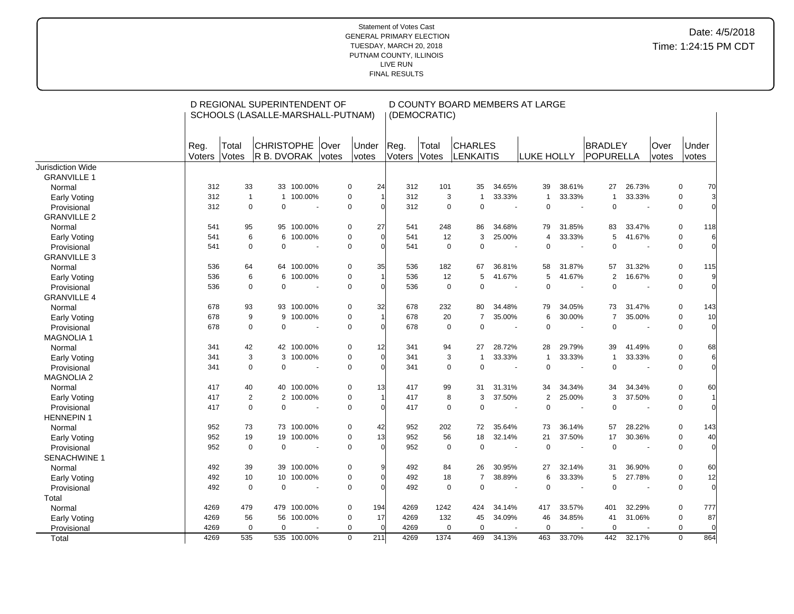|                             |                |                | D REGIONAL SUPERINTENDENT OF<br>SCHOOLS (LASALLE-MARSHALL-PUTNAM) |                   |               |                               |                | (DEMOCRATIC)   | D COUNTY BOARD MEMBERS AT LARGE    |                          |                |        |                      |                |               |                |                |
|-----------------------------|----------------|----------------|-------------------------------------------------------------------|-------------------|---------------|-------------------------------|----------------|----------------|------------------------------------|--------------------------|----------------|--------|----------------------|----------------|---------------|----------------|----------------|
|                             | Reg.<br>Voters | Total<br>Votes | <b>CHRISTOPHE</b><br>R B. DVORAK                                  |                   | Over<br>votes | <b>Under</b><br>votes         | Reg.<br>Voters | Total<br>Votes | <b>CHARLES</b><br><b>LENKAITIS</b> |                          | LUKE HOLLY     |        | BRADLEY<br>POPURELLA |                | Over<br>votes | Under<br>votes |                |
| <b>Jurisdiction Wide</b>    |                |                |                                                                   |                   |               |                               |                |                |                                    |                          |                |        |                      |                |               |                |                |
| <b>GRANVILLE 1</b>          |                |                |                                                                   |                   |               |                               |                |                |                                    |                          |                |        |                      |                |               |                |                |
| Normal                      | 312            | 33             |                                                                   | 33 100.00%        |               | $\mathbf 0$<br>24             | 312            | 101            | 35                                 | 34.65%                   | 39             | 38.61% | 27                   | 26.73%         |               | 0              | 70             |
| <b>Early Voting</b>         | 312            |                | $\mathbf{1}$<br>$\mathbf{1}$                                      | 100.00%           |               | $\mathbf 0$                   | 312            |                | 3<br>$\mathbf{1}$                  | 33.33%                   | $\overline{1}$ | 33.33% | $\mathbf{1}$         | 33.33%         |               | 0              | 3              |
| Provisional                 | 312            |                | $\Omega$<br>$\Omega$                                              | $\sim$            |               | $\mathbf 0$<br>$\Omega$       | 312            |                | $\mathbf 0$<br>$\mathbf 0$         | $\sim$                   | $\Omega$       |        | $\Omega$             | $\sim$         |               | 0              | $\Omega$       |
| <b>GRANVILLE 2</b>          |                |                |                                                                   |                   |               |                               |                |                |                                    |                          |                |        |                      |                |               |                |                |
| Normal                      | 541            | 95             |                                                                   | 95 100.00%        |               | $\mathbf 0$<br>27             | 541            | 248            | 86                                 | 34.68%                   | 79             | 31.85% | 83                   | 33.47%         |               | 0              | 118            |
| <b>Early Voting</b>         | 541            |                | 6<br>6                                                            | 100.00%           |               | $\mathbf 0$<br>$\Omega$       | 541            | 12             | 3                                  | 25.00%                   | $\overline{4}$ | 33.33% | 5                    | 41.67%         |               | 0              | 6              |
| Provisional                 | 541            |                | 0<br>0                                                            |                   |               | 0<br>$\Omega$                 | 541            |                | 0<br>$\mathbf 0$                   |                          | $\mathbf 0$    |        | $\Omega$             |                |               | 0              | $\Omega$       |
| <b>GRANVILLE 3</b>          |                |                |                                                                   |                   |               |                               |                |                |                                    |                          |                |        |                      |                |               |                |                |
| Normal                      | 536            | 64             |                                                                   | 64 100.00%        |               | $\mathbf 0$<br>35             | 536            | 182            | 67                                 | 36.81%                   | 58             | 31.87% | 57                   | 31.32%         |               | 0              | 115            |
| Early Voting                | 536            |                | 6<br>6                                                            | 100.00%           |               | $\mathbf 0$                   | 536            | 12             | 5                                  | 41.67%                   | 5              | 41.67% | $\overline{2}$       | 16.67%         |               | 0              | 9              |
| Provisional                 | 536            |                | $\mathbf 0$<br>0                                                  | $\overline{a}$    |               | $\mathbf 0$<br>$\Omega$       | 536            |                | $\mathbf 0$<br>$\mathbf 0$         | $\overline{a}$           | $\mathbf 0$    |        | $\Omega$             | $\sim$         |               | 0              | $\overline{0}$ |
| <b>GRANVILLE 4</b>          |                |                |                                                                   |                   |               |                               |                |                |                                    |                          |                |        |                      |                |               |                |                |
| Normal                      | 678            | 93             |                                                                   | 93 100.00%        |               | 32<br>0                       | 678            | 232            | 80                                 | 34.48%                   | 79             | 34.05% | 73                   | 31.47%         |               | 0              | 143            |
| <b>Early Voting</b>         | 678            |                | 9<br>9                                                            | 100.00%           |               | $\mathbf 0$                   | 678            | 20             | $\overline{7}$                     | 35.00%                   | 6              | 30.00% | $\overline{7}$       | 35.00%         |               | 0              | 10             |
| Provisional                 | 678            |                | $\Omega$<br>$\mathbf 0$                                           |                   |               | $\mathbf 0$<br>$\Omega$       | 678            |                | $\mathbf 0$<br>$\mathbf 0$         | $\sim$                   | $\mathbf 0$    |        | $\Omega$             | ÷,             |               | 0              | $\Omega$       |
| <b>MAGNOLIA1</b>            |                |                |                                                                   |                   |               |                               |                |                |                                    |                          |                |        |                      |                |               |                |                |
| Normal                      | 341            | 42             |                                                                   | 42 100.00%        |               | 12<br>0                       | 341            | 94             | 27                                 | 28.72%                   | 28             | 29.79% | 39                   | 41.49%         |               | 0              | 68             |
| <b>Early Voting</b>         | 341            |                | 3<br>3                                                            | 100.00%           |               | $\mathbf 0$<br>$\Omega$       | 341            |                | 3<br>$\overline{1}$                | 33.33%                   | $\overline{1}$ | 33.33% | $\mathbf{1}$         | 33.33%         |               | 0              | 6              |
| Provisional                 | 341            |                | $\Omega$<br>$\mathbf 0$                                           |                   |               | $\mathbf 0$<br>$\sqrt{ }$     | 341            |                | $\mathbf 0$<br>$\Omega$            | $\sim$                   | $\mathbf 0$    | $\sim$ | $\mathbf 0$          | $\sim$         |               | 0              | $\overline{0}$ |
| <b>MAGNOLIA 2</b>           |                |                |                                                                   |                   |               |                               |                |                |                                    |                          |                |        |                      |                |               |                |                |
| Normal                      | 417            | 40             |                                                                   | 40 100.00%        |               | 0<br>13                       | 417            | 99             | 31                                 | 31.31%                   | 34             | 34.34% | 34                   | 34.34%         |               | 0              | 60             |
|                             | 417            |                | $\overline{2}$<br>$\overline{2}$                                  | 100.00%           |               | $\mathbf 0$                   | 417            |                | 8<br>3                             | 37.50%                   | $\overline{2}$ | 25.00% | 3                    | 37.50%         |               | 0              |                |
| Early Voting<br>Provisional | 417            |                | $\mathbf 0$<br>0                                                  |                   |               | $\mathbf 0$<br>$\Omega$       | 417            |                | 0<br>$\mathbf 0$                   |                          | $\mathbf 0$    |        | $\Omega$             |                |               | 0              | $\mathbf 0$    |
| <b>HENNEPIN1</b>            |                |                |                                                                   |                   |               |                               |                |                |                                    |                          |                |        |                      |                |               |                |                |
|                             | 952            | 73             |                                                                   | 73 100.00%        |               | 0<br>42                       | 952            | 202            | 72                                 | 35.64%                   | 73             | 36.14% | 57                   | 28.22%         |               | 0              | 143            |
| Normal                      | 952            | 19             | 19                                                                |                   |               | $\mathbf 0$<br>13             | 952            | 56             |                                    | 32.14%                   | 21             |        | 17                   | 30.36%         |               | 0              | 40             |
| <b>Early Voting</b>         | 952            |                | $\mathbf 0$<br>$\mathbf 0$                                        | 100.00%<br>$\sim$ |               | $\mathbf 0$<br>$\Omega$       | 952            |                | 18<br>$\mathbf 0$<br>$\mathbf 0$   | $\overline{\phantom{a}}$ | $\mathbf 0$    | 37.50% | $\mathbf 0$          | $\blacksquare$ |               | 0              | $\Omega$       |
| Provisional                 |                |                |                                                                   |                   |               |                               |                |                |                                    |                          |                |        |                      |                |               |                |                |
| <b>SENACHWINE 1</b>         |                |                |                                                                   |                   |               |                               |                |                |                                    |                          |                |        |                      |                |               |                |                |
| Normal                      | 492            | 39             | 39                                                                | 100.00%           |               | 0<br><sub>9</sub><br>$\Omega$ | 492            | 84             | 26                                 | 30.95%                   | 27             | 32.14% | 31                   | 36.90%         |               | 0              | 60             |
| <b>Early Voting</b>         | 492            | 10             | 10 <sup>°</sup>                                                   | 100.00%           |               | $\mathbf 0$                   | 492            | 18             | $\overline{7}$                     | 38.89%                   | 6              | 33.33% | 5                    | 27.78%         |               | 0              | 12             |
| Provisional                 | 492            |                | $\mathbf 0$<br>0                                                  |                   |               | $\mathbf 0$<br>$\sqrt{ }$     | 492            |                | $\mathbf 0$<br>$\mathbf 0$         | $\sim$                   | $\mathbf 0$    |        | $\mathbf 0$          |                |               | 0              | $\Omega$       |
| Total                       |                |                |                                                                   |                   |               |                               |                |                |                                    |                          |                |        |                      |                |               |                |                |
| Normal                      | 4269           | 479            |                                                                   | 479 100.00%       |               | 0<br>194                      | 4269           | 1242           | 424                                | 34.14%                   | 417            | 33.57% | 401                  | 32.29%         |               | 0              | 777            |
| <b>Early Voting</b>         | 4269           | 56             | 56                                                                | 100.00%           |               | $\mathbf 0$<br>17             | 4269           | 132            | 45                                 | 34.09%                   | 46             | 34.85% | 41                   | 31.06%         |               | 0              | 87             |
| Provisional                 | 4269           |                | $\mathbf 0$<br>$\mathbf 0$                                        |                   |               | $\mathbf 0$<br>$\Omega$       | 4269           |                | $\mathbf 0$<br>$\mathbf 0$         |                          | $\mathbf 0$    |        | $\mathbf 0$          |                |               | 0              | $\overline{0}$ |
| Total                       | 4269           | 535            |                                                                   | 535 100.00%       |               | $\mathbf 0$<br>211            | 4269           | 1374           | 469                                | 34.13%                   | 463            | 33.70% | 442                  | 32.17%         |               | 0              | 864            |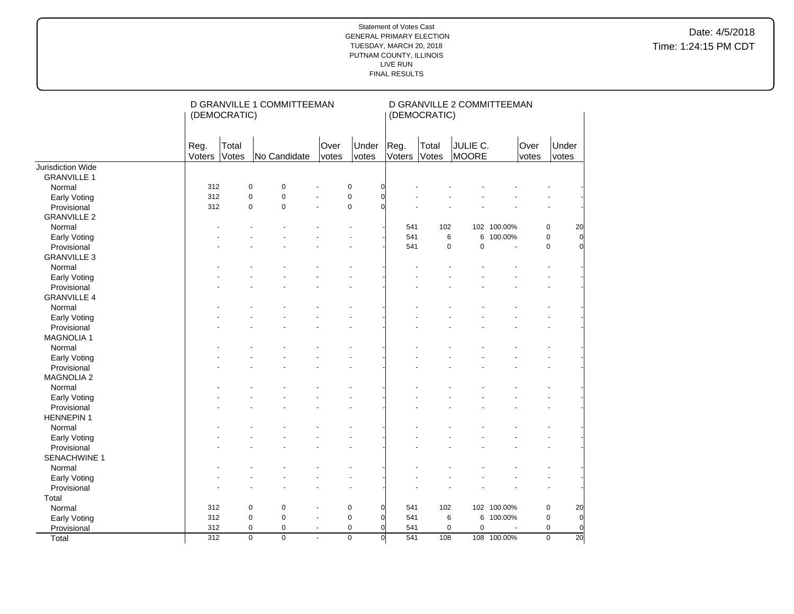|                    |                | (DEMOCRATIC)   | D GRANVILLE 1 COMMITTEEMAN       |                |                |                |                | (DEMOCRATIC)   | D GRANVILLE 2 COMMITTEEMAN |             |               |                                   |
|--------------------|----------------|----------------|----------------------------------|----------------|----------------|----------------|----------------|----------------|----------------------------|-------------|---------------|-----------------------------------|
|                    | Reg.<br>Voters | Total<br>Votes | No Candidate                     | Over<br>votes  |                | Under<br>votes | Reg.<br>Voters | Total<br>Votes | JULIE C.<br>MOORE          |             | Over<br>votes | Under<br>votes                    |
| Jurisdiction Wide  |                |                |                                  |                |                |                |                |                |                            |             |               |                                   |
| <b>GRANVILLE 1</b> |                |                |                                  |                |                |                |                |                |                            |             |               |                                   |
| Normal             | 312            | $\mathbf 0$    | $\pmb{0}$                        |                | $\pmb{0}$      | $\overline{0}$ |                |                |                            |             |               |                                   |
| Early Voting       | 312            | $\mathbf 0$    | $\mathbf 0$                      |                | $\pmb{0}$      | $\Omega$       |                |                |                            |             |               |                                   |
| Provisional        | 312            |                | $\mathbf 0$<br>$\mathbf 0$       | ÷,             | $\mathbf 0$    | O              |                |                |                            |             |               |                                   |
| <b>GRANVILLE 2</b> |                |                |                                  |                |                |                |                |                |                            |             |               |                                   |
| Normal             |                |                |                                  |                |                |                | 541            | 102            |                            | 102 100.00% |               | 20<br>$\pmb{0}$                   |
| Early Voting       |                |                |                                  |                |                |                | 541            | 6              |                            | 6 100.00%   |               | $\overline{0}$<br>0               |
| Provisional        |                |                |                                  |                |                |                | 541            | $\mathbf 0$    | $\mathbf 0$                |             |               | $\overline{0}$<br>0               |
| <b>GRANVILLE 3</b> |                |                |                                  |                |                |                |                |                |                            |             |               |                                   |
| Normal             |                |                |                                  |                |                |                |                |                |                            |             |               |                                   |
| Early Voting       |                |                |                                  |                |                |                |                |                |                            |             |               |                                   |
| Provisional        |                |                |                                  |                |                |                |                |                |                            |             |               |                                   |
| <b>GRANVILLE 4</b> |                |                |                                  |                |                |                |                |                |                            |             |               |                                   |
| Normal             |                |                |                                  |                |                |                |                |                |                            |             |               |                                   |
| Early Voting       |                |                |                                  |                |                |                |                |                |                            |             |               |                                   |
| Provisional        |                |                |                                  |                |                |                |                |                |                            |             |               |                                   |
| <b>MAGNOLIA1</b>   |                |                |                                  |                |                |                |                |                |                            |             |               |                                   |
| Normal             |                |                |                                  |                |                |                |                |                |                            |             |               |                                   |
| Early Voting       |                |                |                                  |                |                |                |                |                |                            |             |               |                                   |
| Provisional        |                |                |                                  |                |                |                |                |                |                            |             |               |                                   |
| <b>MAGNOLIA 2</b>  |                |                |                                  |                |                |                |                |                |                            |             |               |                                   |
| Normal             |                |                |                                  |                |                |                |                |                |                            |             |               |                                   |
| Early Voting       |                |                |                                  |                |                |                |                |                |                            |             |               |                                   |
| Provisional        |                |                |                                  |                |                |                |                |                |                            |             |               |                                   |
| <b>HENNEPIN1</b>   |                |                |                                  |                |                |                |                |                |                            |             |               |                                   |
| Normal             |                |                |                                  |                |                |                |                |                |                            |             |               |                                   |
| Early Voting       |                |                |                                  |                |                |                |                |                |                            |             |               |                                   |
| Provisional        |                |                |                                  |                |                |                |                |                |                            |             |               |                                   |
| SENACHWINE 1       |                |                |                                  |                |                |                |                |                |                            |             |               |                                   |
| Normal             |                |                |                                  |                |                |                |                |                |                            |             |               |                                   |
| Early Voting       |                |                |                                  |                |                |                |                |                |                            |             |               |                                   |
| Provisional        |                |                |                                  |                |                |                |                |                |                            |             |               |                                   |
| Total              |                |                |                                  |                |                |                |                |                |                            |             |               |                                   |
| Normal             | 312            | $\mathbf 0$    | $\mathbf 0$                      |                | $\mathbf 0$    | $\Omega$       | 541            | 102            |                            | 102 100.00% |               | $\pmb{0}$<br>20                   |
| Early Voting       | 312            | $\mathbf 0$    | $\mathbf 0$                      |                | $\mathbf 0$    | $\Omega$       | 541            | 6              |                            | 6 100.00%   |               | $\overline{0}$<br>$\pmb{0}$       |
| Provisional        | 312            |                | $\mathbf 0$<br>0                 | $\blacksquare$ | $\mathbf 0$    | $\overline{0}$ | 541            | $\mathbf 0$    | $\mathbf 0$                |             |               | $\overline{0}$<br>$\mathbf 0$     |
| Total              | 312            |                | $\overline{0}$<br>$\overline{0}$ | ÷,             | $\overline{0}$ | $\overline{0}$ | 541            | 108            |                            | 108 100.00% |               | $\overline{0}$<br>$\overline{20}$ |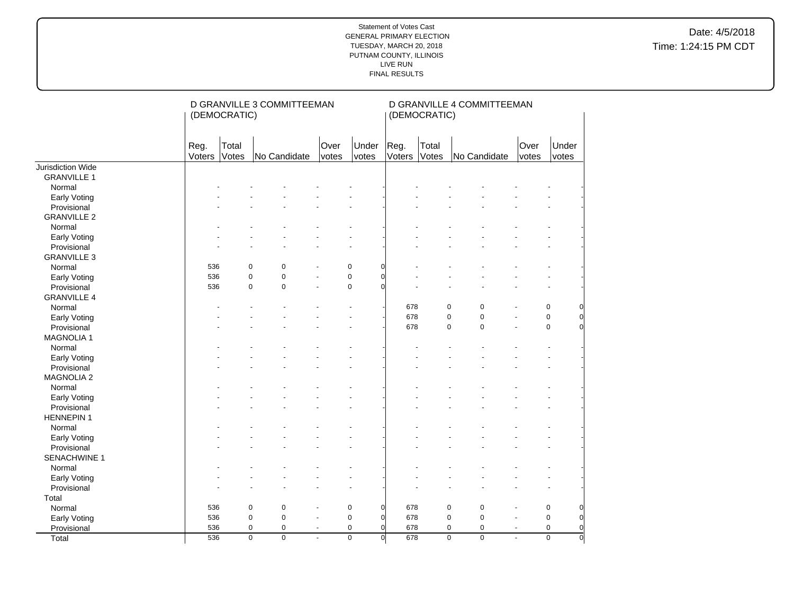|                    |                | (DEMOCRATIC)   |                                  | D GRANVILLE 3 COMMITTEEMAN |                |                |                | (DEMOCRATIC)   | D GRANVILLE 4 COMMITTEEMAN       |                |               |                |                |
|--------------------|----------------|----------------|----------------------------------|----------------------------|----------------|----------------|----------------|----------------|----------------------------------|----------------|---------------|----------------|----------------|
|                    | Reg.<br>Voters | Total<br>Votes | No Candidate                     | Over<br>votes              |                | Under<br>votes | Reg.<br>Voters | Total<br>Votes | No Candidate                     |                | Over<br>votes | Under<br>votes |                |
| Jurisdiction Wide  |                |                |                                  |                            |                |                |                |                |                                  |                |               |                |                |
| <b>GRANVILLE 1</b> |                |                |                                  |                            |                |                |                |                |                                  |                |               |                |                |
| Normal             |                |                |                                  |                            |                |                |                |                |                                  |                |               |                |                |
| Early Voting       |                |                |                                  |                            |                |                |                |                |                                  |                |               |                |                |
| Provisional        |                |                |                                  |                            |                |                |                |                |                                  |                |               |                |                |
| <b>GRANVILLE 2</b> |                |                |                                  |                            |                |                |                |                |                                  |                |               |                |                |
| Normal             |                |                |                                  |                            |                |                |                |                |                                  |                |               |                |                |
| Early Voting       |                |                |                                  |                            |                |                |                |                |                                  |                |               |                |                |
| Provisional        |                |                |                                  |                            |                |                |                |                |                                  |                |               |                |                |
| <b>GRANVILLE 3</b> |                |                |                                  |                            |                |                |                |                |                                  |                |               |                |                |
| Normal             | 536            |                | $\mathbf 0$<br>$\mathbf 0$       |                            | $\mathsf 0$    | $\overline{0}$ |                |                |                                  |                |               |                |                |
| Early Voting       | 536            |                | $\mathbf 0$<br>0                 |                            | $\mathsf 0$    | $\overline{0}$ |                |                |                                  |                |               |                |                |
| Provisional        | 536            |                | $\mathbf 0$<br>0                 | L.                         | $\pmb{0}$      | $\Omega$       |                |                |                                  |                |               |                |                |
| <b>GRANVILLE 4</b> |                |                |                                  |                            |                |                |                |                |                                  |                |               |                |                |
| Normal             |                |                |                                  |                            |                |                | 678            |                | $\mathbf 0$<br>0                 |                |               | 0              | $\overline{0}$ |
| Early Voting       |                |                |                                  |                            |                |                | 678            |                | $\pmb{0}$<br>$\pmb{0}$           |                |               | $\pmb{0}$      | $\overline{0}$ |
| Provisional        |                |                |                                  |                            |                |                | 678            |                | $\pmb{0}$<br>$\mathbf 0$         |                |               | $\mathbf 0$    | $\Omega$       |
| <b>MAGNOLIA1</b>   |                |                |                                  |                            |                |                |                |                |                                  |                |               |                |                |
| Normal             |                |                |                                  |                            |                |                |                |                |                                  |                |               |                |                |
| Early Voting       |                |                |                                  |                            |                |                |                |                |                                  |                |               |                |                |
| Provisional        |                |                |                                  |                            |                |                |                |                |                                  |                |               |                |                |
| <b>MAGNOLIA 2</b>  |                |                |                                  |                            |                |                |                |                |                                  |                |               |                |                |
| Normal             |                |                |                                  |                            |                |                |                |                |                                  |                |               |                |                |
| Early Voting       |                |                |                                  |                            |                |                |                |                |                                  |                |               |                |                |
| Provisional        |                |                |                                  |                            |                |                |                |                |                                  |                |               |                |                |
| <b>HENNEPIN1</b>   |                |                |                                  |                            |                |                |                |                |                                  |                |               |                |                |
| Normal             |                |                |                                  |                            |                |                |                |                |                                  |                |               |                |                |
| Early Voting       |                |                |                                  |                            |                |                |                |                |                                  |                |               |                |                |
| Provisional        |                |                |                                  |                            |                |                |                |                |                                  |                |               |                |                |
| SENACHWINE 1       |                |                |                                  |                            |                |                |                |                |                                  |                |               |                |                |
| Normal             |                |                |                                  |                            |                |                |                |                |                                  |                |               |                |                |
| Early Voting       |                |                |                                  |                            |                |                |                |                |                                  |                |               |                |                |
| Provisional        |                |                |                                  |                            |                |                |                |                |                                  |                |               |                |                |
| Total              |                |                |                                  |                            |                |                |                |                |                                  |                |               |                |                |
| Normal             | 536            |                | $\mathbf 0$<br>0                 |                            | $\mathbf 0$    | $\overline{0}$ | 678            |                | $\pmb{0}$<br>$\mathbf 0$         |                |               | $\mathbf 0$    | $\overline{0}$ |
| Early Voting       | 536            |                | $\mathbf 0$<br>0                 | ä,                         | $\mathbf 0$    | $\overline{0}$ | 678            |                | $\pmb{0}$<br>$\pmb{0}$           |                |               | $\pmb{0}$      | $\overline{0}$ |
| Provisional        | 536            |                | $\mathbf 0$<br>0                 | $\blacksquare$             | $\pmb{0}$      | $\overline{0}$ | 678            |                | $\pmb{0}$<br>0                   | $\blacksquare$ |               | $\mathbf 0$    | $\overline{0}$ |
| Total              | 536            |                | $\overline{0}$<br>$\overline{0}$ | ä,                         | $\overline{0}$ | $\overline{0}$ | 678            |                | $\overline{0}$<br>$\overline{0}$ |                |               | $\overline{0}$ | $\overline{0}$ |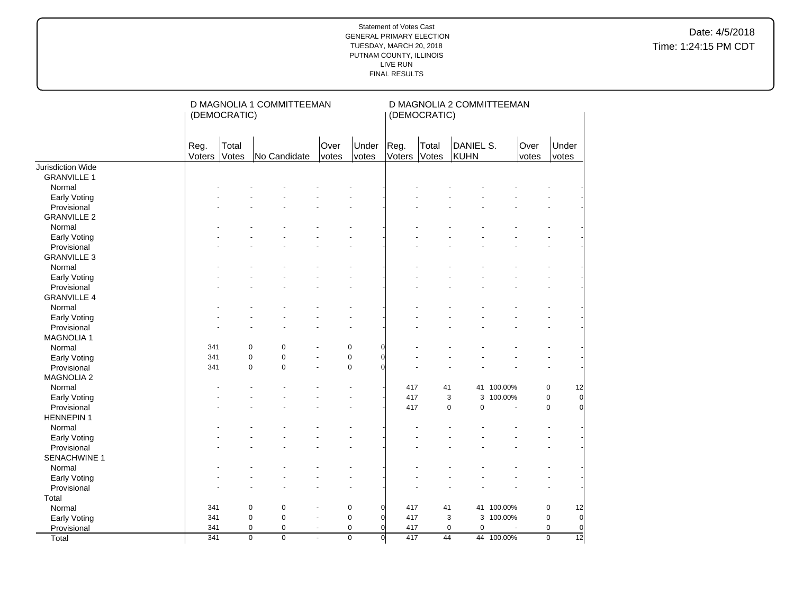|                     |                | (DEMOCRATIC)   |                | D MAGNOLIA 1 COMMITTEEMAN |                |                |                | (DEMOCRATIC)   | D MAGNOLIA 2 COMMITTEEMAN |            |               |                 |
|---------------------|----------------|----------------|----------------|---------------------------|----------------|----------------|----------------|----------------|---------------------------|------------|---------------|-----------------|
|                     | Reg.<br>Voters | Total<br>Votes | No Candidate   | Over                      | votes          | Under<br>votes | Reg.<br>Voters | Total<br>Votes | DANIEL S.<br>KUHN         |            | Over<br>votes | Under<br>votes  |
| Jurisdiction Wide   |                |                |                |                           |                |                |                |                |                           |            |               |                 |
| <b>GRANVILLE 1</b>  |                |                |                |                           |                |                |                |                |                           |            |               |                 |
| Normal              |                |                |                |                           |                |                |                |                |                           |            |               |                 |
| Early Voting        |                |                |                |                           |                |                |                |                |                           |            |               |                 |
| Provisional         |                |                |                |                           |                |                |                |                |                           |            |               |                 |
| <b>GRANVILLE 2</b>  |                |                |                |                           |                |                |                |                |                           |            |               |                 |
| Normal              |                |                |                |                           |                |                |                |                |                           |            |               |                 |
| Early Voting        |                |                |                |                           |                |                |                |                |                           |            |               |                 |
| Provisional         |                |                |                |                           |                |                |                |                |                           |            |               |                 |
| <b>GRANVILLE 3</b>  |                |                |                |                           |                |                |                |                |                           |            |               |                 |
| Normal              |                |                |                |                           |                |                |                |                |                           |            |               |                 |
| Early Voting        |                |                |                |                           |                |                |                |                |                           |            |               |                 |
| Provisional         |                |                |                |                           |                |                |                |                |                           |            |               |                 |
| <b>GRANVILLE 4</b>  |                |                |                |                           |                |                |                |                |                           |            |               |                 |
| Normal              |                |                |                |                           |                |                |                |                |                           |            |               |                 |
| <b>Early Voting</b> |                |                |                |                           |                |                |                |                |                           |            |               |                 |
| Provisional         |                |                |                |                           |                |                |                |                |                           |            |               |                 |
| <b>MAGNOLIA1</b>    |                |                |                |                           |                |                |                |                |                           |            |               |                 |
| Normal              | 341            | 0              | $\mathbf 0$    |                           | 0              | $\Omega$       |                |                |                           |            |               |                 |
| Early Voting        | 341            | $\pmb{0}$      | $\pmb{0}$      |                           | $\pmb{0}$      | $\Omega$       |                |                |                           |            |               |                 |
| Provisional         | 341            | $\mathbf 0$    | $\mathbf 0$    |                           | $\pmb{0}$      | $\Omega$       |                |                |                           |            |               |                 |
| <b>MAGNOLIA 2</b>   |                |                |                |                           |                |                |                |                |                           |            |               |                 |
| Normal              |                |                |                |                           |                |                | 417            | 41             |                           | 41 100.00% | $\pmb{0}$     | 12              |
| <b>Early Voting</b> |                |                |                |                           |                |                | 417            | 3              |                           | 3 100.00%  | $\mathbf 0$   | $\overline{0}$  |
| Provisional         |                |                |                |                           |                |                | 417            | $\mathbf 0$    | 0                         |            | $\mathbf 0$   | $\Omega$        |
| <b>HENNEPIN 1</b>   |                |                |                |                           |                |                |                |                |                           |            |               |                 |
| Normal              |                |                |                |                           |                |                |                |                |                           |            |               |                 |
| Early Voting        |                |                |                |                           |                |                |                |                |                           |            |               |                 |
| Provisional         |                |                |                |                           |                |                |                |                |                           |            |               |                 |
| <b>SENACHWINE 1</b> |                |                |                |                           |                |                |                |                |                           |            |               |                 |
| Normal              |                |                |                |                           |                |                |                |                |                           |            |               |                 |
| Early Voting        |                |                |                |                           |                |                |                |                |                           |            |               |                 |
| Provisional         |                |                |                |                           |                |                |                |                |                           |            |               |                 |
| Total               |                |                |                |                           |                |                |                |                |                           |            |               |                 |
| Normal              | 341            | $\pmb{0}$      | $\pmb{0}$      |                           | $\pmb{0}$      | $\overline{0}$ | 417            | 41             |                           | 41 100.00% | $\mathbf 0$   | 12              |
| Early Voting        | 341            | $\pmb{0}$      | $\pmb{0}$      | $\blacksquare$            | $\pmb{0}$      | $\overline{0}$ | 417            | 3              |                           | 3 100.00%  | $\mathbf 0$   | $\overline{0}$  |
| Provisional         | 341            |                | 0<br>0         | $\blacksquare$            | $\pmb{0}$      | $\Omega$       | 417            | $\mathbf 0$    | $\mathbf 0$               |            | $\mathbf 0$   | $\overline{0}$  |
| Total               | 341            |                | 0<br>$\pmb{0}$ | ä,                        | $\overline{0}$ | $\overline{0}$ | 417            | 44             |                           | 44 100.00% | $\pmb{0}$     | $\overline{12}$ |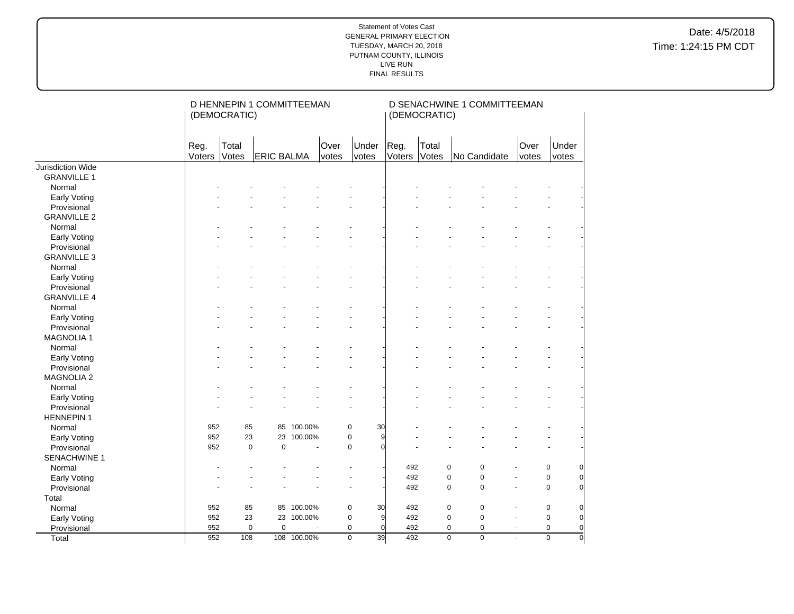|                     |                | (DEMOCRATIC)   | D HENNEPIN 1 COMMITTEEMAN |             |               |                       |                | (DEMOCRATIC)   | D SENACHWINE 1 COMMITTEEMAN      |                          |                |                |
|---------------------|----------------|----------------|---------------------------|-------------|---------------|-----------------------|----------------|----------------|----------------------------------|--------------------------|----------------|----------------|
|                     | Reg.<br>Voters | Total<br>Votes | <b>ERIC BALMA</b>         |             | Over<br>votes | Under<br>votes        | Reg.<br>Voters | Total<br>Votes | No Candidate                     | Over<br>votes            | Under<br>votes |                |
| Jurisdiction Wide   |                |                |                           |             |               |                       |                |                |                                  |                          |                |                |
| <b>GRANVILLE 1</b>  |                |                |                           |             |               |                       |                |                |                                  |                          |                |                |
| Normal              |                |                |                           |             |               |                       |                |                |                                  |                          |                |                |
| Early Voting        |                |                |                           |             |               |                       |                |                |                                  |                          |                |                |
| Provisional         |                |                |                           |             |               |                       |                |                |                                  |                          |                |                |
| <b>GRANVILLE 2</b>  |                |                |                           |             |               |                       |                |                |                                  |                          |                |                |
| Normal              |                |                |                           |             |               |                       |                |                |                                  |                          |                |                |
| Early Voting        |                |                |                           |             |               |                       |                |                |                                  |                          |                |                |
| Provisional         |                |                |                           |             |               |                       |                |                |                                  |                          |                |                |
| <b>GRANVILLE 3</b>  |                |                |                           |             |               |                       |                |                |                                  |                          |                |                |
| Normal              |                |                |                           |             |               |                       |                |                |                                  |                          |                |                |
| <b>Early Voting</b> |                |                |                           |             |               |                       |                |                |                                  |                          |                |                |
| Provisional         |                |                |                           |             |               |                       |                |                |                                  |                          |                |                |
| <b>GRANVILLE 4</b>  |                |                |                           |             |               |                       |                |                |                                  |                          |                |                |
| Normal              |                |                |                           |             |               |                       |                |                |                                  |                          |                |                |
| Early Voting        |                |                |                           |             |               |                       |                |                |                                  |                          |                |                |
| Provisional         |                |                |                           |             |               |                       |                |                |                                  |                          |                |                |
| <b>MAGNOLIA1</b>    |                |                |                           |             |               |                       |                |                |                                  |                          |                |                |
| Normal              |                |                |                           |             |               |                       |                |                |                                  |                          |                |                |
| Early Voting        |                |                |                           |             |               |                       |                |                |                                  |                          |                |                |
| Provisional         |                |                |                           |             |               |                       |                |                |                                  |                          |                |                |
| <b>MAGNOLIA 2</b>   |                |                |                           |             |               |                       |                |                |                                  |                          |                |                |
| Normal              |                |                |                           |             |               |                       |                |                |                                  |                          |                |                |
| <b>Early Voting</b> |                |                |                           |             |               |                       |                |                |                                  |                          |                |                |
| Provisional         |                |                |                           |             |               |                       |                |                |                                  |                          |                |                |
| <b>HENNEPIN 1</b>   |                |                |                           |             |               |                       |                |                |                                  |                          |                |                |
| Normal              | 952            | 85             |                           | 85 100.00%  |               | 0<br>30               |                |                |                                  |                          |                |                |
| Early Voting        | 952            | 23             | 23                        | 100.00%     |               | 0<br>9                |                |                |                                  |                          |                |                |
| Provisional         | 952            | $\pmb{0}$      | $\pmb{0}$                 | ÷,          |               | $\pmb{0}$<br>$\Omega$ |                |                |                                  |                          |                |                |
| <b>SENACHWINE 1</b> |                |                |                           |             |               |                       |                |                |                                  |                          |                |                |
| Normal              |                |                |                           |             |               |                       | 492            |                | $\mathbf 0$<br>$\pmb{0}$         |                          | $\mathbf 0$    | $\overline{0}$ |
| <b>Early Voting</b> |                |                |                           |             |               |                       | 492            |                | $\mathbf 0$<br>0                 | ÷,                       | $\mathsf 0$    | $\overline{0}$ |
| Provisional         |                |                |                           |             |               |                       | 492            |                | $\mathbf 0$<br>0                 |                          | $\Omega$       | $\Omega$       |
| Total               |                |                |                           |             |               |                       |                |                |                                  |                          |                |                |
| Normal              | 952            | 85             |                           | 85 100.00%  |               | $\pmb{0}$<br>30       | 492            |                | $\pmb{0}$<br>0                   |                          | $\mathbf 0$    | $\overline{0}$ |
| Early Voting        | 952            | 23             |                           | 23 100.00%  |               | $\pmb{0}$<br>9        | 492            |                | $\pmb{0}$<br>0                   | $\overline{\phantom{a}}$ | $\mathsf 0$    | $\overline{0}$ |
| Provisional         | 952            | $\mathbf 0$    | $\mathbf 0$               |             |               | 0<br>0                | 492            |                | 0<br>0                           | $\sim$                   | $\mathbf 0$    | $\overline{0}$ |
| Total               | 952            | 108            |                           | 108 100.00% |               | $\overline{0}$<br>39  | 492            |                | $\overline{0}$<br>$\overline{0}$ |                          | $\overline{0}$ | $\overline{0}$ |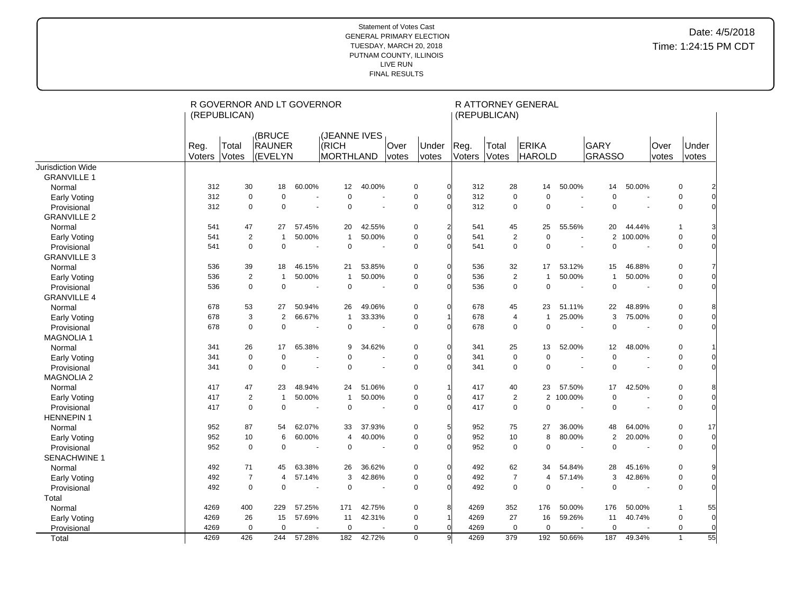|                               |                | (REPUBLICAN)   | R GOVERNOR AND LT GOVERNOR  |        |                                    |                          |                |                |                       | (REPUBLICAN)       | R ATTORNEY GENERAL               |         |                              |                          |               |                                 |
|-------------------------------|----------------|----------------|-----------------------------|--------|------------------------------------|--------------------------|----------------|----------------|-----------------------|--------------------|----------------------------------|---------|------------------------------|--------------------------|---------------|---------------------------------|
|                               | Reg.<br>Voters | Total<br>Votes | (BRUCE<br>RAUNER<br>(EVELYN |        | (JEANNE IVES<br>(RICH<br>MORTHLAND |                          | Over<br>votes  | Under<br>votes | Reg.<br>Voters        | Total<br>Votes     | <b>ERIKA</b><br><b>HAROLD</b>    |         | <b>GARY</b><br><b>GRASSO</b> |                          | Over<br>votes | Under<br>votes                  |
| <b>Jurisdiction Wide</b>      |                |                |                             |        |                                    |                          |                |                |                       |                    |                                  |         |                              |                          |               |                                 |
| <b>GRANVILLE 1</b>            |                |                |                             |        |                                    |                          |                |                |                       |                    |                                  |         |                              |                          |               |                                 |
| Normal                        | 312            | 30             | 18                          | 60.00% | 12                                 | 40.00%                   |                | $\mathbf 0$    | 312                   | 28                 | 14                               | 50.00%  | 14                           | 50.00%                   |               | 0                               |
| <b>Early Voting</b>           | 312            | $\mathbf 0$    | $\mathbf 0$                 |        | $\mathbf 0$                        |                          | $\overline{a}$ | $\mathbf 0$    | 312                   |                    | $\mathbf 0$<br>$\mathbf 0$       |         | $\mathbf 0$                  | ÷.                       |               | $\pmb{0}$                       |
| Provisional                   | 312            | $\mathbf 0$    | $\mathbf 0$                 |        | $\Omega$                           |                          | ÷,             | $\mathbf 0$    | 312                   |                    | $\pmb{0}$<br>$\mathbf 0$         |         | $\Omega$                     | ÷,                       |               | $\pmb{0}$                       |
| <b>GRANVILLE 2</b>            |                |                |                             |        |                                    |                          |                |                |                       |                    |                                  |         |                              |                          |               |                                 |
| Normal                        | 541            | 47             | 27                          | 57.45% | 20                                 | 42.55%                   |                | 0              | 541<br>$\mathfrak{p}$ | 45                 | 25                               | 55.56%  | 20                           | 44.44%                   |               | $\mathbf{1}$                    |
| <b>Early Voting</b>           | 541            | $\overline{2}$ | $\overline{1}$              | 50.00% | $\mathbf{1}$                       | 50.00%                   |                | 0              | 541                   |                    | $\overline{2}$<br>$\mathbf 0$    |         | 2                            | 100.00%                  |               | 0                               |
| Provisional                   | 541            | $\Omega$       | $\mathbf 0$                 |        | $\mathbf 0$                        | $\overline{\phantom{a}}$ |                | $\Omega$       | 541                   |                    | $\mathbf 0$<br>$\Omega$          |         | $\Omega$                     | $\overline{\phantom{a}}$ |               | $\mathbf 0$                     |
| <b>GRANVILLE 3</b>            |                |                |                             |        |                                    |                          |                |                |                       |                    |                                  |         |                              |                          |               |                                 |
| Normal                        | 536            | 39             | 18                          | 46.15% | 21                                 | 53.85%                   |                | $\mathbf 0$    | 536                   | 32                 | 17                               | 53.12%  | 15                           | 46.88%                   |               | 0                               |
| Early Voting                  | 536            | $\overline{2}$ | $\mathbf{1}$                | 50.00% | $\mathbf{1}$                       | 50.00%                   |                | $\mathbf 0$    | 536                   |                    | $\overline{2}$<br>$\overline{1}$ | 50.00%  | $\mathbf{1}$                 | 50.00%                   |               | $\pmb{0}$                       |
| Provisional                   | 536            | $\mathbf 0$    | $\mathsf 0$                 |        | $\mathbf 0$                        |                          |                | $\mathbf 0$    | 536                   |                    | $\pmb{0}$<br>$\mathbf 0$         |         | $\Omega$                     |                          |               | 0                               |
| <b>GRANVILLE 4</b>            |                |                |                             |        |                                    |                          |                |                |                       |                    |                                  |         |                              |                          |               |                                 |
| Normal                        | 678            | 53             | 27                          | 50.94% | 26                                 | 49.06%                   |                | 0              | 678                   | 45                 | 23                               | 51.11%  | 22                           | 48.89%                   |               | 0                               |
| Early Voting                  | 678            | 3              | 2                           | 66.67% | $\mathbf{1}$                       | 33.33%                   |                | $\mathbf 0$    | 678                   | 4                  | $\overline{1}$                   | 25.00%  | 3                            | 75.00%                   |               | 0                               |
| Provisional                   | 678            | $\Omega$       | $\mathbf 0$                 |        | $\Omega$                           | $\overline{\phantom{a}}$ |                | $\Omega$       | 678                   |                    | $\mathbf 0$<br>$\Omega$          | $\sim$  | $\Omega$                     | ÷,                       |               | $\mathbf 0$                     |
| <b>MAGNOLIA1</b>              |                |                |                             |        |                                    |                          |                |                |                       |                    |                                  |         |                              |                          |               |                                 |
| Normal                        | 341            | 26             | 17                          | 65.38% | 9                                  | 34.62%                   |                | 0              | 341                   | 25                 | 13                               | 52.00%  | 12                           | 48.00%                   |               | 0                               |
| <b>Early Voting</b>           | 341            | $\mathbf 0$    | $\mathbf 0$                 |        | $\Omega$                           |                          |                | $\mathbf 0$    | 341                   | $\mathbf 0$        | $\mathbf 0$                      |         | $\mathbf 0$                  |                          |               | 0                               |
| Provisional                   | 341            | $\mathbf 0$    | $\mathbf 0$                 |        | $\mathbf 0$                        |                          | $\sim$         | $\mathbf 0$    | 341                   |                    | $\mathbf 0$<br>$\mathbf 0$       |         | $\mathbf 0$                  | $\overline{a}$           |               | 0                               |
| <b>MAGNOLIA 2</b>             |                |                |                             |        |                                    |                          |                |                |                       |                    |                                  |         |                              |                          |               |                                 |
| Normal                        | 417            | 47             | 23                          | 48.94% | 24                                 | 51.06%                   |                | 0              | 417                   | 40                 | 23                               | 57.50%  | 17                           | 42.50%                   |               | 0                               |
| Early Voting                  | 417            | 2              | $\overline{1}$              | 50.00% | $\mathbf{1}$                       | 50.00%                   |                | $\Omega$       | 417                   |                    | $\overline{2}$<br>2              | 100.00% | $\mathbf 0$                  |                          |               | $\mathbf 0$                     |
| Provisional                   | 417            | $\mathbf 0$    | $\mathbf 0$                 |        | $\Omega$                           |                          |                | $\mathbf 0$    | 417                   |                    | $\mathbf 0$<br>$\mathbf 0$       |         | $\Omega$                     |                          |               | $\pmb{0}$<br>$\Omega$           |
| <b>HENNEPIN1</b>              |                |                |                             |        |                                    |                          |                |                |                       |                    |                                  |         |                              |                          |               |                                 |
| Normal                        | 952            | 87             | 54                          | 62.07% | 33                                 | 37.93%                   |                | $\mathbf 0$    | 5<br>952              | 75                 | 27                               | 36.00%  | 48                           | 64.00%                   |               | 0<br>17                         |
| <b>Early Voting</b>           | 952            | 10             | 6                           | 60.00% | $\overline{4}$                     | 40.00%                   |                | $\mathbf 0$    | 952                   | 10                 | 8                                | 80.00%  | $\overline{2}$               | 20.00%                   |               | $\pmb{0}$<br>$\Omega$           |
| Provisional                   | 952            | $\mathbf 0$    | $\mathbf 0$                 |        | $\Omega$                           | $\overline{\phantom{a}}$ |                | $\Omega$       | 952                   |                    | $\mathbf 0$<br>$\mathbf 0$       |         | $\Omega$                     | ٠                        |               | $\mathbf 0$                     |
|                               |                |                |                             |        |                                    |                          |                |                |                       |                    |                                  |         |                              |                          |               |                                 |
| <b>SENACHWINE 1</b><br>Normal | 492            | 71             | 45                          | 63.38% | 26                                 | 36.62%                   |                | 0              | 492                   | 62                 | 34                               | 54.84%  | 28                           | 45.16%                   |               | 0                               |
|                               | 492            | $\overline{7}$ | $\overline{4}$              | 57.14% | 3                                  | 42.86%                   |                | $\mathbf 0$    | 492                   | $\overline{7}$     | $\overline{4}$                   | 57.14%  | 3                            | 42.86%                   |               | $\pmb{0}$                       |
| Early Voting                  | 492            | $\Omega$       | $\mathbf 0$                 |        | $\mathsf 0$                        |                          |                | $\Omega$       | 492                   |                    | $\mathbf 0$<br>$\mathbf 0$       |         | $\Omega$                     |                          |               | $\pmb{0}$                       |
| Provisional                   |                |                |                             |        |                                    |                          |                |                |                       |                    |                                  |         |                              |                          |               |                                 |
| Total                         |                |                |                             |        |                                    |                          |                |                | 8                     |                    |                                  |         |                              |                          |               | $\mathbf 1$                     |
| Normal                        | 4269           | 400            | 229                         | 57.25% | 171                                | 42.75%                   |                | 0              | 4269                  | 352                | 176                              | 50.00%  | 176                          | 50.00%                   |               | 55<br>$\Omega$                  |
| Early Voting                  | 4269           | 26             | 15                          | 57.69% | 11                                 | 42.31%                   |                | $\mathbf 0$    | 4269                  | 27                 | 16                               | 59.26%  | 11                           | 40.74%                   |               | 0                               |
| Provisional                   | 4269           | $\mathbf 0$    | $\mathbf 0$                 |        | $\mathbf 0$                        |                          |                | $\mathbf 0$    | 4269                  | $\mathbf 0$<br>379 | $\mathbf 0$                      |         | $\mathbf 0$                  |                          |               | $\mathbf 0$                     |
| Total                         | 4269           | 426            | 244                         | 57.28% | 182                                | 42.72%                   |                | $\mathbf 0$    | 4269<br>9             |                    | 192                              | 50.66%  | 187                          | 49.34%                   |               | $\overline{55}$<br>$\mathbf{1}$ |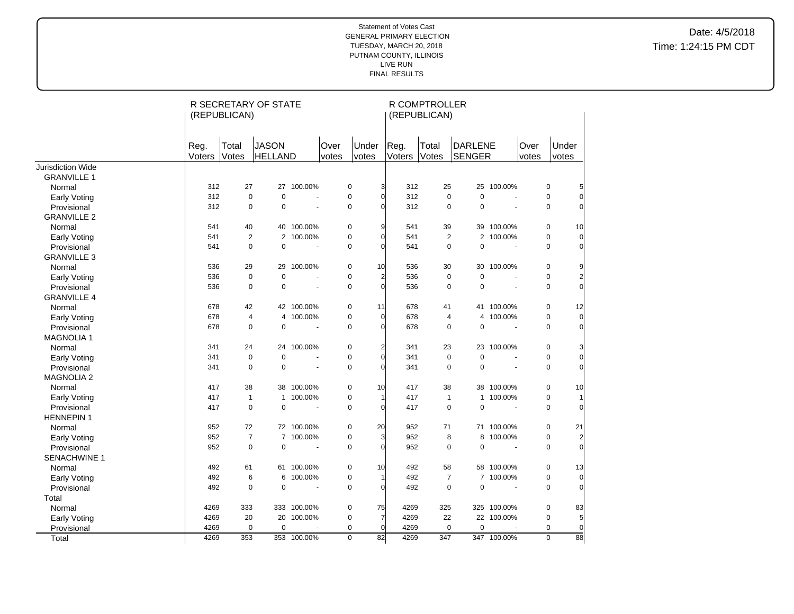|                          |                | (REPUBLICAN)   | R SECRETARY OF STATE    |                          |               |                         |                        | R COMPTROLLER<br>(REPUBLICAN) |                   |                |               |                               |
|--------------------------|----------------|----------------|-------------------------|--------------------------|---------------|-------------------------|------------------------|-------------------------------|-------------------|----------------|---------------|-------------------------------|
|                          | Reg.<br>Voters | Total<br>Votes | <b>JASON</b><br>HELLAND |                          | Over<br>votes | Under<br>votes          | Reg.<br>Voters         | Total<br>Votes                | DARLENE<br>SENGER |                | Over<br>votes | Under<br>votes                |
| <b>Jurisdiction Wide</b> |                |                |                         |                          |               |                         |                        |                               |                   |                |               |                               |
| <b>GRANVILLE 1</b>       |                |                |                         |                          |               |                         |                        |                               |                   |                |               |                               |
| Normal                   | 312            | 27             | 27                      | 100.00%                  |               | $\pmb{0}$               | 3<br>312               | 25                            |                   | 25 100.00%     |               | $\mathbf 0$<br>5              |
| Early Voting             | 312            | $\mathbf 0$    | $\pmb{0}$               | $\overline{\phantom{a}}$ |               | $\pmb{0}$               | $\Omega$<br>312        | $\mathbf 0$                   | $\mathbf 0$       | ä,             |               | $\mathbf 0$<br>$\overline{0}$ |
| Provisional              | 312            | $\pmb{0}$      | $\mathbf 0$             |                          |               | $\mathbf 0$<br>O        | 312                    | 0                             | 0                 |                |               | $\mathbf 0$<br>$\Omega$       |
| <b>GRANVILLE 2</b>       |                |                |                         |                          |               |                         |                        |                               |                   |                |               |                               |
| Normal                   | 541            | 40             |                         | 40 100.00%               |               | $\pmb{0}$               | 9<br>541               | 39                            | 39                | 100.00%        |               | $\mathbf 0$<br>10             |
| Early Voting             | 541            | $\overline{2}$ | $\overline{2}$          | 100.00%                  |               | $\pmb{0}$               | $\Omega$<br>541        | $\overline{2}$                |                   | 2 100.00%      |               | $\mathbf 0$<br>$\overline{0}$ |
| Provisional              | 541            | $\mathbf 0$    | $\Omega$                | $\overline{a}$           |               | $\mathbf 0$<br>$\Omega$ | 541                    | $\mathbf 0$                   | $\mathbf 0$       | ÷.             |               | $\Omega$<br>$\Omega$          |
| <b>GRANVILLE 3</b>       |                |                |                         |                          |               |                         |                        |                               |                   |                |               |                               |
| Normal                   | 536            | 29             | 29                      | 100.00%                  |               | $\pmb{0}$<br>10         | 536                    | 30                            |                   | 30 100.00%     |               | 0<br>9                        |
| Early Voting             | 536            | $\mathbf 0$    | $\mathbf 0$             | $\overline{a}$           |               | $\mathbf 0$             | $\overline{2}$<br>536  | $\mathbf 0$                   | $\mathbf 0$       | ä,             |               | $\mathbf 0$<br>$\overline{2}$ |
| Provisional              | 536            | $\mathbf 0$    | $\mathbf 0$             | $\tilde{\phantom{a}}$    |               | $\pmb{0}$               | $\Omega$<br>536        | $\pmb{0}$                     | $\mathbf 0$       | ä,             |               | $\mathbf 0$<br>$\overline{0}$ |
| <b>GRANVILLE 4</b>       |                |                |                         |                          |               |                         |                        |                               |                   |                |               |                               |
| Normal                   | 678            | 42             |                         | 42 100.00%               |               | $\mathbf 0$<br>11       | 678                    | 41                            |                   | 41 100.00%     |               | 0<br>12                       |
| Early Voting             | 678            | $\overline{4}$ | 4                       | 100.00%                  |               | $\pmb{0}$               | $\overline{0}$<br>678  | $\overline{4}$                | 4                 | 100.00%        |               | $\pmb{0}$<br>$\overline{0}$   |
| Provisional              | 678            | 0              | 0                       | $\sim$                   |               | $\mathbf 0$<br>$\Omega$ | 678                    | 0                             | 0                 | ÷,             |               | 0<br>$\overline{0}$           |
| <b>MAGNOLIA 1</b>        |                |                |                         |                          |               |                         |                        |                               |                   |                |               |                               |
| Normal                   | 341            | 24             | 24                      | 100.00%                  |               | $\pmb{0}$               | $\overline{a}$<br>341  | 23                            |                   | 23 100.00%     |               | 0<br>3                        |
| Early Voting             | 341            | $\pmb{0}$      | $\pmb{0}$               |                          |               | $\mathbf 0$             | $\Omega$<br>341        | $\pmb{0}$                     | $\mathbf 0$       | ä,             |               | $\mathbf 0$<br>$\overline{0}$ |
| Provisional              | 341            | $\mathbf 0$    | $\Omega$                |                          |               | $\mathbf 0$<br>$\Omega$ | 341                    | 0                             | $\mathbf 0$       | $\overline{a}$ |               | $\Omega$<br>$\Omega$          |
| <b>MAGNOLIA 2</b>        |                |                |                         |                          |               |                         |                        |                               |                   |                |               |                               |
| Normal                   | 417            | 38             | 38                      | 100.00%                  |               | $\pmb{0}$<br>10         | 417                    | 38                            |                   | 38 100.00%     |               | $\mathbf 0$<br>10             |
| Early Voting             | 417            | $\mathbf{1}$   | $\mathbf{1}$            | 100.00%                  |               | $\mathbf 0$             | 417                    | $\mathbf{1}$                  |                   | 1 100.00%      |               | $\mathbf 0$<br>$\vert$        |
| Provisional              | 417            | $\mathbf 0$    | 0                       |                          |               | $\mathbf 0$<br>$\Omega$ | 417                    | $\mathbf 0$                   | $\mathbf 0$       |                |               | $\mathbf 0$<br>$\overline{0}$ |
| <b>HENNEPIN1</b>         |                |                |                         |                          |               |                         |                        |                               |                   |                |               |                               |
| Normal                   | 952            | 72             |                         | 72 100.00%               |               | $\mathbf 0$<br>20       | 952                    | 71                            |                   | 71 100.00%     |               | $\mathbf 0$<br>21             |
| Early Voting             | 952            | $\overline{7}$ | $\overline{7}$          | 100.00%                  |               | $\pmb{0}$               | 952<br>3               | 8                             | 8                 | 100.00%        |               | $\overline{2}$<br>$\mathbf 0$ |
| Provisional              | 952            | $\pmb{0}$      | 0                       | $\sim$                   |               | $\mathbf 0$             | 952<br>$\Omega$        | 0                             | 0                 | $\sim$         |               | $\overline{0}$<br>0           |
| SENACHWINE 1             |                |                |                         |                          |               |                         |                        |                               |                   |                |               |                               |
| Normal                   | 492            | 61             |                         | 61 100.00%               |               | $\mathbf 0$<br>10       | 492                    | 58                            |                   | 58 100.00%     |               | 0<br>13                       |
| Early Voting             | 492            | 6              | 6                       | 100.00%                  |               | $\pmb{0}$               | 492                    | $\overline{7}$                |                   | 7 100.00%      |               | $\mathbf 0$<br>$\Omega$       |
| Provisional              | 492            | 0              | 0                       |                          |               | $\mathbf 0$<br>$\Omega$ | 492                    | $\mathbf 0$                   | $\mathbf 0$       | $\sim$         |               | $\mathbf 0$<br>$\Omega$       |
| Total                    |                |                |                         |                          |               |                         |                        |                               |                   |                |               |                               |
| Normal                   | 4269           | 333            |                         | 333 100.00%              |               | 75<br>$\pmb{0}$         | 4269                   | 325                           |                   | 325 100.00%    |               | 0<br>83                       |
| Early Voting             | 4269           | 20             |                         | 20 100.00%               |               | $\pmb{0}$               | 4269<br>$\overline{7}$ | 22                            |                   | 22 100.00%     |               | $\mathbf 0$<br>5              |
| Provisional              | 4269           | 0              | $\mathbf 0$             |                          |               | $\mathbf 0$             | $\Omega$<br>4269       | $\mathbf 0$                   | $\mathbf 0$       |                |               | $\mathbf 0$<br>$\overline{0}$ |
| Total                    | 4269           | 353            |                         | 353 100.00%              |               | $\overline{0}$<br>82    | 4269                   | 347                           |                   | 347 100.00%    |               | $\overline{88}$<br>0          |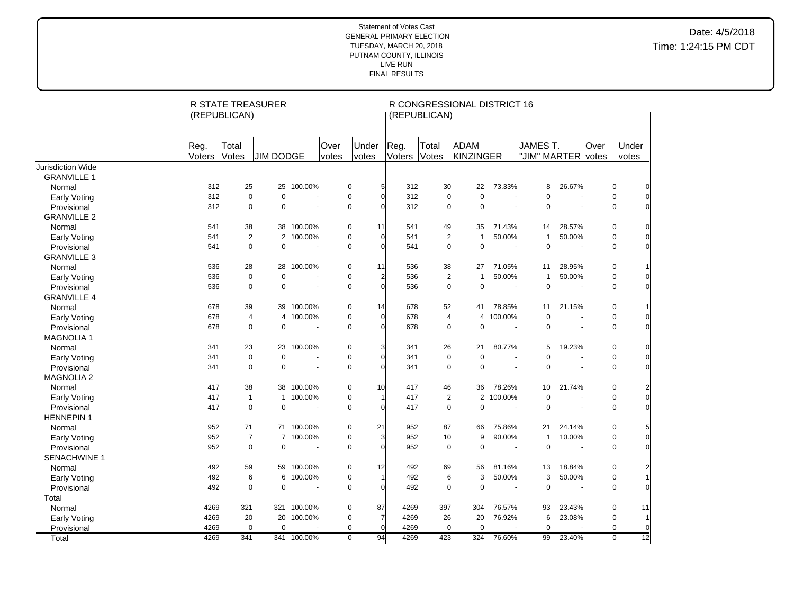|                     |                | (REPUBLICAN)   | R STATE TREASURER |                          |               |                |                | (REPUBLICAN)   | R CONGRESSIONAL DISTRICT 16      |                          |                                |                          |      |                                |  |
|---------------------|----------------|----------------|-------------------|--------------------------|---------------|----------------|----------------|----------------|----------------------------------|--------------------------|--------------------------------|--------------------------|------|--------------------------------|--|
|                     | Reg.<br>Voters | Total<br>Votes | <b>JIM DODGE</b>  |                          | Over<br>votes | Under<br>votes | Reg.<br>Voters | Total<br>Votes | ADAM<br>KINZINGER                |                          | JAMES T.<br>"JIM" MARTER votes |                          | Over | Under<br>votes                 |  |
| Jurisdiction Wide   |                |                |                   |                          |               |                |                |                |                                  |                          |                                |                          |      |                                |  |
| <b>GRANVILLE 1</b>  |                |                |                   |                          |               |                |                |                |                                  |                          |                                |                          |      |                                |  |
| Normal              | 312            | 25             | 25                | 100.00%                  | 0             | 5              | 312            | 30             | 22                               | 73.33%                   | 8                              | 26.67%                   |      | $\mathbf 0$<br>$\Omega$        |  |
| <b>Early Voting</b> | 312            | $\pmb{0}$      | $\mathbf 0$       | ÷.                       | $\mathbf 0$   | $\Omega$       | 312            |                | $\mathbf 0$<br>$\mathbf 0$       | $\sim$                   | $\mathbf 0$                    | $\overline{a}$           |      | $\mathbf 0$<br>$\overline{0}$  |  |
| Provisional         | 312            | $\mathbf 0$    | $\mathbf 0$       | $\sim$                   | 0             | $\Omega$       | 312            |                | $\mathbf 0$<br>0                 | $\tilde{\phantom{a}}$    | $\pmb{0}$                      | $\tilde{\phantom{a}}$    |      | 0<br>$\overline{0}$            |  |
| <b>GRANVILLE 2</b>  |                |                |                   |                          |               |                |                |                |                                  |                          |                                |                          |      |                                |  |
| Normal              | 541            | 38             |                   | 38 100.00%               | 0             | 11             | 541            | 49             | 35                               | 71.43%                   | 14                             | 28.57%                   |      | 0<br>$\Omega$                  |  |
| <b>Early Voting</b> | 541            | $\overline{2}$ |                   | 2 100.00%                | $\mathbf 0$   | $\Omega$       | 541            |                | 2<br>$\mathbf{1}$                | 50.00%                   | $\mathbf{1}$                   | 50.00%                   |      | $\mathbf 0$<br>$\overline{O}$  |  |
| Provisional         | 541            | $\Omega$       | $\mathbf 0$       | $\sim$                   | $\mathbf 0$   | $\Omega$       | 541            |                | $\mathbf 0$<br>$\mathbf 0$       | $\tilde{\phantom{a}}$    | $\mathbf 0$                    | $\overline{\phantom{a}}$ |      | $\mathbf 0$<br>$\Omega$        |  |
| <b>GRANVILLE 3</b>  |                |                |                   |                          |               |                |                |                |                                  |                          |                                |                          |      |                                |  |
| Normal              | 536            | 28             | 28                | 100.00%                  | 0             | 11             | 536            | 38             | 27                               | 71.05%                   | 11                             | 28.95%                   |      | 0                              |  |
| <b>Early Voting</b> | 536            | $\mathbf 0$    | $\mathbf 0$       | $\blacksquare$           | $\mathbf 0$   | $\overline{a}$ | 536            |                | $\overline{c}$<br>$\mathbf 1$    | 50.00%                   | 1                              | 50.00%                   |      | 0<br>0                         |  |
| Provisional         | 536            | $\mathbf 0$    | $\mathbf 0$       |                          | $\mathbf 0$   | $\Omega$       | 536            |                | $\mathbf 0$<br>$\mathbf 0$       | $\sim$                   | $\mathbf 0$                    |                          |      | $\mathbf 0$<br>$\overline{0}$  |  |
| <b>GRANVILLE 4</b>  |                |                |                   |                          |               |                |                |                |                                  |                          |                                |                          |      |                                |  |
| Normal              | 678            | 39             |                   | 39 100.00%               | $\mathbf 0$   | 14             | 678            | 52             | 41                               | 78.85%                   | 11                             | 21.15%                   |      | $\mathbf 0$                    |  |
| <b>Early Voting</b> | 678            | $\overline{4}$ | 4                 | 100.00%                  | $\pmb{0}$     | $\Omega$       | 678            |                | $\overline{4}$<br>$\overline{4}$ | 100.00%                  | $\mathbf 0$                    | ÷,                       |      | $\mathbf 0$<br>$\overline{0}$  |  |
| Provisional         | 678            | $\mathbf 0$    | $\mathbf 0$       | $\overline{\phantom{a}}$ | $\mathbf 0$   | $\Omega$       | 678            |                | $\mathbf 0$<br>$\mathbf 0$       | $\blacksquare$           | $\mathbf 0$                    | $\blacksquare$           |      | 0<br>$\overline{O}$            |  |
| <b>MAGNOLIA1</b>    |                |                |                   |                          |               |                |                |                |                                  |                          |                                |                          |      |                                |  |
| Normal              | 341            | 23             | 23                | 100.00%                  | 0             | 3              | 341            | 26             | 21                               | 80.77%                   | 5                              | 19.23%                   |      | 0<br>0                         |  |
| <b>Early Voting</b> | 341            | $\mathbf 0$    | $\mathbf 0$       | ÷.                       | $\mathbf 0$   | $\Omega$       | 341            |                | $\mathbf 0$<br>$\mathbf 0$       | ÷.                       | $\Omega$                       | ÷.                       |      | $\overline{0}$<br>$\mathbf 0$  |  |
| Provisional         | 341            | $\mathbf 0$    | $\mathbf 0$       | $\sim$                   | $\mathbf 0$   | $\Omega$       | 341            |                | $\mathbf 0$<br>$\mathbf 0$       | $\omega$                 | $\mathbf 0$                    | $\sim$                   |      | $\mathbf 0$<br>$\Omega$        |  |
| <b>MAGNOLIA 2</b>   |                |                |                   |                          |               |                |                |                |                                  |                          |                                |                          |      |                                |  |
| Normal              | 417            | 38             |                   | 38 100.00%               | 0             | 10             | 417            | 46             | 36                               | 78.26%                   | 10                             | 21.74%                   |      | 0<br>2                         |  |
| <b>Early Voting</b> | 417            | $\mathbf{1}$   |                   | 1 100.00%                | $\mathbf 0$   |                | 417            |                | 2                                | 2 100.00%                | $\mathbf 0$                    | $\blacksquare$           |      | 0<br>$\overline{0}$            |  |
| Provisional         | 417            | 0              | 0                 |                          | 0             | $\Omega$       | 417            |                | 0<br>0                           | $\blacksquare$           | 0                              | $\blacksquare$           |      | 0<br>$\overline{0}$            |  |
| <b>HENNEPIN1</b>    |                |                |                   |                          |               |                |                |                |                                  |                          |                                |                          |      |                                |  |
| Normal              | 952            | 71             |                   | 71 100.00%               | $\mathbf 0$   | 21             | 952            | 87             | 66                               | 75.86%                   | 21                             | 24.14%                   |      | $\mathbf 0$<br>5               |  |
| <b>Early Voting</b> | 952            | $\overline{7}$ | $\overline{7}$    | 100.00%                  | $\mathbf 0$   | 3              | 952            | 10             | 9                                | 90.00%                   | $\mathbf{1}$                   | 10.00%                   |      | $\mathbf 0$<br>$\overline{0}$  |  |
| Provisional         | 952            | $\mathbf 0$    | $\mathbf 0$       | ÷,                       | $\mathbf 0$   | $\Omega$       | 952            |                | $\mathbf 0$<br>$\mathbf 0$       | $\blacksquare$           | $\mathbf 0$                    | ÷,                       |      | $\Omega$<br>$\mathbf 0$        |  |
| <b>SENACHWINE 1</b> |                |                |                   |                          |               |                |                |                |                                  |                          |                                |                          |      |                                |  |
| Normal              | 492            | 59             |                   | 59 100.00%               | 0             | 12             | 492            | 69             | 56                               | 81.16%                   | 13                             | 18.84%                   |      | 0<br>2                         |  |
| <b>Early Voting</b> | 492            | 6              | 6                 | 100.00%                  | $\mathbf 0$   |                | 492            |                | 3<br>6                           | 50.00%                   | 3                              | 50.00%                   |      | $\mathbf 0$                    |  |
| Provisional         | 492            | $\mathbf 0$    | $\mathbf 0$       |                          | $\mathbf 0$   | $\Omega$       | 492            |                | $\mathbf 0$<br>$\mathbf 0$       | $\overline{\phantom{a}}$ | $\mathbf 0$                    |                          |      | 0<br>$\Omega$                  |  |
| Total               |                |                |                   |                          |               |                |                |                |                                  |                          |                                |                          |      |                                |  |
| Normal              | 4269           | 321            |                   | 321 100.00%              | $\mathbf 0$   | 87             | 4269           | 397            | 304                              | 76.57%                   | 93                             | 23.43%                   |      | $\mathbf 0$<br>11              |  |
| <b>Early Voting</b> | 4269           | 20             | 20                | 100.00%                  | 0             | 7              | 4269           | 26             | 20                               | 76.92%                   | 6                              | 23.08%                   |      | 0                              |  |
| Provisional         | 4269           | $\mathbf 0$    | $\mathbf 0$       |                          | $\mathbf 0$   | $\Omega$       | 4269           |                | $\mathbf 0$<br>$\mathbf 0$       |                          | $\mathbf 0$                    |                          |      | $\mathbf 0$<br>$\overline{0}$  |  |
| Total               | 4269           | 341            |                   | 341 100.00%              | $\mathbf 0$   | 94             | 4269           | 423            | 324                              | 76.60%                   | 99                             | 23.40%                   |      | $\overline{12}$<br>$\mathbf 0$ |  |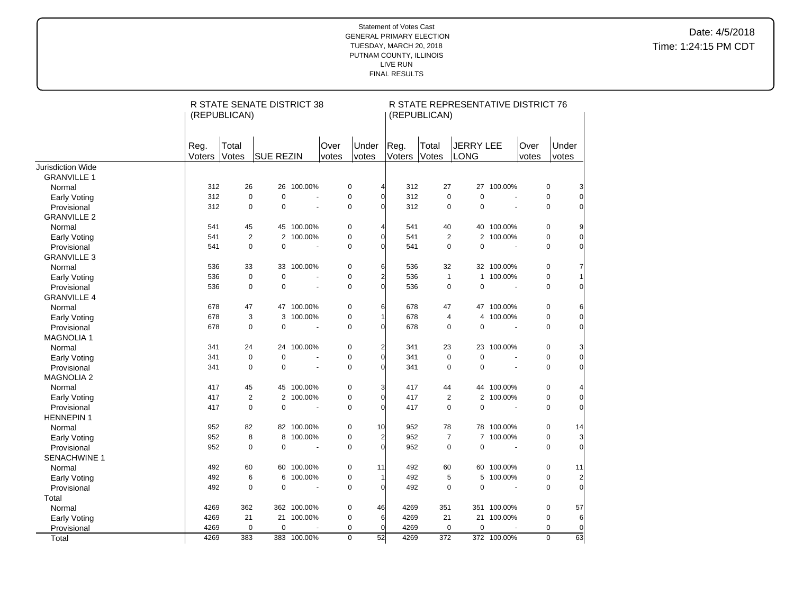|                     | R STATE SENATE DISTRICT 38<br>(REPUBLICAN) |                |                  |             |               |                |                |                | (REPUBLICAN)   | R STATE REPRESENTATIVE DISTRICT 76 |                          |               |                               |
|---------------------|--------------------------------------------|----------------|------------------|-------------|---------------|----------------|----------------|----------------|----------------|------------------------------------|--------------------------|---------------|-------------------------------|
|                     | Reg.<br>Voters                             | Total<br>Votes | <b>SUE REZIN</b> |             | Over<br>votes | Under<br>votes |                | Reg.<br>Voters | Total<br>Votes | <b>JERRY LEE</b><br>LONG           |                          | Over<br>votes | Under<br>votes                |
| Jurisdiction Wide   |                                            |                |                  |             |               |                |                |                |                |                                    |                          |               |                               |
| <b>GRANVILLE 1</b>  |                                            |                |                  |             |               |                |                |                |                |                                    |                          |               |                               |
| Normal              | 312                                        | 26             | 26               | 100.00%     |               | $\pmb{0}$      | 4              | 312            | 27             |                                    | 27 100.00%               |               | 0<br>3                        |
| Early Voting        | 312                                        | $\mathbf 0$    | $\mathbf 0$      |             |               | $\mathbf 0$    | $\sqrt{ }$     | 312            | $\mathbf 0$    | $\mathbf 0$                        |                          |               | $\mathbf 0$<br>$\overline{0}$ |
| Provisional         | 312                                        | $\mathbf 0$    | $\mathbf 0$      |             |               | $\pmb{0}$      | $\sqrt{ }$     | 312            | 0              | 0                                  | ä,                       |               | 0<br>$\pmb{0}$                |
| <b>GRANVILLE 2</b>  |                                            |                |                  |             |               |                |                |                |                |                                    |                          |               |                               |
| Normal              | 541                                        | 45             | 45               | 100.00%     |               | $\pmb{0}$      | 4              | 541            | 40             |                                    | 40 100.00%               |               | 0<br>9                        |
| Early Voting        | 541                                        | 2              | 2                | 100.00%     |               | $\mathbf 0$    | $\sqrt{ }$     | 541            | 2              |                                    | 2 100.00%                |               | $\overline{0}$<br>$\mathbf 0$ |
| Provisional         | 541                                        | $\mathbf 0$    | $\mathbf 0$      |             |               | $\mathbf 0$    | $\Omega$       | 541            | $\mathbf 0$    | $\mathbf 0$                        |                          |               | $\mathbf 0$<br>0              |
| <b>GRANVILLE 3</b>  |                                            |                |                  |             |               |                |                |                |                |                                    |                          |               |                               |
| Normal              | 536                                        | 33             |                  | 33 100.00%  |               | $\pmb{0}$      | 6              | 536            | 32             |                                    | 32 100.00%               |               | 0<br>7                        |
| Early Voting        | 536                                        | $\mathbf 0$    | $\mathbf 0$      |             |               | $\mathbf 0$    | $\overline{2}$ | 536            | $\mathbf{1}$   |                                    | 1 100.00%                |               | $\mathbf 0$<br>$\mathbf{1}$   |
| Provisional         | 536                                        | $\mathbf 0$    | $\mathbf 0$      |             |               | $\mathbf 0$    | $\Omega$       | 536            | 0              | 0                                  |                          |               | $\mathbf 0$<br>0              |
| <b>GRANVILLE 4</b>  |                                            |                |                  |             |               |                |                |                |                |                                    |                          |               |                               |
| Normal              | 678                                        | 47             |                  | 47 100.00%  |               | $\pmb{0}$      | 6              | 678            | 47             |                                    | 47 100.00%               |               | 0<br>6                        |
| <b>Early Voting</b> | 678                                        | 3              | 3                | 100.00%     |               | $\pmb{0}$      | 1              | 678            | 4              | 4                                  | 100.00%                  |               | $\overline{0}$<br>0           |
| Provisional         | 678                                        | $\mathbf 0$    | $\Omega$         |             |               | $\mathbf 0$    | $\Omega$       | 678            | $\mathbf 0$    | $\overline{0}$                     | $\overline{a}$           |               | $\overline{0}$<br>$\mathbf 0$ |
| <b>MAGNOLIA 1</b>   |                                            |                |                  |             |               |                |                |                |                |                                    |                          |               |                               |
| Normal              | 341                                        | 24             | 24               | 100.00%     |               | $\pmb{0}$      | $\overline{2}$ | 341            | 23             | 23                                 | 100.00%                  |               | 0<br>3                        |
| <b>Early Voting</b> | 341                                        | $\mathbf 0$    | $\mathbf 0$      |             |               | $\pmb{0}$      | $\overline{0}$ | 341            | $\mathbf 0$    | $\mathbf 0$                        |                          |               | $\mathbf 0$<br>$\overline{0}$ |
| Provisional         | 341                                        | $\mathbf 0$    | $\Omega$         | ÷,          |               | $\mathbf 0$    | $\sqrt{2}$     | 341            | 0              | $\Omega$                           | $\overline{a}$           |               | $\mathbf 0$<br>0              |
| <b>MAGNOLIA 2</b>   |                                            |                |                  |             |               |                |                |                |                |                                    |                          |               |                               |
| Normal              | 417                                        | 45             | 45               | 100.00%     |               | $\pmb{0}$      | 3              | 417            | 44             |                                    | 44 100.00%               |               | 0<br>4                        |
| <b>Early Voting</b> | 417                                        | $\overline{2}$ |                  | 2 100.00%   |               | $\pmb{0}$      | $\sqrt{ }$     | 417            | 2              |                                    | 2 100.00%                |               | $\mathbf 0$<br>$\overline{0}$ |
| Provisional         | 417                                        | $\mathbf 0$    | $\mathbf 0$      |             |               | $\mathbf 0$    | $\Omega$       | 417            | $\mathbf 0$    | $\mathbf 0$                        |                          |               | $\overline{0}$<br>$\mathbf 0$ |
| <b>HENNEPIN1</b>    |                                            |                |                  |             |               |                |                |                |                |                                    |                          |               |                               |
| Normal              | 952                                        | 82             |                  | 82 100.00%  |               | $\pmb{0}$      | 10             | 952            | 78             |                                    | 78 100.00%               |               | $\pmb{0}$<br>14               |
| <b>Early Voting</b> | 952                                        | 8              | 8                | 100.00%     |               | $\pmb{0}$      | $\overline{c}$ | 952            | $\overline{7}$ |                                    | 7 100.00%                |               | $\mathbf 0$<br>3              |
| Provisional         | 952                                        | $\mathbf 0$    | $\mathbf 0$      |             |               | $\pmb{0}$      | $\Omega$       | 952            | $\mathbf 0$    | $\mathbf 0$                        |                          |               | $\overline{0}$<br>$\mathbf 0$ |
| <b>SENACHWINE 1</b> |                                            |                |                  |             |               |                |                |                |                |                                    |                          |               |                               |
| Normal              | 492                                        | 60             |                  | 60 100.00%  |               | $\pmb{0}$      | 11             | 492            | 60             |                                    | 60 100.00%               |               | 0<br>11                       |
| <b>Early Voting</b> | 492                                        | 6              | 6                | 100.00%     |               | $\pmb{0}$      | 1              | 492            | 5              | 5                                  | 100.00%                  |               | $\mathbf 0$<br>$\overline{c}$ |
| Provisional         | 492                                        | $\mathbf 0$    | $\mathbf 0$      |             |               | 0              | $\mathbf 0$    | 492            | 0              | $\pmb{0}$                          | $\overline{\phantom{a}}$ |               | $\overline{0}$<br>$\pmb{0}$   |
| Total               |                                            |                |                  |             |               |                |                |                |                |                                    |                          |               |                               |
| Normal              | 4269                                       | 362            |                  | 362 100.00% |               | $\pmb{0}$      | 46             | 4269           | 351            |                                    | 351 100.00%              |               | $\mathbf 0$<br>57             |
| <b>Early Voting</b> | 4269                                       | 21             |                  | 21 100.00%  |               | $\pmb{0}$      | 6              | 4269           | 21             |                                    | 21 100.00%               |               | $\mathbf 0$<br>6              |
| Provisional         | 4269                                       | $\mathbf 0$    | $\mathbf 0$      |             |               | $\mathbf 0$    | $\overline{0}$ | 4269           | $\mathbf 0$    | $\mathbf 0$                        |                          |               | $\overline{0}$<br>$\mathbf 0$ |
| Total               | 4269                                       | 383            |                  | 383 100.00% |               | $\overline{0}$ | 52             | 4269           | 372            |                                    | 372 100.00%              |               | $\overline{0}$<br>63          |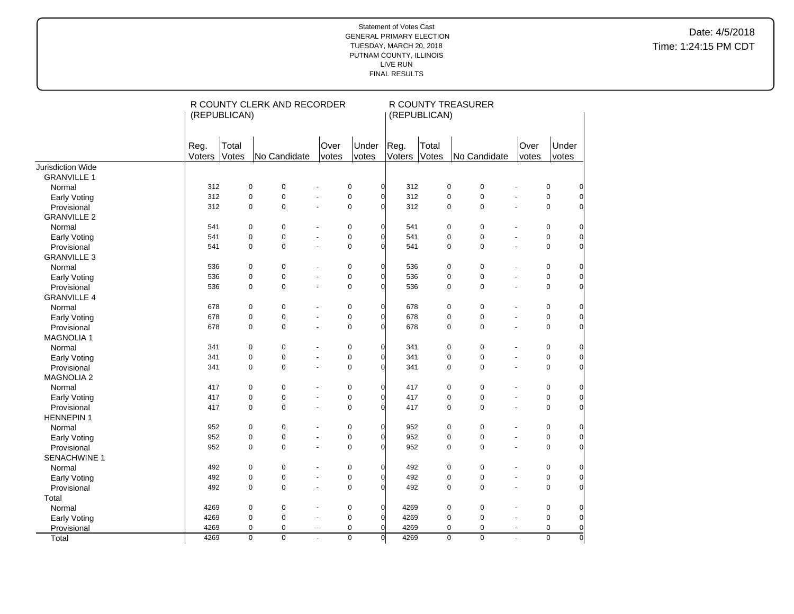|                     | (REPUBLICAN)   |                | R COUNTY CLERK AND RECORDER |                          |                |                |                | (REPUBLICAN)   | R COUNTY TREASURER |                          |               |                |                |
|---------------------|----------------|----------------|-----------------------------|--------------------------|----------------|----------------|----------------|----------------|--------------------|--------------------------|---------------|----------------|----------------|
|                     | Reg.<br>Voters | Total<br>Votes | No Candidate                |                          | Over<br>votes  | Under<br>votes | Reg.<br>Voters | Total<br>Votes | No Candidate       |                          | Over<br>votes | Under<br>votes |                |
| Jurisdiction Wide   |                |                |                             |                          |                |                |                |                |                    |                          |               |                |                |
| <b>GRANVILLE 1</b>  |                |                |                             |                          |                |                |                |                |                    |                          |               |                |                |
| Normal              | 312            | $\mathbf 0$    | $\pmb{0}$                   |                          | $\pmb{0}$      | $\overline{0}$ | 312            | $\pmb{0}$      | $\pmb{0}$          |                          |               | 0              | 0              |
| <b>Early Voting</b> | 312            | $\overline{0}$ | 0                           |                          | $\pmb{0}$      | $\mathbf 0$    | 312            | 0              | $\mathbf 0$        |                          |               | $\pmb{0}$      | 0              |
| Provisional         | 312            | $\overline{0}$ | $\Omega$                    | $\overline{a}$           | $\mathbf 0$    | $\Omega$       | 312            | $\mathbf 0$    | $\mathbf 0$        | $\overline{a}$           |               | $\mathbf 0$    | $\Omega$       |
| <b>GRANVILLE 2</b>  |                |                |                             |                          |                |                |                |                |                    |                          |               |                |                |
| Normal              | 541            | 0              | $\pmb{0}$                   |                          | 0              | $\Omega$       | 541            | $\pmb{0}$      | $\mathbf 0$        |                          |               | $\pmb{0}$      | 0              |
| <b>Early Voting</b> | 541            | $\overline{0}$ | $\overline{0}$              | $\overline{a}$           | $\pmb{0}$      | $\Omega$       | 541            | 0              | $\mathbf 0$        | $\overline{\phantom{a}}$ |               | $\pmb{0}$      | $\Omega$       |
| Provisional         | 541            | $\mathbf 0$    | $\mathbf 0$                 |                          | $\pmb{0}$      | $\Omega$       | 541            | $\mathbf 0$    | $\mathbf 0$        |                          |               | $\mathbf 0$    | $\mathbf 0$    |
| <b>GRANVILLE 3</b>  |                |                |                             |                          |                |                |                |                |                    |                          |               |                |                |
| Normal              | 536            | $\mathbf 0$    | $\mathbf 0$                 |                          | $\pmb{0}$      | $\Omega$       | 536            | 0              | 0                  |                          |               | 0              | 0              |
| <b>Early Voting</b> | 536            | $\mathbf 0$    | $\mathbf 0$                 |                          | $\pmb{0}$      | $\Omega$       | 536            | 0              | $\pmb{0}$          |                          |               | $\pmb{0}$      | $\mathbf 0$    |
| Provisional         | 536            | $\mathbf 0$    | $\overline{0}$              | ÷,                       | $\pmb{0}$      | $\Omega$       | 536            | 0              | $\pmb{0}$          |                          |               | $\pmb{0}$      | $\overline{0}$ |
| <b>GRANVILLE 4</b>  |                |                |                             |                          |                |                |                |                |                    |                          |               |                |                |
| Normal              | 678            | $\mathbf 0$    | $\pmb{0}$                   |                          | $\pmb{0}$      | $\Omega$       | 678            | 0              | 0                  |                          |               | $\pmb{0}$      | $\mathbf 0$    |
| Early Voting        | 678            | $\mathbf 0$    | $\mathbf 0$                 |                          | $\pmb{0}$      | $\Omega$       | 678            | 0              | $\pmb{0}$          |                          |               | $\pmb{0}$      | $\mathbf 0$    |
| Provisional         | 678            | $\mathbf 0$    | $\mathbf 0$                 | $\blacksquare$           | $\pmb{0}$      | $\Omega$       | 678            | 0              | $\pmb{0}$          | $\blacksquare$           |               | $\pmb{0}$      | $\mathbf 0$    |
| <b>MAGNOLIA1</b>    |                |                |                             |                          |                |                |                |                |                    |                          |               |                |                |
| Normal              | 341            | $\mathbf 0$    | $\pmb{0}$                   |                          | $\pmb{0}$      | $\overline{0}$ | 341            | 0              | $\mathbf 0$        |                          |               | 0              | $\mathbf 0$    |
| <b>Early Voting</b> | 341            | $\mathbf 0$    | $\pmb{0}$                   | $\overline{\phantom{a}}$ | $\pmb{0}$      | $\Omega$       | 341            | 0              | $\pmb{0}$          | $\blacksquare$           |               | $\pmb{0}$      | $\mathbf 0$    |
| Provisional         | 341            | $\mathbf 0$    | $\mathbf 0$                 | $\sim$                   | $\pmb{0}$      | $\Omega$       | 341            | $\mathbf 0$    | $\pmb{0}$          | $\blacksquare$           |               | $\mathbf 0$    | $\mathbf 0$    |
| <b>MAGNOLIA 2</b>   |                |                |                             |                          |                |                |                |                |                    |                          |               |                |                |
| Normal              | 417            | $\mathbf 0$    | $\pmb{0}$                   |                          | $\pmb{0}$      | $\Omega$       | 417            | 0              | $\pmb{0}$          |                          |               | $\pmb{0}$      | 0              |
| <b>Early Voting</b> | 417            | $\mathbf 0$    | $\overline{0}$              | $\overline{\phantom{a}}$ | $\pmb{0}$      | $\Omega$       | 417            | 0              | $\pmb{0}$          |                          |               | $\pmb{0}$      | 0              |
| Provisional         | 417            | $\mathbf 0$    | $\mathbf 0$                 | ÷.                       | $\pmb{0}$      | $\Omega$       | 417            | $\mathbf 0$    | $\mathbf 0$        |                          |               | $\mathbf 0$    | $\overline{0}$ |
| <b>HENNEPIN 1</b>   |                |                |                             |                          |                |                |                |                |                    |                          |               |                |                |
| Normal              | 952            | $\mathbf 0$    | $\pmb{0}$                   |                          | $\pmb{0}$      | $\mathbf 0$    | 952            | $\pmb{0}$      | 0                  |                          |               | $\pmb{0}$      | 0              |
| <b>Early Voting</b> | 952            | $\mathbf 0$    | $\pmb{0}$                   |                          | $\pmb{0}$      | $\Omega$       | 952            | 0              | $\pmb{0}$          |                          |               | $\pmb{0}$      | $\overline{0}$ |
| Provisional         | 952            | $\overline{0}$ | $\overline{0}$              | ÷.                       | $\mathbf 0$    | $\Omega$       | 952            | 0              | $\mathbf 0$        | $\overline{a}$           |               | $\mathbf 0$    | $\Omega$       |
| SENACHWINE 1        |                |                |                             |                          |                |                |                |                |                    |                          |               |                |                |
| Normal              | 492            | 0              | $\pmb{0}$                   |                          | 0              | $\overline{0}$ | 492            | 0              | 0                  |                          |               | $\pmb{0}$      | 0              |
| <b>Early Voting</b> | 492            | $\overline{0}$ | 0                           |                          | $\pmb{0}$      | $\Omega$       | 492            | 0              | $\mathbf 0$        | $\hat{\mathbf{r}}$       |               | 0              | $\mathbf 0$    |
| Provisional         | 492            | 0              | $\mathbf 0$                 | ÷.                       | $\pmb{0}$      | $\Omega$       | 492            | $\mathbf 0$    | $\pmb{0}$          | $\overline{a}$           |               | $\pmb{0}$      | $\mathbf 0$    |
| Total               |                |                |                             |                          |                |                |                |                |                    |                          |               |                |                |
| Normal              | 4269           | $\mathbf 0$    | $\pmb{0}$                   |                          | $\pmb{0}$      | $\Omega$       | 4269           | 0              | $\pmb{0}$          |                          |               | $\pmb{0}$      | 0              |
| <b>Early Voting</b> | 4269           | $\mathbf 0$    | $\mathbf 0$                 | $\tilde{\phantom{a}}$    | $\pmb{0}$      | $\Omega$       | 4269           | $\pmb{0}$      | $\pmb{0}$          | $\blacksquare$           |               | $\pmb{0}$      | $\overline{0}$ |
| Provisional         | 4269           | 0              | $\mathbf 0$                 | $\blacksquare$           | $\mathbf 0$    | $\Omega$       | 4269           | 0              | $\mathbf 0$        | $\blacksquare$           |               | $\mathbf 0$    | $\mathbf 0$    |
| Total               | 4269           | $\overline{0}$ | $\overline{0}$              | $\overline{a}$           | $\overline{0}$ | $\overline{O}$ | 4269           | $\mathbf 0$    | $\overline{0}$     | $\hat{\mathbf{r}}$       |               | $\overline{0}$ | $\mathbf 0$    |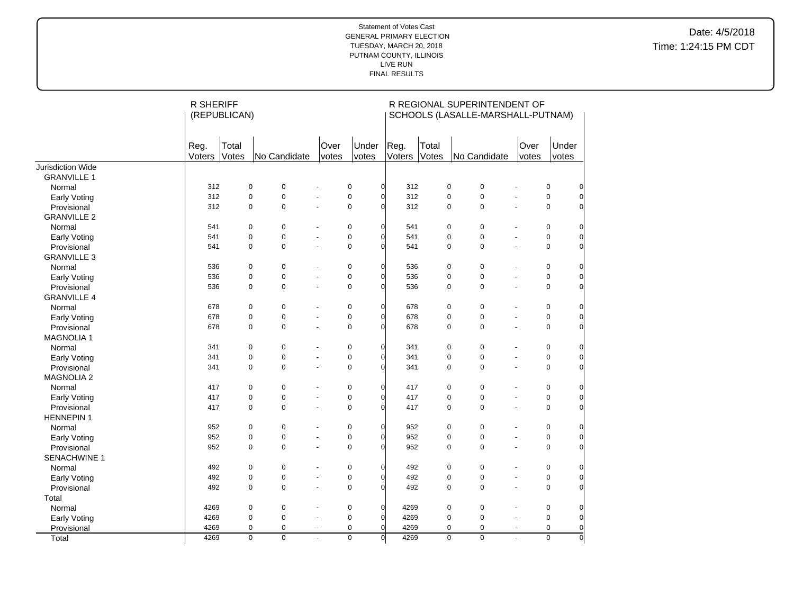|                     | <b>R SHERIFF</b> | (REPUBLICAN)   |                |                          |                |                        |                | R REGIONAL SUPERINTENDENT OF<br>SCHOOLS (LASALLE-MARSHALL-PUTNAM) |                          |                                           |
|---------------------|------------------|----------------|----------------|--------------------------|----------------|------------------------|----------------|-------------------------------------------------------------------|--------------------------|-------------------------------------------|
|                     | Reg.<br>Voters   | Total<br>Votes | No Candidate   | Over<br>votes            | Under<br>votes | Reg.<br>Voters         | Total<br>Votes | No Candidate                                                      | Over<br>votes            | Under<br>votes                            |
| Jurisdiction Wide   |                  |                |                |                          |                |                        |                |                                                                   |                          |                                           |
| <b>GRANVILLE 1</b>  |                  |                |                |                          |                |                        |                |                                                                   |                          |                                           |
| Normal              | 312              | $\pmb{0}$      | $\pmb{0}$      |                          | $\pmb{0}$      | $\overline{0}$<br>312  |                | $\pmb{0}$<br>$\pmb{0}$                                            |                          | $\pmb{0}$<br>$\overline{0}$               |
| Early Voting        | 312              | $\mathbf 0$    | 0              | ÷,                       | $\pmb{0}$      | $\overline{0}$<br>312  |                | $\mathbf 0$<br>$\mathbf 0$                                        | ÷,                       | $\mathbf 0$<br>$\overline{0}$             |
| Provisional         | 312              | $\pmb{0}$      | 0              | $\overline{a}$           | $\pmb{0}$      | $\Omega$<br>312        |                | $\mathbf 0$<br>$\mathbf 0$                                        | ÷,                       | $\mathbf 0$<br>0                          |
| <b>GRANVILLE 2</b>  |                  |                |                |                          |                |                        |                |                                                                   |                          |                                           |
| Normal              | 541              | $\pmb{0}$      | 0              |                          | $\pmb{0}$      | $\overline{0}$<br>541  |                | $\pmb{0}$<br>$\pmb{0}$                                            |                          | $\pmb{0}$<br>0                            |
| Early Voting        | 541              | $\pmb{0}$      | 0              | ÷,                       | $\pmb{0}$      | $\overline{0}$<br>541  |                | $\overline{0}$<br>$\mathbf 0$                                     | ÷,                       | $\mathbf 0$<br>$\Omega$                   |
| Provisional         | 541              | $\mathbf 0$    | 0              | L.                       | $\mathbf 0$    | $\overline{0}$<br>541  |                | $\mathbf 0$<br>$\mathbf 0$                                        | ÷,                       | 0<br>$\Omega$                             |
| <b>GRANVILLE 3</b>  |                  |                |                |                          |                |                        |                |                                                                   |                          |                                           |
| Normal              | 536              | $\pmb{0}$      | 0              |                          | $\pmb{0}$      | $\overline{0}$<br>536  |                | $\mathbf 0$<br>$\pmb{0}$                                          | ÷,                       | 0<br>$\overline{0}$                       |
| <b>Early Voting</b> | 536              | $\mathbf 0$    | 0              | $\ddot{\phantom{1}}$     | $\pmb{0}$      | 536<br>$\overline{0}$  |                | $\mathbf 0$<br>$\pmb{0}$                                          | $\blacksquare$           | $\mathbf 0$<br>$\overline{0}$             |
| Provisional         | 536              | $\pmb{0}$      | 0              | $\overline{a}$           | 0              | 536<br>$\Omega$        |                | $\mathbf 0$<br>$\mathbf 0$                                        | $\overline{a}$           | $\mathbf 0$<br>$\overline{0}$             |
| <b>GRANVILLE 4</b>  |                  |                |                |                          |                |                        |                |                                                                   |                          |                                           |
| Normal              | 678              | $\pmb{0}$      | 0              | L.                       | $\mathbf 0$    | $\overline{0}$<br>678  |                | $\mathbf 0$<br>$\pmb{0}$                                          | ÷,                       | $\pmb{0}$<br>$\overline{0}$               |
| <b>Early Voting</b> | 678              | $\pmb{0}$      | 0              | $\overline{\phantom{a}}$ | $\pmb{0}$      | $\overline{0}$<br>678  |                | $\pmb{0}$<br>$\mathbf 0$                                          | $\tilde{\phantom{a}}$    | $\mathbf 0$<br>$\overline{0}$             |
| Provisional         | 678              | $\mathbf 0$    | $\Omega$       | $\overline{a}$           | $\mathbf 0$    | $\Omega$<br>678        |                | $\mathbf 0$<br>$\overline{0}$                                     | $\overline{a}$           | 0<br>$\overline{0}$                       |
| <b>MAGNOLIA1</b>    |                  |                |                |                          |                |                        |                |                                                                   |                          |                                           |
| Normal              | 341              | 0              | $\pmb{0}$      |                          | $\pmb{0}$      | $\overline{0}$<br>341  |                | $\mathbf 0$<br>$\pmb{0}$                                          | Ĭ.                       | 0<br>$\overline{0}$                       |
| Early Voting        | 341              | $\pmb{0}$      | 0              | ÷,                       | $\mathbf 0$    | $\overline{0}$<br>341  |                | $\pmb{0}$<br>$\mathbf 0$                                          | ÷,                       | 0<br>0                                    |
| Provisional         | 341              | $\mathbf 0$    | $\Omega$       | $\overline{a}$           | $\pmb{0}$      | $\Omega$<br>341        |                | $\mathbf 0$<br>$\mathbf 0$                                        | L.                       | $\Omega$<br>$\Omega$                      |
| <b>MAGNOLIA 2</b>   |                  |                |                |                          |                |                        |                |                                                                   |                          |                                           |
| Normal              | 417              | $\pmb{0}$      | $\pmb{0}$      | $\ddot{\phantom{1}}$     | $\mathbf 0$    | $\overline{0}$<br>417  |                | $\mathbf 0$<br>$\pmb{0}$                                          | ÷,                       | 0<br>0                                    |
| Early Voting        | 417              | $\pmb{0}$      | $\pmb{0}$      | ÷,                       | $\mathbf 0$    | 417<br>$\overline{0}$  |                | $\pmb{0}$<br>$\mathbf 0$                                          | ÷,                       | $\mathbf 0$<br>$\overline{0}$             |
| Provisional         | 417              | $\pmb{0}$      | 0              | ÷,                       | $\mathbf 0$    | $\overline{0}$<br>417  |                | $\mathbf 0$<br>0                                                  | ÷,                       | $\mathbf 0$<br>$\overline{0}$             |
| <b>HENNEPIN 1</b>   |                  |                |                |                          |                |                        |                |                                                                   |                          |                                           |
| Normal              | 952              | $\mathbf 0$    | 0              | ÷.                       | $\mathbf 0$    | $\overline{0}$<br>952  |                | $\mathbf 0$<br>0                                                  | ÷.                       | 0<br>$\overline{0}$                       |
| Early Voting        | 952              | $\pmb{0}$      | $\pmb{0}$      | ÷,                       | $\mathbf 0$    | $\overline{0}$<br>952  |                | $\pmb{0}$<br>$\mathbf 0$                                          | $\overline{a}$           | $\mathbf 0$<br>$\overline{0}$             |
| Provisional         | 952              | 0              | 0              | ٠                        | $\pmb{0}$      | $\overline{0}$<br>952  |                | $\pmb{0}$<br>$\pmb{0}$                                            | ÷,                       | 0<br>0                                    |
| <b>SENACHWINE 1</b> |                  |                |                |                          |                |                        |                |                                                                   |                          |                                           |
| Normal              | 492              | $\pmb{0}$      | $\pmb{0}$      |                          | $\pmb{0}$      | $\overline{0}$<br>492  |                | $\mathbf 0$<br>$\pmb{0}$                                          | ä,                       | $\pmb{0}$<br>$\overline{0}$               |
| Early Voting        | 492              | $\pmb{0}$      | 0              | ÷,                       | $\pmb{0}$      | $\overline{0}$<br>492  |                | $\pmb{0}$<br>$\pmb{0}$                                            | $\blacksquare$           | $\pmb{0}$<br>$\overline{0}$               |
| Provisional         | 492              | $\mathbf 0$    | 0              | ÷,                       | $\pmb{0}$      | $\overline{0}$<br>492  |                | $\mathbf 0$<br>$\pmb{0}$                                          | ÷,                       | 0<br>0                                    |
| Total               |                  |                |                |                          |                |                        |                |                                                                   |                          |                                           |
| Normal              | 4269             | $\pmb{0}$      | $\pmb{0}$      | L.                       | $\pmb{0}$      | $\overline{0}$<br>4269 |                | $\mathbf 0$<br>$\pmb{0}$                                          | L.                       | $\pmb{0}$<br>$\overline{0}$               |
| Early Voting        | 4269             | $\mathbf 0$    | $\mathbf 0$    | ÷,                       | $\pmb{0}$      | $\overline{0}$<br>4269 |                | $\mathbf 0$<br>$\pmb{0}$                                          | ÷,                       | $\mathbf 0$<br>$\overline{0}$             |
| Provisional         | 4269             | $\mathbf 0$    | 0              | $\blacksquare$           | $\pmb{0}$      | 4269<br>$\overline{0}$ |                | $\pmb{0}$<br>$\pmb{0}$                                            | $\overline{\phantom{a}}$ | 0<br>$\overline{0}$                       |
| Total               | 4269             | $\overline{0}$ | $\overline{0}$ |                          | $\overline{0}$ | 4269<br>$\overline{0}$ |                | $\overline{0}$<br>$\overline{0}$                                  | $\overline{a}$           | $\overline{0}$<br>$\overline{\mathsf{o}}$ |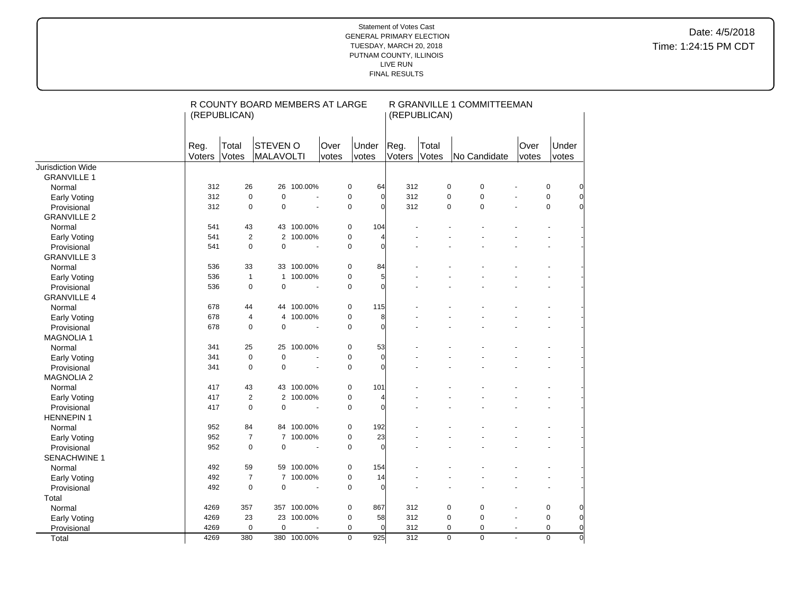|                     | (REPUBLICAN)   |                | R COUNTY BOARD MEMBERS AT LARGE |                       |                |                |                | (REPUBLICAN)   | R GRANVILLE 1 COMMITTEEMAN    |               |                |             |
|---------------------|----------------|----------------|---------------------------------|-----------------------|----------------|----------------|----------------|----------------|-------------------------------|---------------|----------------|-------------|
|                     | Reg.<br>Voters | Total<br>Votes | STEVEN O<br><b>MALAVOLTI</b>    |                       | Over<br>votes  | Under<br>votes | Reg.<br>Voters | Total<br>Votes | No Candidate                  | Over<br>votes | Under<br>votes |             |
| Jurisdiction Wide   |                |                |                                 |                       |                |                |                |                |                               |               |                |             |
| <b>GRANVILLE 1</b>  |                |                |                                 |                       |                |                |                |                |                               |               |                |             |
| Normal              | 312            | 26             | 26                              | 100.00%               | 0              | 64             | 312            |                | $\pmb{0}$<br>$\mathbf 0$      |               | $\pmb{0}$      |             |
| <b>Early Voting</b> | 312            | $\mathbf 0$    | $\mathbf 0$                     | $\tilde{\phantom{a}}$ | $\pmb{0}$      | $\Omega$       | 312            |                | $\mathbf 0$<br>0              |               | $\pmb{0}$      | $\mathbf 0$ |
| Provisional         | 312            | 0              | $\mathbf 0$                     |                       | $\pmb{0}$      | $\Omega$       | 312            |                | $\mathbf 0$<br>$\pmb{0}$      |               | $\pmb{0}$      | $\Omega$    |
| <b>GRANVILLE 2</b>  |                |                |                                 |                       |                |                |                |                |                               |               |                |             |
| Normal              | 541            | 43             |                                 | 43 100.00%            | $\pmb{0}$      | 104            |                |                |                               |               |                |             |
| <b>Early Voting</b> | 541            | $\sqrt{2}$     | $\mathbf{2}^{\prime}$           | 100.00%               | $\pmb{0}$      |                |                |                |                               |               |                |             |
| Provisional         | 541            | $\mathbf 0$    | $\mathbf 0$                     | $\overline{a}$        | 0              | $\Omega$       |                |                |                               |               |                |             |
| <b>GRANVILLE 3</b>  |                |                |                                 |                       |                |                |                |                |                               |               |                |             |
| Normal              | 536            | 33             |                                 | 33 100.00%            | $\pmb{0}$      | 84             |                |                |                               |               |                |             |
| <b>Early Voting</b> | 536            | $\mathbf{1}$   | $\mathbf{1}$                    | 100.00%               | 0              | 5              |                |                |                               |               |                |             |
| Provisional         | 536            | $\mathbf 0$    | $\mathbf 0$                     | $\tilde{\phantom{a}}$ | $\pmb{0}$      | $\Omega$       |                |                |                               |               |                |             |
| <b>GRANVILLE 4</b>  |                |                |                                 |                       |                |                |                |                |                               |               |                |             |
| Normal              | 678            | 44             |                                 | 44 100.00%            | 0              | 115            |                |                |                               |               |                |             |
| Early Voting        | 678            | 4              | 4                               | 100.00%               | $\pmb{0}$      |                | 8              |                |                               |               |                |             |
| Provisional         | 678            | 0              | $\mathbf 0$                     | $\blacksquare$        | 0              | $\mathbf 0$    |                |                |                               |               |                |             |
| <b>MAGNOLIA 1</b>   |                |                |                                 |                       |                |                |                |                |                               |               |                |             |
| Normal              | 341            | 25             | 25                              | 100.00%               | $\pmb{0}$      | 53             |                |                |                               |               |                |             |
| Early Voting        | 341            | $\mathbf 0$    | $\mathbf 0$                     |                       | $\pmb{0}$      | $\mathbf 0$    |                |                |                               |               |                |             |
| Provisional         | 341            | $\mathbf 0$    | $\mathbf 0$                     | $\overline{a}$        | 0              | $\Omega$       |                |                |                               |               |                |             |
| <b>MAGNOLIA 2</b>   |                |                |                                 |                       |                |                |                |                |                               |               |                |             |
| Normal              | 417            | 43             |                                 | 43 100.00%            | $\pmb{0}$      | 101            |                |                |                               |               |                |             |
| <b>Early Voting</b> | 417            | $\overline{2}$ |                                 | 2 100.00%             | $\pmb{0}$      |                |                |                |                               |               |                |             |
| Provisional         | 417            | $\mathbf 0$    | $\mathbf 0$                     |                       | $\pmb{0}$      | $\Omega$       |                |                |                               |               |                |             |
| <b>HENNEPIN1</b>    |                |                |                                 |                       |                |                |                |                |                               |               |                |             |
| Normal              | 952            | 84             |                                 | 84 100.00%            | $\pmb{0}$      | 192            |                |                |                               |               |                |             |
| Early Voting        | 952            | $\overline{7}$ | $\overline{7}$                  | 100.00%               | $\pmb{0}$      | 23             |                |                |                               |               |                |             |
| Provisional         | 952            | $\mathbf 0$    | $\mathbf 0$                     | $\sim$                | 0              | $\Omega$       |                |                |                               |               |                |             |
| SENACHWINE 1        |                |                |                                 |                       |                |                |                |                |                               |               |                |             |
| Normal              | 492            | 59             |                                 | 59 100.00%            | $\pmb{0}$      | 154            |                |                |                               |               |                |             |
| Early Voting        | 492            | $\overline{7}$ |                                 | 7 100.00%             | $\pmb{0}$      | 14             |                |                |                               |               |                |             |
| Provisional         | 492            | $\overline{0}$ | $\mathbf 0$                     | $\sim$                | 0              | $\Omega$       |                |                |                               |               |                |             |
| Total               |                |                |                                 |                       |                |                |                |                |                               |               |                |             |
| Normal              | 4269           | 357            |                                 | 357 100.00%           | $\pmb{0}$      | 867            | 312            |                | 0<br>0                        |               | $\pmb{0}$      |             |
| <b>Early Voting</b> | 4269           | 23             |                                 | 23 100.00%            | $\pmb{0}$      | 58             | 312            |                | $\mathbf 0$<br>$\mathbf 0$    |               | $\pmb{0}$      | $\mathbf 0$ |
| Provisional         | 4269           | 0              | $\mathbf 0$                     |                       | $\mathbf 0$    | $\Omega$       | 312            |                | 0<br>$\mathbf 0$              |               | $\pmb{0}$      | $\mathbf 0$ |
| Total               | 4269           | 380            |                                 | 380 100.00%           | $\overline{0}$ | 925            | 312            |                | $\overline{0}$<br>$\mathbf 0$ | $\mathbf{r}$  | $\overline{0}$ | $\mathbf 0$ |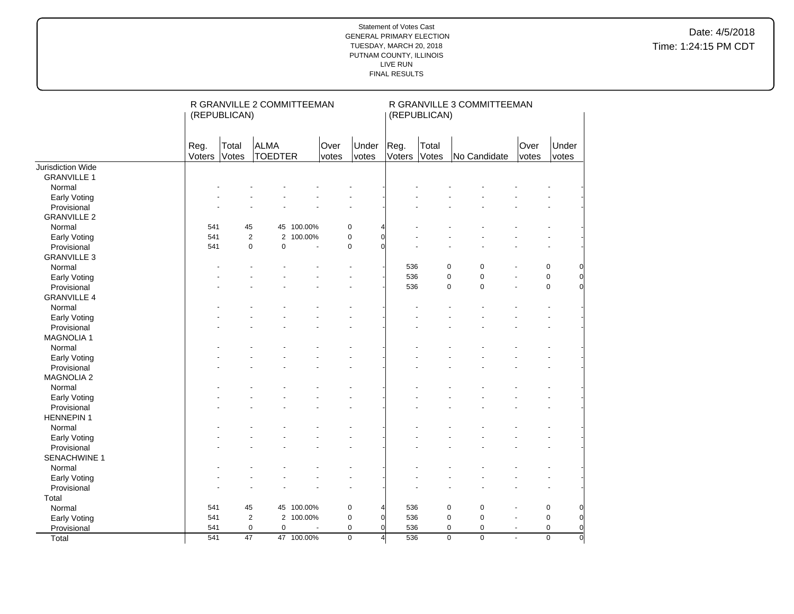|                    |                | (REPUBLICAN)    | R GRANVILLE 2 COMMITTEEMAN    |            |       |                               |                       | (REPUBLICAN)   | R GRANVILLE 3 COMMITTEEMAN       |                |                |                |
|--------------------|----------------|-----------------|-------------------------------|------------|-------|-------------------------------|-----------------------|----------------|----------------------------------|----------------|----------------|----------------|
|                    | Reg.<br>Voters | Total<br>Votes  | <b>ALMA</b><br><b>TOEDTER</b> |            | Over  | Under                         | Reg.<br>Voters        | Total<br>Votes | No Candidate                     | Over           | Under          |                |
| Jurisdiction Wide  |                |                 |                               |            | votes | votes                         |                       |                |                                  | votes          | votes          |                |
| <b>GRANVILLE 1</b> |                |                 |                               |            |       |                               |                       |                |                                  |                |                |                |
| Normal             |                |                 |                               |            |       |                               |                       |                |                                  |                |                |                |
| Early Voting       |                |                 |                               |            |       |                               |                       |                |                                  |                |                |                |
| Provisional        |                |                 |                               |            |       |                               |                       |                |                                  |                |                |                |
| <b>GRANVILLE 2</b> |                |                 |                               |            |       |                               |                       |                |                                  |                |                |                |
| Normal             | 541            | 45              |                               | 45 100.00% |       | $\mathbf 0$<br>$\overline{4}$ |                       |                |                                  |                |                |                |
| Early Voting       | 541            |                 | $\overline{2}$                | 2 100.00%  |       | $\overline{0}$<br>$\pmb{0}$   |                       |                |                                  |                |                |                |
| Provisional        | 541            |                 | $\pmb{0}$<br>$\mathbf 0$      |            |       | $\mathbf 0$<br>$\Omega$       |                       |                |                                  |                |                |                |
| <b>GRANVILLE 3</b> |                |                 |                               |            |       |                               |                       |                |                                  |                |                |                |
| Normal             |                |                 |                               |            |       |                               | 536                   |                | 0<br>$\mathbf 0$                 |                | $\mathsf 0$    | 0              |
| Early Voting       |                |                 |                               |            |       |                               | 536                   |                | 0<br>$\mathbf 0$                 | ÷.             | $\pmb{0}$      | $\overline{0}$ |
| Provisional        |                |                 |                               |            |       |                               | 536                   |                | $\mathbf 0$<br>0                 |                | $\pmb{0}$      | $\overline{0}$ |
| <b>GRANVILLE 4</b> |                |                 |                               |            |       |                               |                       |                |                                  |                |                |                |
| Normal             |                |                 |                               |            |       |                               |                       |                |                                  |                |                |                |
| Early Voting       |                |                 |                               |            |       |                               |                       |                |                                  |                |                |                |
| Provisional        |                |                 |                               |            |       |                               |                       |                |                                  |                |                |                |
| <b>MAGNOLIA1</b>   |                |                 |                               |            |       |                               |                       |                |                                  |                |                |                |
| Normal             |                |                 |                               |            |       |                               |                       |                |                                  |                |                |                |
| Early Voting       |                |                 |                               |            |       |                               |                       |                |                                  |                |                |                |
| Provisional        |                |                 |                               |            |       |                               |                       |                |                                  |                |                |                |
| <b>MAGNOLIA 2</b>  |                |                 |                               |            |       |                               |                       |                |                                  |                |                |                |
| Normal             |                |                 |                               |            |       |                               |                       |                |                                  |                |                |                |
| Early Voting       |                |                 |                               |            |       |                               |                       |                |                                  |                |                |                |
| Provisional        |                |                 |                               |            |       |                               |                       |                |                                  |                |                |                |
| <b>HENNEPIN1</b>   |                |                 |                               |            |       |                               |                       |                |                                  |                |                |                |
| Normal             |                |                 |                               |            |       |                               |                       |                |                                  |                |                |                |
| Early Voting       |                |                 |                               |            |       |                               |                       |                |                                  |                |                |                |
| Provisional        |                |                 |                               |            |       |                               |                       |                |                                  |                |                |                |
| SENACHWINE 1       |                |                 |                               |            |       |                               |                       |                |                                  |                |                |                |
| Normal             |                |                 |                               |            |       |                               |                       |                |                                  |                |                |                |
| Early Voting       |                |                 |                               |            |       |                               |                       |                |                                  |                |                |                |
| Provisional        |                |                 |                               |            |       | ä,                            |                       |                |                                  |                |                |                |
| Total              |                |                 |                               |            |       |                               |                       |                |                                  |                |                |                |
| Normal             | 541            | 45              |                               | 45 100.00% |       | $\pmb{0}$<br>$\overline{4}$   | 536                   |                | $\mathbf 0$<br>0                 |                | $\pmb{0}$      | $\overline{0}$ |
| Early Voting       | 541            |                 | $\overline{2}$                | 2 100.00%  |       | $\pmb{0}$<br>$\overline{0}$   | 536                   |                | 0<br>$\mathbf 0$                 | ä,             | $\pmb{0}$      | $\overline{0}$ |
| Provisional        | 541            |                 | $\pmb{0}$<br>$\mathbf 0$      |            |       | $\pmb{0}$<br>$\overline{0}$   | 536                   |                | 0<br>$\pmb{0}$                   | $\blacksquare$ | $\mathbf 0$    | $\overline{0}$ |
| Total              | 541            | $\overline{47}$ |                               | 47 100.00% |       | $\overline{0}$                | 536<br>$\overline{4}$ |                | $\overline{0}$<br>$\overline{0}$ |                | $\overline{0}$ | $\overline{0}$ |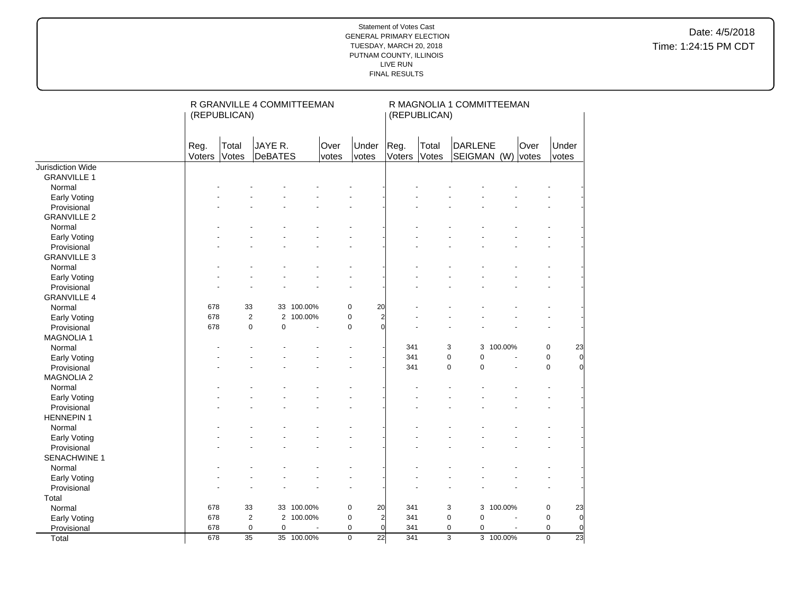|                     | (REPUBLICAN)   |                 | R GRANVILLE 4 COMMITTEEMAN |            |                |                |                | (REPUBLICAN)   | R MAGNOLIA 1 COMMITTEEMAN |           |               |                                   |                |
|---------------------|----------------|-----------------|----------------------------|------------|----------------|----------------|----------------|----------------|---------------------------|-----------|---------------|-----------------------------------|----------------|
|                     | Reg.<br>Voters | Total<br>Votes  | JAYE R.<br>DeBATES         |            | Over<br>votes  | Under<br>votes | Reg.<br>Voters | Total<br>Votes | DARLENE<br>SEIGMAN (W)    |           | Over<br>votes | Under<br>votes                    |                |
| Jurisdiction Wide   |                |                 |                            |            |                |                |                |                |                           |           |               |                                   |                |
| <b>GRANVILLE 1</b>  |                |                 |                            |            |                |                |                |                |                           |           |               |                                   |                |
| Normal              |                |                 |                            |            |                |                |                |                |                           |           |               |                                   |                |
| Early Voting        |                |                 |                            |            |                |                |                |                |                           |           |               |                                   |                |
| Provisional         |                |                 |                            |            |                |                |                |                |                           |           |               |                                   |                |
| <b>GRANVILLE 2</b>  |                |                 |                            |            |                |                |                |                |                           |           |               |                                   |                |
| Normal              |                |                 |                            |            |                |                |                |                |                           |           |               |                                   |                |
| Early Voting        |                |                 |                            |            |                |                |                |                |                           |           |               |                                   |                |
| Provisional         |                |                 |                            |            |                |                |                |                |                           |           |               |                                   |                |
| <b>GRANVILLE 3</b>  |                |                 |                            |            |                |                |                |                |                           |           |               |                                   |                |
| Normal              |                |                 |                            |            |                |                |                |                |                           |           |               |                                   |                |
| Early Voting        |                |                 |                            |            |                |                |                |                |                           |           |               |                                   |                |
| Provisional         |                |                 |                            |            |                |                |                |                |                           |           |               | L.                                |                |
| <b>GRANVILLE 4</b>  |                |                 |                            |            |                |                |                |                |                           |           |               |                                   |                |
| Normal              | 678            | 33              |                            | 33 100.00% | $\pmb{0}$      | 20             |                |                |                           |           |               |                                   |                |
| Early Voting        | 678            | 2               | 2                          | 100.00%    | $\pmb{0}$      | $\overline{c}$ |                |                |                           |           |               |                                   |                |
| Provisional         | 678            | $\pmb{0}$       | $\mathbf 0$                |            | $\pmb{0}$      | $\Omega$       |                |                |                           |           |               |                                   |                |
| <b>MAGNOLIA1</b>    |                |                 |                            |            |                |                |                |                |                           |           |               |                                   |                |
| Normal              |                |                 |                            |            |                |                | 341            | 3              |                           | 3 100.00% |               | 23<br>$\pmb{0}$                   |                |
| Early Voting        |                |                 |                            |            |                |                | 341            | $\mathbf 0$    | $\mathbf 0$               |           |               | $\mathbf 0$                       | $\overline{0}$ |
| Provisional         |                |                 |                            |            |                |                | 341            | $\mathbf 0$    | $\overline{0}$            | Ĭ.        |               | $\mathbf 0$                       | $\overline{0}$ |
| <b>MAGNOLIA 2</b>   |                |                 |                            |            |                |                |                |                |                           |           |               |                                   |                |
| Normal              |                |                 |                            |            |                |                |                |                |                           |           |               |                                   |                |
| <b>Early Voting</b> |                |                 |                            |            |                |                |                |                |                           |           |               | $\tilde{\phantom{a}}$             |                |
| Provisional         |                |                 |                            |            |                |                |                |                |                           |           |               |                                   |                |
| <b>HENNEPIN1</b>    |                |                 |                            |            |                |                |                |                |                           |           |               |                                   |                |
| Normal              |                |                 |                            |            |                |                |                |                |                           |           |               |                                   |                |
| Early Voting        |                |                 |                            |            |                |                |                |                |                           |           |               |                                   |                |
| Provisional         |                |                 |                            |            |                |                |                |                |                           |           |               |                                   |                |
| SENACHWINE 1        |                |                 |                            |            |                |                |                |                |                           |           |               |                                   |                |
| Normal              |                |                 |                            |            |                |                |                |                |                           |           |               |                                   |                |
| Early Voting        |                |                 |                            |            |                |                |                |                |                           |           |               |                                   |                |
| Provisional         |                |                 |                            |            | ä,             |                |                |                |                           |           |               | ÷.                                |                |
| Total               |                |                 |                            |            |                |                |                |                |                           |           |               |                                   |                |
| Normal              | 678            | 33              |                            | 33 100.00% | $\pmb{0}$      | 20             | 341            | 3              | 3                         | 100.00%   |               | $\pmb{0}$<br>23                   |                |
| Early Voting        | 678            | $\overline{2}$  |                            | 2 100.00%  | $\pmb{0}$      | $\overline{2}$ | 341            | $\mathbf 0$    | $\mathbf 0$               |           |               | $\mathbf 0$                       | $\overline{0}$ |
| Provisional         | 678            | $\pmb{0}$       | $\mathbf 0$                |            | $\mathbf 0$    | $\overline{0}$ | 341            | $\mathbf 0$    | 0                         | ä,        |               | 0                                 | $\overline{0}$ |
| Total               | 678            | $\overline{35}$ |                            | 35 100.00% | $\overline{0}$ | 22             | 341            |                | $\overline{3}$            | 3 100.00% |               | $\overline{23}$<br>$\overline{0}$ |                |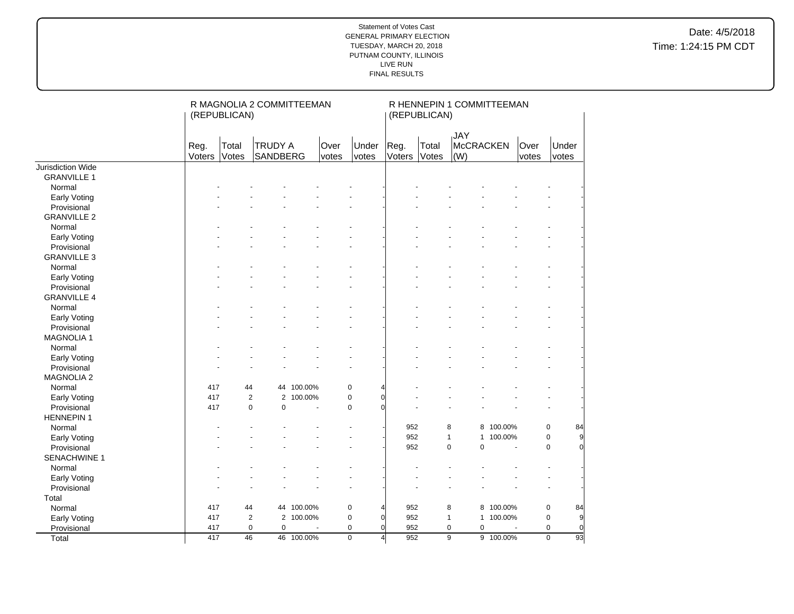|                     | R MAGNOLIA 2 COMMITTEEMAN<br>(REPUBLICAN) |                |                                |            | R HENNEPIN 1 COMMITTEEMAN<br>(REPUBLICAN) |                         |                |                |                                       |              |               |                               |
|---------------------|-------------------------------------------|----------------|--------------------------------|------------|-------------------------------------------|-------------------------|----------------|----------------|---------------------------------------|--------------|---------------|-------------------------------|
|                     | Reg.<br>Voters                            | Total<br>Votes | <b>TRUDY A</b><br>SANDBERG     |            | Over<br>votes                             | Under<br>votes          | Reg.<br>Voters | Total<br>Votes | <b>JAY</b><br><b>McCRACKEN</b><br>(W) |              | Over<br>votes | Under<br>votes                |
| Jurisdiction Wide   |                                           |                |                                |            |                                           |                         |                |                |                                       |              |               |                               |
| <b>GRANVILLE 1</b>  |                                           |                |                                |            |                                           |                         |                |                |                                       |              |               |                               |
| Normal              |                                           |                |                                |            |                                           |                         |                |                |                                       |              |               |                               |
| Early Voting        |                                           |                |                                |            |                                           |                         |                |                |                                       |              |               |                               |
| Provisional         |                                           |                |                                |            |                                           |                         |                |                |                                       |              |               |                               |
| <b>GRANVILLE 2</b>  |                                           |                |                                |            |                                           |                         |                |                |                                       |              |               |                               |
| Normal              |                                           |                |                                |            |                                           |                         |                |                |                                       |              |               |                               |
| Early Voting        |                                           |                |                                |            |                                           |                         |                |                |                                       |              |               | $\sim$                        |
| Provisional         |                                           |                |                                |            |                                           |                         |                |                |                                       |              |               |                               |
| <b>GRANVILLE 3</b>  |                                           |                |                                |            |                                           |                         |                |                |                                       |              |               |                               |
| Normal              |                                           |                |                                |            |                                           |                         |                |                |                                       |              |               |                               |
| Early Voting        |                                           |                |                                |            |                                           |                         |                |                |                                       |              |               |                               |
| Provisional         |                                           |                |                                |            |                                           |                         |                |                |                                       |              |               |                               |
| <b>GRANVILLE 4</b>  |                                           |                |                                |            |                                           |                         |                |                |                                       |              |               |                               |
| Normal              |                                           |                |                                |            |                                           |                         |                |                |                                       |              |               |                               |
| Early Voting        |                                           |                |                                |            |                                           |                         |                |                |                                       |              |               |                               |
| Provisional         |                                           |                |                                |            |                                           |                         |                |                |                                       |              |               | ÷,                            |
| <b>MAGNOLIA 1</b>   |                                           |                |                                |            |                                           |                         |                |                |                                       |              |               |                               |
| Normal              |                                           |                |                                |            |                                           |                         |                |                |                                       |              |               |                               |
| Early Voting        |                                           |                |                                |            |                                           |                         |                |                |                                       |              |               |                               |
| Provisional         |                                           |                |                                |            |                                           |                         |                |                |                                       |              |               |                               |
| <b>MAGNOLIA 2</b>   |                                           |                |                                |            |                                           |                         |                |                |                                       |              |               |                               |
| Normal              | 417                                       | 44             |                                | 44 100.00% |                                           | $\mathbf 0$             |                |                |                                       |              |               |                               |
| <b>Early Voting</b> | 417                                       |                | $\mathbf{2}$<br>$\overline{2}$ | 100.00%    |                                           | $\Omega$<br>$\mathbf 0$ |                |                |                                       |              |               |                               |
| Provisional         | 417                                       |                | $\pmb{0}$<br>$\mathbf 0$       |            |                                           | $\mathbf 0$<br>$\Omega$ |                |                |                                       |              |               |                               |
| <b>HENNEPIN 1</b>   |                                           |                |                                |            |                                           |                         |                |                |                                       |              |               |                               |
| Normal              |                                           |                |                                |            |                                           |                         | 952            |                | 8                                     | 8 100.00%    |               | $\pmb{0}$<br>84               |
| Early Voting        |                                           |                |                                |            |                                           |                         | 952            |                | $\mathbf{1}$<br>1                     | 100.00%      |               | 9<br>$\mathbf 0$              |
| Provisional         |                                           |                |                                |            |                                           |                         | 952            |                | $\pmb{0}$<br>$\mathbf 0$              |              | ÷,            | $\overline{0}$<br>$\mathbf 0$ |
| SENACHWINE 1        |                                           |                |                                |            |                                           |                         |                |                |                                       |              |               |                               |
| Normal              |                                           |                |                                |            |                                           |                         |                |                |                                       |              |               |                               |
| Early Voting        |                                           |                |                                |            |                                           |                         |                |                |                                       |              |               |                               |
| Provisional         |                                           |                |                                |            |                                           |                         |                |                |                                       |              |               | ÷.                            |
| Total               |                                           |                |                                |            |                                           |                         |                |                |                                       |              |               |                               |
| Normal              | 417                                       | 44             |                                | 44 100.00% |                                           | $\pmb{0}$               | 952            |                | 8                                     | 8 100.00%    |               | $\pmb{0}$<br>84               |
| Early Voting        | 417                                       |                | $\overline{2}$                 | 2 100.00%  |                                           | $\pmb{0}$<br>$\Omega$   | 952            |                | $\mathbf{1}$                          | 1 100.00%    |               | 9<br>$\pmb{0}$                |
| Provisional         | 417                                       |                | $\pmb{0}$<br>$\mathbf 0$       |            |                                           | $\mathbf 0$<br>$\Omega$ | 952            |                | 0<br>$\mathbf 0$                      |              |               | $\mathbf 0$<br>$\overline{0}$ |
| Total               | 417                                       | 46             |                                | 46 100.00% |                                           | $\overline{0}$<br>4     | 952            |                | $\overline{9}$                        | $9 100.00\%$ |               | $\overline{0}$<br>93          |